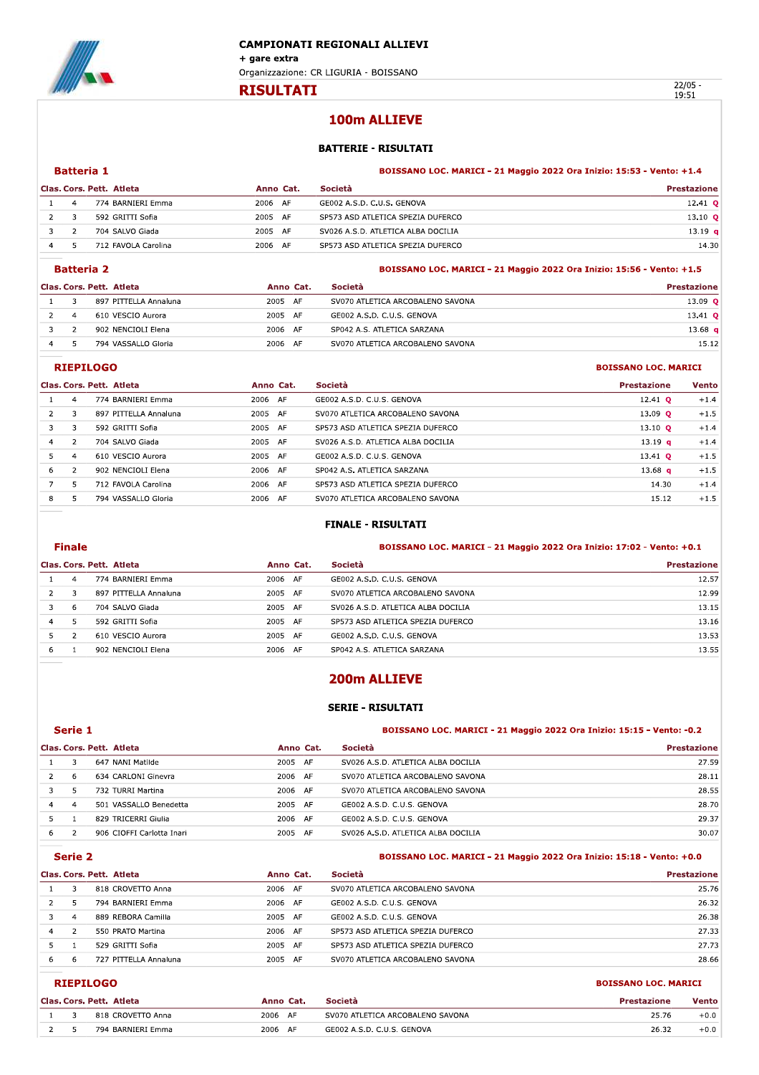

**Batteria 1** 

**RISULTATI** 

 $22/05 -$ 19:51

**BOISSANO LOC. MARICI** 

**BOISSANO LOC. MARICI** 

# 100m ALLIEVE

## **BATTERIE - RISULTATI**

#### BOISSANO LOC. MARICI - 21 Maggio 2022 Ora Inizio: 15:53 - Vento: +1.4

BOISSANO LOC. MARICI - 21 Maggio 2022 Ora Inizio: 15:56 - Vento: +1.5

|                | Clas. Cors. Pett. Atleta | Anno Cat.  | <b>Società</b>                     | <b>Prestazione</b> |
|----------------|--------------------------|------------|------------------------------------|--------------------|
|                | 774 BARNIERI Emma        | 2006<br>AF | GE002 A.S.D. C.U.S. GENOVA         | $12.41$ O          |
|                | 592 GRITTI Sofia         | 2005<br>AF | SP573 ASD ATLETICA SPEZIA DUFERCO  | 13.10 $Q$          |
| $\overline{z}$ | 704 SALVO Giada          | 2005<br>AF | SV026 A.S.D. ATLETICA ALBA DOCILIA | 13.19 <sub>q</sub> |
|                | 712 FAVOLA Carolina      | 2006<br>AF | SP573 ASD ATLETICA SPEZIA DUFERCO  | 14.30              |

#### **Batteria 2**

|                | Clas. Cors. Pett. Atleta | Anno Cat.         | <b>Società</b>                   | <b>Prestazione</b> |
|----------------|--------------------------|-------------------|----------------------------------|--------------------|
|                | 897 PITTELLA Annaluna    | 2005 AF           | SV070 ATLETICA ARCOBALENO SAVONA | 13.09 $Q$          |
| $\overline{4}$ | 610 VESCIO Aurora        | 2005<br><b>AF</b> | GE002 A.S.D. C.U.S. GENOVA       | 13.41 $\circ$      |
|                | 902 NENCIOLI Elena       | 2006<br>- AF      | SP042 A.S. ATLETICA SARZANA      | 13.68 $q$          |
|                | 794 VASSALLO Gloria      | 2006<br>AF        | SV070 ATLETICA ARCOBALENO SAVONA | 15.12              |

#### **RIEPILOGO**

|                |    | Clas. Cors. Pett. Atleta | Anno Cat.  | Società                            | <b>Prestazione</b> | <b>Vento</b> |
|----------------|----|--------------------------|------------|------------------------------------|--------------------|--------------|
|                | 4  | 774 BARNIERI Emma        | 2006 AF    | GE002 A.S.D. C.U.S. GENOVA         | 12.41 $\circ$      | $+1.4$       |
|                |    | 897 PITTELLA Annaluna    | 2005<br>AF | SV070 ATLETICA ARCOBALENO SAVONA   | 13.09 $Q$          | $+1.5$       |
|                |    | 592 GRITTI Sofia         | 2005 AF    | SP573 ASD ATLETICA SPEZIA DUFERCO  | 13.10 $Q$          | $+1.4$       |
| $\overline{4}$ |    | 704 SALVO Giada          | 2005 AF    | SV026 A.S.D. ATLETICA ALBA DOCILIA | 13.19 $q$          | $+1.4$       |
| 5.             | 4  | 610 VESCIO Aurora        | 2005 AF    | GE002 A.S.D. C.U.S. GENOVA         | $13.41$ O          | $+1.5$       |
| 6              |    | 902 NENCIOLI Elena       | 2006 AF    | SP042 A.S. ATLETICA SARZANA        | 13.68 $q$          | $+1.5$       |
|                | 5. | 712 FAVOLA Carolina      | 2006 AF    | SP573 ASD ATLETICA SPEZIA DUFERCO  | 14.30              | $+1.4$       |
| 8              |    | 794 VASSALLO Gloria      | 2006 AF    | SV070 ATLETICA ARCOBALENO SAVONA   | 15.12              | $+1.5$       |

### **FINALE - RISULTATI**

|                                                  | <b>Finale</b> |                       |         |                                    | BOISSANO LOC. MARICI - 21 Maggio 2022 Ora Inizio: 17:02 - Vento: +0.1 |  |
|--------------------------------------------------|---------------|-----------------------|---------|------------------------------------|-----------------------------------------------------------------------|--|
| Società<br>Clas. Cors. Pett. Atleta<br>Anno Cat. |               |                       |         |                                    | <b>Prestazione</b>                                                    |  |
|                                                  |               | 774 BARNIERI Emma     | 2006 AF | GE002 A.S.D. C.U.S. GENOVA         | 12.57                                                                 |  |
| 2                                                | 3             | 897 PITTELLA Annaluna | 2005 AF | SV070 ATLETICA ARCOBALENO SAVONA   | 12.99                                                                 |  |
|                                                  | 6             | 704 SALVO Giada       | 2005 AF | SV026 A.S.D. ATLETICA ALBA DOCILIA | 13.15                                                                 |  |
| 4                                                | 5             | 592 GRITTI Sofia      | 2005 AF | SP573 ASD ATLETICA SPEZIA DUFERCO  | 13.16                                                                 |  |
|                                                  |               | 610 VESCIO Aurora     | 2005 AF | GE002 A.S.D. C.U.S. GENOVA         | 13.53                                                                 |  |
|                                                  |               | 902 NENCIOLI Flena    | 2006 AF | SP042 A.S. ATI FTICA SARZANA       | 13.55                                                                 |  |

# 200m ALLIEVE

## **SERIE - RISULTATI**

|                                       | Serie 1        |                           |         | <b>BOISSANO LOC. MARICI - 21 Maggio 2022 Ora Inizio: 15:15 - Vento: -0.2</b> |                    |  |
|---------------------------------------|----------------|---------------------------|---------|------------------------------------------------------------------------------|--------------------|--|
| Clas. Cors. Pett. Atleta<br>Anno Cat. |                |                           |         | <b>Società</b>                                                               | <b>Prestazione</b> |  |
|                                       |                | 647 NANI Matilde          | 2005 AF | SV026 A.S.D. ATLETICA ALBA DOCILIA                                           | 27.59              |  |
|                                       | 6              | 634 CARLONI Ginevra       | 2006 AF | SV070 ATLETICA ARCOBALENO SAVONA                                             | 28.11              |  |
|                                       | 5              | 732 TURRI Martina         | 2006 AF | SV070 ATLETICA ARCOBALENO SAVONA                                             | 28.55              |  |
| 4                                     | $\overline{a}$ | 501 VASSALLO Benedetta    | 2005 AF | GE002 A.S.D. C.U.S. GENOVA                                                   | 28.70              |  |
|                                       |                | 829 TRICERRI Giulia       | 2006 AF | GE002 A.S.D. C.U.S. GENOVA                                                   | 29.37              |  |
| 6.                                    |                | 906 CIOFFI Carlotta Inari | 2005 AF | SV026 A.S.D. ATLETICA ALBA DOCILIA                                           | 30.07              |  |

#### Serie 2

#### BOISSANO LOC. MARICI - 21 Maggio 2022 Ora Inizio: 15:18 - Vento: +0.0

|    | Clas. Cors. Pett. Atleta | Anno Cat.         | Società                           | <b>Prestazione</b> |
|----|--------------------------|-------------------|-----------------------------------|--------------------|
|    | 818 CROVETTO Anna        | 2006 AF           | SV070 ATLETICA ARCOBALENO SAVONA  | 25.76              |
|    | 794 BARNIERI Emma        | 2006 AF           | GE002 A.S.D. C.U.S. GENOVA        | 26.32              |
|    | 889 REBORA Camilla       | 2005<br>- AF      | GE002 A.S.D. C.U.S. GENOVA        | 26.38              |
| 4  | 550 PRATO Martina        | 2006 AF           | SP573 ASD ATLETICA SPEZIA DUFERCO | 27.33              |
|    | 529 GRITTI Sofia         | 2005<br><b>AF</b> | SP573 ASD ATLETICA SPEZIA DUFERCO | 27.73              |
| 6. | 727 PITTELLA Annaluna    | 2005<br>AF        | SV070 ATLETICA ARCOBALENO SAVONA  | 28.66              |

## **RIEPILOGO**

|  | Clas, Cors, Pett, Atleta | Anno Cat. | <b>Società</b>                   | <b>Prestazione</b> | <b>Vento</b> |
|--|--------------------------|-----------|----------------------------------|--------------------|--------------|
|  | 818 CROVETTO Anna        | 2006 AF   | SV070 ATLETICA ARCOBALENO SAVONA | 25.76              | $+0.0$       |
|  | 794 BARNIERI Emma        | 2006 AF   | GE002 A.S.D. C.U.S. GENOVA       | 26.32              | $+0.0$       |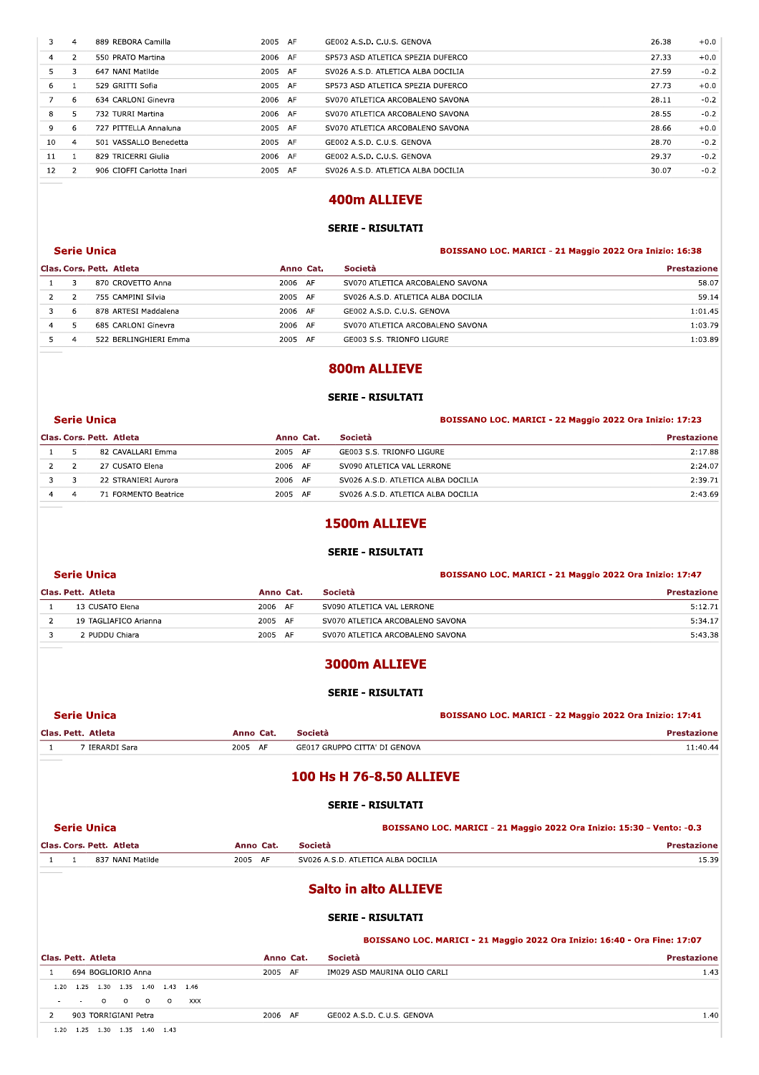| 3              | 4              | 889 REBORA Camilla        | 2005 AF | GE002 A.S.D. C.U.S. GENOVA         | 26.38 | $+0.0$ |
|----------------|----------------|---------------------------|---------|------------------------------------|-------|--------|
| $\overline{4}$ | $\mathcal{P}$  | 550 PRATO Martina         | 2006 AF | SP573 ASD ATLETICA SPEZIA DUFERCO  | 27.33 | $+0.0$ |
| 5.             |                | 647 NANI Matilde          | 2005 AF | SV026 A.S.D. ATLETICA ALBA DOCILIA | 27.59 | $-0.2$ |
| 6              |                | 529 GRITTI Sofia          | 2005 AF | SP573 ASD ATLETICA SPEZIA DUFERCO  | 27.73 | $+0.0$ |
|                | 6              | 634 CARLONI Ginevra       | 2006 AF | SV070 ATLETICA ARCOBALENO SAVONA   | 28.11 | $-0.2$ |
| 8              |                | 732 TURRI Martina         | 2006 AF | SV070 ATLETICA ARCOBALENO SAVONA   | 28.55 | $-0.2$ |
| 9              | 6              | 727 PITTELLA Annaluna     | 2005 AF | SV070 ATLETICA ARCOBALENO SAVONA   | 28.66 | $+0.0$ |
| 10             | $\overline{4}$ | 501 VASSALLO Benedetta    | 2005 AF | GE002 A.S.D. C.U.S. GENOVA         | 28.70 | $-0.2$ |
| 11             |                | 829 TRICERRI Giulia       | 2006 AF | GE002 A.S.D. C.U.S. GENOVA         | 29.37 | $-0.2$ |
| 12             | 2              | 906 CIOFFI Carlotta Inari | 2005 AF | SV026 A.S.D. ATLETICA ALBA DOCILIA | 30.07 | $-0.2$ |
|                |                |                           |         |                                    |       |        |

# **400m ALLIEVE**

## **SERIE - RISULTATI**

#### BOISSANO LOC. MARICI - 21 Maggio 2022 Ora Inizio: 16:38

| Clas. Cors. Pett. Atleta |   | Anno Cat.             | <b>Società</b> | <b>Prestazione</b>                 |         |
|--------------------------|---|-----------------------|----------------|------------------------------------|---------|
|                          |   | 870 CROVETTO Anna     | 2006 AF        | SV070 ATLETICA ARCOBALENO SAVONA   | 58.07   |
|                          |   | 755 CAMPINI Silvia    | 2005 AF        | SV026 A.S.D. ATLETICA ALBA DOCILIA | 59.14   |
|                          | 6 | 878 ARTESI Maddalena  | 2006 AF        | GE002 A.S.D. C.U.S. GENOVA         | 1:01.45 |
|                          |   | 685 CARLONI Ginevra   | 2006 AF        | SV070 ATLETICA ARCOBALENO SAVONA   | 1:03.79 |
|                          |   | 522 BERLINGHIERI Emma | 2005 AF        | GE003 S.S. TRIONFO LIGURE          | 1:03.89 |

## 800m ALLIEVE

## **SERIE - RISULTATI**

#### BOISSANO LOC. MARICI - 22 Maggio 2022 Ora Inizio: 17:23

| Clas. Cors. Pett. Atleta |              |                      | Anno Cat.  | Società                            | <b>Prestazione</b> |
|--------------------------|--------------|----------------------|------------|------------------------------------|--------------------|
|                          |              | 82 CAVALLARI Emma    | 2005<br>AF | GE003 S.S. TRIONFO LIGURE          | 2:17.88            |
|                          |              | 27 CUSATO Elena      | 2006<br>AF | SV090 ATLETICA VAL LERRONE         | 2:24.07            |
|                          |              | 22 STRANIERI Aurora  | 2006<br>AF | SV026 A.S.D. ATLETICA ALBA DOCILIA | 2:39.71            |
|                          | $\mathbf{A}$ | 71 FORMENTO Beatrice | 2005<br>AF | SV026 A.S.D. ATLETICA ALBA DOCILIA | 2:43.69            |

# 1500m ALLIEVE

### **SERIE - RISULTATI**

### BOISSANO LOC. MARICI - 21 Maggio 2022 Ora Inizio: 17:47

#### Clas. Pett. Atleta Anno Cat. Società Prestazione  $\overline{1}$ 13 CUSATO Elena 2006 AF SV090 ATLETICA VAL LERRONE  $5:12.71$ 2005 AF SV070 ATLETICA ARCOBALENO SAVONA  $5:34.17$  $\overline{2}$ 19 TAGLIAFICO Arianna  $\overline{\mathbf{3}}$ 2 PUDDU Chiara 2005 AF SV070 ATLETICA ARCOBALENO SAVONA  $5:43.38$

# 3000m ALLIEVE

## **SERIE - RISULTATI**

#### BOISSANO LOC. MARICI - 22 Maggio 2022 Ora Inizio: 17:41

| Clas. Pett. Atleta  | Anno Cat.  | <b>Società</b>                | zione   |
|---------------------|------------|-------------------------------|---------|
| <b>IERARDI Sara</b> | 2005<br>AF | GE017 GRUPPO CITTA' DI GENOVA | 1:40.44 |
|                     |            |                               |         |

# **100 Hs H 76-8.50 ALLIEVE**

|        |                                                         |           | <b>SERIE - RISULTATI</b>                                                  |             |
|--------|---------------------------------------------------------|-----------|---------------------------------------------------------------------------|-------------|
|        | <b>Serie Unica</b>                                      |           | BOISSANO LOC. MARICI - 21 Maggio 2022 Ora Inizio: 15:30 - Vento: -0.3     |             |
|        | Clas. Cors. Pett. Atleta                                | Anno Cat. | Società                                                                   | Prestazione |
|        | 837 NANI Matilde                                        | 2005 AF   | SV026 A.S.D. ATLETICA ALBA DOCILIA                                        | 15.39       |
|        |                                                         |           | <b>Salto in alto ALLIEVE</b>                                              |             |
|        |                                                         |           | <b>SERIE - RISULTATI</b>                                                  |             |
|        |                                                         |           | BOISSANO LOC. MARICI - 21 Maggio 2022 Ora Inizio: 16:40 - Ora Fine: 17:07 |             |
|        | Clas. Pett. Atleta                                      | Anno Cat. | Società                                                                   | Prestazione |
|        | 694 BOGLIORIO Anna                                      | 2005 AF   | IM029 ASD MAURINA OLIO CARLI                                              | 1.4         |
| 1.20   | 1.25<br>1.30  1.35  1.40  1.43  1.46                    |           |                                                                           |             |
| $\sim$ | <b>XXX</b><br>$\circ$<br>$\circ$<br>$\Omega$<br>$\circ$ |           |                                                                           |             |
| 2      | 903 TORRIGIANI Petra                                    | 2006 AF   | GE002 A.S.D. C.U.S. GENOVA                                                | 1.4(        |

 $1.20$   $1.25$   $1.30$   $1.35$   $1.40$   $1.43$ 

**Serie Unica** 

**Serie Unica** 

**Serie Unica** 

**Serie Unica** 

 $1.40$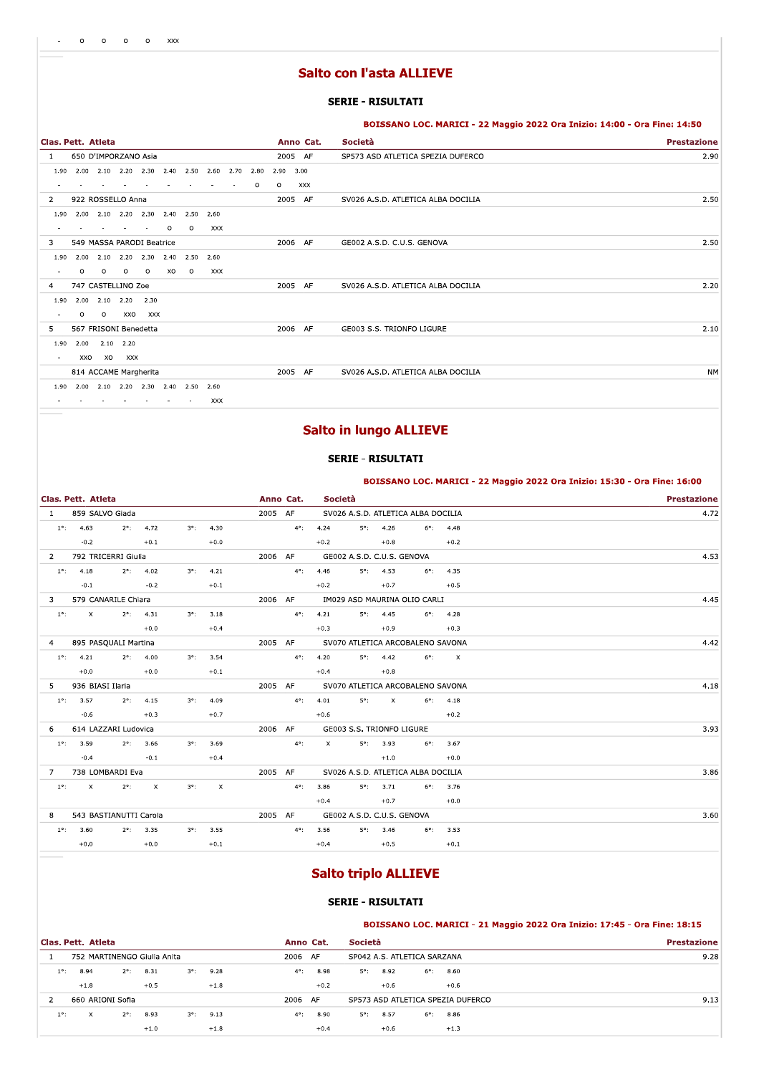# **Salto con l'asta ALLIEVE**

### **SERIE - RISULTATI**

BOISSANO LOC. MARICI - 22 Maggio 2022 Ora Inizio: 14:00 - Ora Fine: 14:50

| Clas. Pett. Atleta       |                           |         |                |         |         |                               |            |      |         |         | Anno Cat.  | Società                            | <b>Prestazione</b> |
|--------------------------|---------------------------|---------|----------------|---------|---------|-------------------------------|------------|------|---------|---------|------------|------------------------------------|--------------------|
| 1                        | 650 D'IMPORZANO Asia      |         |                |         |         |                               |            |      |         |         | 2005 AF    | SP573 ASD ATLETICA SPEZIA DUFERCO  | 2.90               |
| 1.90                     | 2.00                      |         | $2.10$ $2.20$  | 2.30    | 2.40    | 2.50                          | 2.60       | 2.70 | 2.80    | 2.90    | 3.00       |                                    |                    |
|                          |                           |         |                |         |         |                               |            |      | $\circ$ | $\circ$ | <b>XXX</b> |                                    |                    |
| 2                        | 922 ROSSELLO Anna         |         |                |         |         |                               |            |      |         | 2005    | AF         | SV026 A.S.D. ATLETICA ALBA DOCILIA | 2.50               |
| 1.90                     | 2.00                      |         | 2.10 2.20 2.30 |         |         | 2.40 2.50                     | 2.60       |      |         |         |            |                                    |                    |
|                          |                           |         |                |         | $\circ$ | $\circ$                       | XXX        |      |         |         |            |                                    |                    |
| 3                        | 549 MASSA PARODI Beatrice |         |                |         |         |                               |            |      |         |         | 2006 AF    | GE002 A.S.D. C.U.S. GENOVA         | 2.50               |
| 1.90                     | 2.00                      |         |                |         |         | 2.10 2.20 2.30 2.40 2.50 2.60 |            |      |         |         |            |                                    |                    |
| $\sim$                   | O                         | $\circ$ | $\circ$        | $\circ$ | xo      | $\circ$                       | XXX        |      |         |         |            |                                    |                    |
| 4                        | 747 CASTELLINO Zoe        |         |                |         |         |                               |            |      |         | 2005    | AF         | SV026 A.S.D. ATLETICA ALBA DOCILIA | 2.20               |
| 1.90                     | 2.00                      |         | $2.10$ $2.20$  | 2.30    |         |                               |            |      |         |         |            |                                    |                    |
| $\blacksquare$           | $\circ$                   | $\circ$ | XXO            | XXX     |         |                               |            |      |         |         |            |                                    |                    |
| 5                        | 567 FRISONI Benedetta     |         |                |         |         |                               |            |      |         |         | 2006 AF    | GE003 S.S. TRIONFO LIGURE          | 2.10               |
| 1.90                     | 2.00                      |         | 2.10 2.20      |         |         |                               |            |      |         |         |            |                                    |                    |
| $\sim$                   | XXO                       | xo      | XXX            |         |         |                               |            |      |         |         |            |                                    |                    |
|                          | 814 ACCAME Margherita     |         |                |         |         |                               |            |      |         |         | 2005 AF    | SV026 A.S.D. ATLETICA ALBA DOCILIA | <b>NM</b>          |
| 1.90                     | 2.00                      |         |                |         |         | 2.10 2.20 2.30 2.40 2.50      | 2.60       |      |         |         |            |                                    |                    |
| $\overline{\phantom{a}}$ |                           |         | $\sim$         | $\sim$  | $\sim$  | $\sim$                        | <b>XXX</b> |      |         |         |            |                                    |                    |

# **Salto in lungo ALLIEVE**

#### **SERIE - RISULTATI**

|                |                      |                        |              |             |                           |           |               |             |                            |          |                                    |              | BOISSANO LOC. MARICI - 22 Maggio 2022 Ora Inizio: 15:30 - Ora Fine: 16:00 |
|----------------|----------------------|------------------------|--------------|-------------|---------------------------|-----------|---------------|-------------|----------------------------|----------|------------------------------------|--------------|---------------------------------------------------------------------------|
|                | Clas. Pett. Atleta   |                        |              |             |                           | Anno Cat. |               | Società     |                            |          |                                    |              | <b>Prestazione</b>                                                        |
| $\mathbf{1}$   | 859 SALVO Giada      |                        |              |             |                           | 2005 AF   |               |             |                            |          | SV026 A.S.D. ATLETICA ALBA DOCILIA |              | 4.72                                                                      |
| $1^{\circ}$ :  | 4.63                 | $2^{\circ}$ :          | 4.72         | $3^\circ$ : | 4.30                      |           | $4^{\circ}$ : | 4.24        | $5^\circ$ :                | 4.26     | $6^\circ$ :                        | 4.48         |                                                                           |
|                | $-0.2$               |                        | $+0.1$       |             | $+0.0$                    |           |               | $+0.2$      |                            | $+0.8$   |                                    | $+0.2$       |                                                                           |
| $\overline{2}$ | 792 TRICERRI Giulia  |                        |              |             |                           | 2006 AF   |               |             | GE002 A.S.D. C.U.S. GENOVA |          |                                    |              | 4.53                                                                      |
| $1^\circ$ :    | 4.18                 | $2^{\circ}$ :          | 4.02         | $3^\circ$ : | 4.21                      |           | $4^{\circ}$ : | 4.46        | $5^\circ$ :                | 4.53     | $6^{\circ}$ :                      | 4.35         |                                                                           |
|                | $-0.1$               |                        | $-0.2$       |             | $+0.1$                    |           |               | $+0.2$      |                            | $+0.7$   |                                    | $+0.5$       |                                                                           |
| 3              |                      | 579 CANARILE Chiara    |              |             |                           | 2006 AF   |               |             |                            |          | IM029 ASD MAURINA OLIO CARLI       |              | 4.45                                                                      |
| $1^{\circ}$ :  | $\mathsf{x}$         | $2^{\circ}$ :          | 4.31         | $3^\circ$ : | 3.18                      |           | $4^{\circ}$ : | 4.21        | $5^{\circ}$ :              | 4.45     | $6^\circ$ :                        | 4.28         |                                                                           |
|                |                      |                        | $+0.0$       |             | $+0.4$                    |           |               | $+0.3$      |                            | $+0.9$   |                                    | $+0.3$       |                                                                           |
| 4              | 895 PASQUALI Martina |                        |              |             |                           | 2005 AF   |               |             |                            |          | SV070 ATLETICA ARCOBALENO SAVONA   |              | 4.42                                                                      |
| $1^{\circ}$ :  | 4.21                 | $2^{\circ}$ :          | 4.00         | $3^\circ$ : | 3.54                      |           | $4^{\circ}$ : | 4.20        | $5^{\circ}$ :              | 4.42     | $6^\circ$ :                        | $\mathsf{x}$ |                                                                           |
|                | $+0.0$               |                        | $+0.0$       |             | $+0.1$                    |           |               | $+0.4$      |                            | $+0.8$   |                                    |              |                                                                           |
| 5              | 936 BIASI Ilaria     |                        |              |             |                           | 2005 AF   |               |             |                            |          | SV070 ATLETICA ARCOBALENO SAVONA   |              | 4.18                                                                      |
| $1^{\circ}$ :  | 3.57                 | $2^{\circ}$ :          | 4.15         | $3^\circ$ : | 4.09                      |           | $4^{\circ}$ : | 4.01        | $5^\circ$ :                | $\times$ | $6^\circ$ :                        | 4.18         |                                                                           |
|                | $-0.6$               |                        | $+0.3$       |             | $+0.7$                    |           |               | $+0.6$      |                            |          |                                    | $+0.2$       |                                                                           |
| 6              | 614 LAZZARI Ludovica |                        |              |             |                           | 2006 AF   |               |             | GE003 S.S. TRIONFO LIGURE  |          |                                    |              | 3.93                                                                      |
| $1^{\circ}$ :  | 3.59                 | $2^{\circ}$ :          | 3.66         | $3^\circ$ : | 3.69                      |           | $4^{\circ}$ : | $\mathsf X$ | $5^{\circ}$ :              | 3.93     | $6^\circ$ :                        | 3.67         |                                                                           |
|                | $-0.4$               |                        | $-0.1$       |             | $+0.4$                    |           |               |             |                            | $+1.0$   |                                    | $+0.0$       |                                                                           |
| $\overline{7}$ | 738 LOMBARDI Eva     |                        |              |             |                           | 2005 AF   |               |             |                            |          | SV026 A.S.D. ATLETICA ALBA DOCILIA |              | 3.86                                                                      |
| $1^{\circ}$ :  | $\mathsf{X}$         | $2^{\circ}$ :          | $\mathsf{x}$ | $3^\circ$ : | $\boldsymbol{\mathsf{X}}$ |           | $4^{\circ}$ : | 3.86        | $5^\circ$ :                | 3.71     | $6^\circ$ :                        | 3.76         |                                                                           |
|                |                      |                        |              |             |                           |           |               | $+0.4$      |                            | $+0.7$   |                                    | $+0.0$       |                                                                           |
| 8              |                      | 543 BASTIANUTTI Carola |              |             |                           | 2005 AF   |               |             | GE002 A.S.D. C.U.S. GENOVA |          |                                    |              | 3.60                                                                      |
| $1^{\circ}$ :  | 3.60                 | $2^{\circ}$ :          | 3.35         | $3^\circ$ : | 3.55                      |           | $4^{\circ}$ : | 3.56        | 5%                         | 3.46     | $6^\circ$ :                        | 3.53         |                                                                           |
|                | $+0.0$               |                        | $+0.0$       |             | $+0.1$                    |           |               | $+0.4$      |                            | $+0.5$   |                                    | $+0.1$       |                                                                           |

# **Salto triplo ALLIEVE**

## **SERIE - RISULTATI**

BOISSANO LOC. MARICI - 21 Maggio 2022 Ora Inizio: 17:45 - Ora Fine: 18:15

|               | Clas. Pett. Atleta          |               |        |             |        | Anno Cat.     |        | <b>Società</b> |        |                             |                                   | <b>Prestazione</b> |
|---------------|-----------------------------|---------------|--------|-------------|--------|---------------|--------|----------------|--------|-----------------------------|-----------------------------------|--------------------|
|               | 752 MARTINENGO Giulia Anita |               |        |             |        | 2006 AF       |        |                |        | SP042 A.S. ATLETICA SARZANA |                                   | 9.28               |
| $1^{\circ}$ : | 8.94                        | $2^{\circ}$ : | 8.31   | $3^\circ$ : | 9.28   | $4^{\circ}$ : | 8.98   | 5°:            | 8.92   | 6°:                         | 8.60                              |                    |
|               | $+1.8$                      |               | $+0.5$ |             | $+1.8$ |               | $+0.2$ |                | $+0.6$ |                             | $+0.6$                            |                    |
|               | 660 ARIONI Sofia            |               |        |             |        | 2006 AF       |        |                |        |                             | SP573 ASD ATLETICA SPEZIA DUFERCO | 9.13               |
| $1^{\circ}$ : | X.                          | $2^{\circ}$ : | 8.93   | $3^\circ$ : | 9.13   | $4^{\circ}$ : | 8.90   | $5^\circ$ :    | 8.57   | $6^{\circ}$ :               | 8.86                              |                    |
|               |                             |               | $+1.0$ |             | $+1.8$ |               | $+0.4$ |                | $+0.6$ |                             | $+1.3$                            |                    |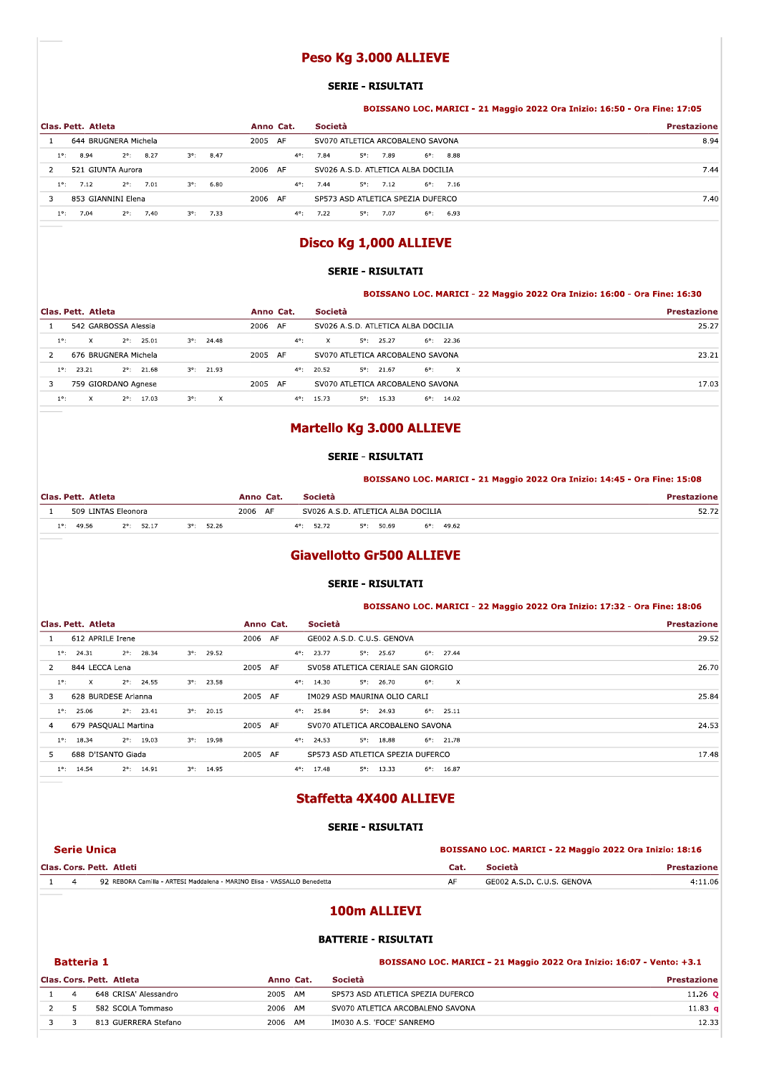# Peso Kg 3.000 ALLIEVE

#### **SERIE - RISULTATI**

|                |                      |                    |             |                    |           |               | Peso Kg 3.000 ALLIEVE              |                    |  |                    |                                                                           |
|----------------|----------------------|--------------------|-------------|--------------------|-----------|---------------|------------------------------------|--------------------|--|--------------------|---------------------------------------------------------------------------|
|                |                      |                    |             |                    |           |               | <b>SERIE - RISULTATI</b>           |                    |  |                    |                                                                           |
|                |                      |                    |             |                    |           |               |                                    |                    |  |                    | BOISSANO LOC. MARICI - 21 Maggio 2022 Ora Inizio: 16:50 - Ora Fine: 17:05 |
|                | Clas, Pett. Atleta   |                    |             |                    | Anno Cat. |               | Società                            |                    |  |                    | <b>Prestazione</b>                                                        |
|                | 644 BRUGNERA Michela |                    |             |                    | 2005 AF   |               | SV070 ATLETICA ARCOBALENO SAVONA   |                    |  |                    | 8.94                                                                      |
|                |                      |                    |             |                    |           |               |                                    |                    |  |                    |                                                                           |
| $1^{\circ}$ :  | 8.94                 | $2^{\circ}$ : 8.27 |             | $3^{\circ}$ : 8.47 |           | $4^{\circ}$ : | 7.84                               | $5^{\circ}$ : 7.89 |  | $6^{\circ}$ : 8.88 |                                                                           |
| $\overline{2}$ | 521 GIUNTA Aurora    |                    |             |                    | 2006 AF   |               | SV026 A.S.D. ATLETICA ALBA DOCILIA |                    |  |                    |                                                                           |
| $1^{\circ}$ :  | 7.12                 | $2^{\circ}$ : 7.01 | $3^\circ$ : | 6.80               |           | $4^{\circ}$ : | 7.44                               | $5^{\circ}$ : 7.12 |  | $6^{\circ}$ : 7.16 |                                                                           |
| 3              | 853 GIANNINI Elena   |                    |             |                    | 2006 AF   |               | SP573 ASD ATLETICA SPEZIA DUFERCO  |                    |  |                    | 7.44<br>7.40                                                              |

# DISCO KG 1,000 ALLIEVE

### **SERIE - RISULTATI**

| Disco Kg 1,000 ALLIEVE                             |                     |               |                                                                           |                    |  |  |  |  |  |  |  |
|----------------------------------------------------|---------------------|---------------|---------------------------------------------------------------------------|--------------------|--|--|--|--|--|--|--|
|                                                    |                     |               | <b>SERIE - RISULTATI</b>                                                  |                    |  |  |  |  |  |  |  |
|                                                    |                     |               | BOISSANO LOC. MARICI - 22 Maggio 2022 Ora Inizio: 16:00 - Ora Fine: 16:30 |                    |  |  |  |  |  |  |  |
| Clas, Pett. Atleta                                 |                     | Anno Cat.     | Società                                                                   | <b>Prestazione</b> |  |  |  |  |  |  |  |
| 542 GARBOSSA Alessia                               |                     | 2006 AF       | SV026 A.S.D. ATLETICA ALBA DOCILIA                                        | 25.27              |  |  |  |  |  |  |  |
| $\mathsf{X}$<br>$2^{\circ}$ : 25.01<br>$1^\circ$ : | $3^{\circ}$ : 24.48 | $4^{\circ}$ : | $\mathsf{X}$<br>$5^{\circ}$ : 25.27<br>$6^{\circ}$ : 22.36                |                    |  |  |  |  |  |  |  |
| 676 BRUGNERA Michela<br>$\overline{2}$             |                     | 2005 AF       | SV070 ATLETICA ARCOBALENO SAVONA                                          | 23.21              |  |  |  |  |  |  |  |
| $1^{\circ}$ :<br>$2^{\circ}$ : 21.68<br>23.21      | $3^{\circ}$ : 21.93 | $4^{\circ}$ : | $5^{\circ}$ : 21.67<br>$\mathbf{x}$<br>20.52<br>$6^{\circ}$ :             |                    |  |  |  |  |  |  |  |
|                                                    |                     |               |                                                                           |                    |  |  |  |  |  |  |  |
| 3<br>759 GIORDANO Agnese                           |                     | 2005 AF       | SV070 ATLETICA ARCOBALENO SAVONA                                          | 17.03              |  |  |  |  |  |  |  |

# martello kg 3.000 ALLIEVE

### **SERIE - RISULTATI**

| <b>Martello Kg 3.000 ALLIEVE</b> |                                                                           |                    |  |  |  |  |  |  |  |  |  |  |
|----------------------------------|---------------------------------------------------------------------------|--------------------|--|--|--|--|--|--|--|--|--|--|
|                                  | <b>SERIE - RISULTATI</b>                                                  |                    |  |  |  |  |  |  |  |  |  |  |
|                                  |                                                                           |                    |  |  |  |  |  |  |  |  |  |  |
|                                  | BOISSANO LOC. MARICI - 21 Maggio 2022 Ora Inizio: 14:45 - Ora Fine: 15:08 |                    |  |  |  |  |  |  |  |  |  |  |
| Clas, Pett. Atleta               | Società<br>Anno Cat.                                                      | <b>Prestazione</b> |  |  |  |  |  |  |  |  |  |  |
| 509 LINTAS Eleonora              | 2006 AF<br>SV026 A.S.D. ATLETICA ALBA DOCILIA                             | 52.72              |  |  |  |  |  |  |  |  |  |  |

# GIAVEIIOTTO GISUU ALLIEVE

#### **SERIE - RISULTATI**

|               |                     |                      |             |                     |           |                     | <b>Giavellotto Gr500 ALLIEVE</b>   |               |                     |                                                                           |
|---------------|---------------------|----------------------|-------------|---------------------|-----------|---------------------|------------------------------------|---------------|---------------------|---------------------------------------------------------------------------|
|               |                     |                      |             |                     |           |                     | <b>SERIE - RISULTATI</b>           |               |                     |                                                                           |
|               |                     |                      |             |                     |           |                     |                                    |               |                     | BOISSANO LOC. MARICI - 22 Maggio 2022 Ora Inizio: 17:32 - Ora Fine: 18:06 |
|               | Clas. Pett. Atleta  |                      |             |                     | Anno Cat. | Società             |                                    |               |                     | <b>Prestazione</b>                                                        |
|               | 612 APRILE Irene    |                      |             |                     | 2006 AF   |                     | GE002 A.S.D. C.U.S. GENOVA         |               |                     | 29.52                                                                     |
|               | $1^{\circ}$ : 24.31 | $2^{\circ}$ : 28.34  | $3^\circ$ : | 29.52               |           | $4^{\circ}$ : 23.77 | $5^{\circ}$ : 25.67                |               | $6^{\circ}$ : 27.44 |                                                                           |
| 2             | 844 LECCA Lena      |                      |             |                     | 2005 AF   |                     | SV058 ATLETICA CERIALE SAN GIORGIO |               |                     | 26.70                                                                     |
| $1^{\circ}$ : | $\mathsf{X}$        | $2^{\circ}$ : 24.55  | $3^\circ$ : | 23.58               |           | $4^{\circ}$ : 14.30 | $5^{\circ}$ : 26.70                | $6^{\circ}$ : | $\mathbf{x}$        |                                                                           |
| 3             |                     | 628 BURDESE Arianna  |             |                     | 2005 AF   |                     | IM029 ASD MAURINA OLIO CARLI       |               |                     | 25.84                                                                     |
| $1^\circ$ :   | 25.06               | $2^{\circ}$ : 23.41  | $3^\circ$ : | 20.15               |           | $4^{\circ}$ : 25.84 | $5^\circ$ : 24.93                  |               | $6^{\circ}$ : 25.11 |                                                                           |
| 4             |                     | 679 PASQUALI Martina |             |                     | 2005 AF   |                     | SV070 ATLETICA ARCOBALENO SAVONA   |               |                     | 24.53                                                                     |
| $1^\circ$ :   | 18.34               | $2^{\circ}$ : 19.03  |             | $3^{\circ}$ : 19.98 |           | $4^{\circ}$ : 24.53 | $5^{\circ}$ : 18.88                |               | $6^{\circ}$ : 21.78 |                                                                           |
| 5.            |                     | 688 D'ISANTO Giada   |             |                     | 2005 AF   |                     | SP573 ASD ATLETICA SPEZIA DUFERCO  |               |                     | 17.48                                                                     |
|               | $1^{\circ}$ : 14.54 | $2^{\circ}$ : 14.91  |             | $3^{\circ}$ : 14.95 |           | $4^{\circ}$ : 17.48 | $5^\circ$ : 13.33                  |               | $6^{\circ}$ : 16.87 |                                                                           |

# staffetta 4x400 ALLIEVE

### SERIE - RISULTATI

|                | <b>Staffetta 4X400 ALLIEVE</b>                                           |                                                         |                            |                    |  |  |
|----------------|--------------------------------------------------------------------------|---------------------------------------------------------|----------------------------|--------------------|--|--|
|                | <b>SERIE - RISULTATI</b>                                                 |                                                         |                            |                    |  |  |
|                | <b>Serie Unica</b>                                                       | BOISSANO LOC. MARICI - 22 Maggio 2022 Ora Inizio: 18:16 |                            |                    |  |  |
|                | Clas. Cors. Pett. Atleti                                                 | Cat.                                                    | Società                    | <b>Prestazione</b> |  |  |
| $\overline{a}$ | 92 REBORA Camilla - ARTESI Maddalena - MARINO Elisa - VASSALLO Benedetta | AF                                                      | GE002 A.S.D. C.U.S. GENOVA | 4:11.06            |  |  |
|                | 100m ALLIEVI                                                             |                                                         |                            |                    |  |  |

# 100m ALLIEVI

# BATTERIE - RISULTATI

|   | 100m ALLIEVI                                                                               |                          |           |                                   |                    |  |  |  |  |  |  |  |
|---|--------------------------------------------------------------------------------------------|--------------------------|-----------|-----------------------------------|--------------------|--|--|--|--|--|--|--|
|   | <b>BATTERIE - RISULTATI</b>                                                                |                          |           |                                   |                    |  |  |  |  |  |  |  |
|   | <b>Batteria 1</b><br>BOISSANO LOC. MARICI - 21 Maggio 2022 Ora Inizio: 16:07 - Vento: +3.1 |                          |           |                                   |                    |  |  |  |  |  |  |  |
|   |                                                                                            | Clas. Cors. Pett. Atleta | Anno Cat. | Società                           | <b>Prestazione</b> |  |  |  |  |  |  |  |
|   | $\overline{a}$                                                                             | 648 CRISA' Alessandro    | 2005 AM   | SP573 ASD ATLETICA SPEZIA DUFERCO | $11.26$ O          |  |  |  |  |  |  |  |
| 2 | 5                                                                                          | 582 SCOLA Tommaso        | 2006 AM   | SV070 ATLETICA ARCOBALENO SAVONA  | 11.83 $q$          |  |  |  |  |  |  |  |
| 3 | 3                                                                                          | 813 GUERRERA Stefano     | 2006 AM   | IM030 A.S. 'FOCE' SANREMO         | 12.33              |  |  |  |  |  |  |  |
|   |                                                                                            |                          |           |                                   |                    |  |  |  |  |  |  |  |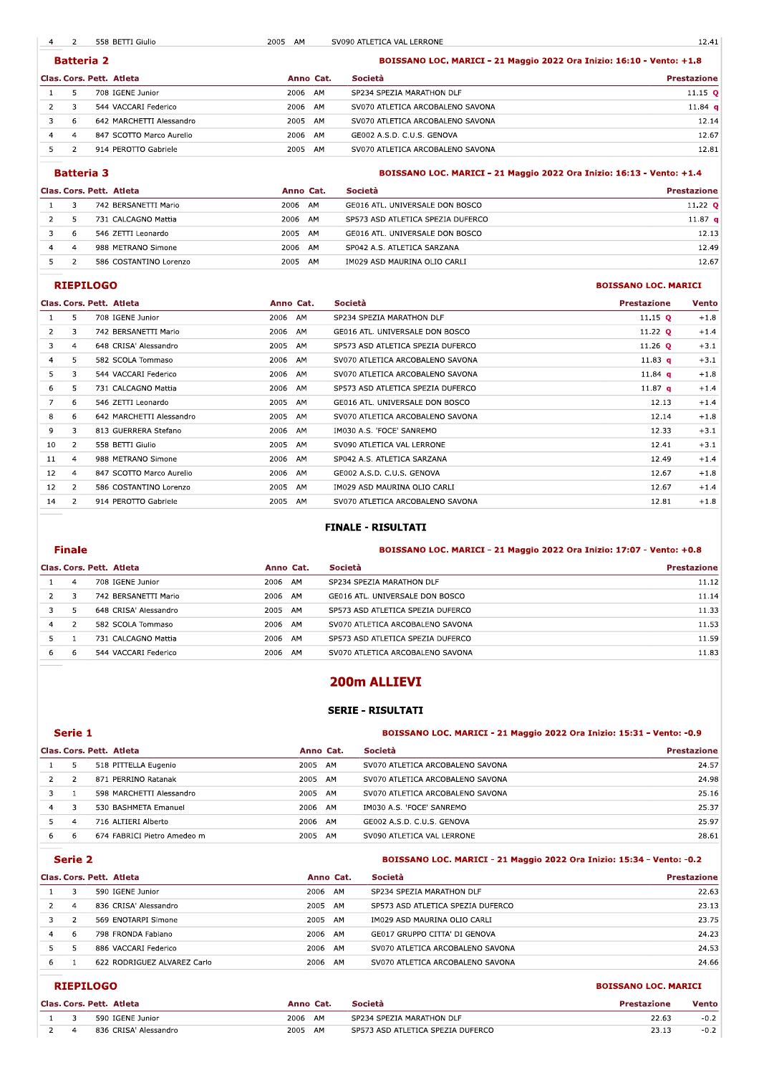$\overline{\phantom{a}}$ 2 558 BETTI Giulio 2005 AM SV090 ATLETICA VAL LERRONE

|                | <b>Batteria 2</b>        |           |    | BOISSANO LOC. MARICI - 21 Maggio 2022 Ora Inizio: 16:10 - Vento: +1.8 |                    |  |  |  |
|----------------|--------------------------|-----------|----|-----------------------------------------------------------------------|--------------------|--|--|--|
|                | Clas. Cors. Pett. Atleta | Anno Cat. |    | Società                                                               | <b>Prestazione</b> |  |  |  |
|                | 708 IGENE Junior         | 2006 AM   |    | SP234 SPEZIA MARATHON DLF                                             | $11.15$ Q          |  |  |  |
|                | 544 VACCARI Federico     | 2006 AM   |    | SV070 ATLETICA ARCOBALENO SAVONA                                      | 11.84 q            |  |  |  |
| 6              | 642 MARCHETTI Alessandro | 2005 AM   |    | SV070 ATLETICA ARCOBALENO SAVONA                                      | 12.14              |  |  |  |
| $\overline{a}$ | 847 SCOTTO Marco Aurelio | 2006      | AM | GE002 A.S.D. C.U.S. GENOVA                                            | 12.67              |  |  |  |
|                | 914 PEROTTO Gabriele     | 2005      | AM | SV070 ATLETICA ARCOBALENO SAVONA                                      | 12.81              |  |  |  |

# BOISSANO LOC. MARICI - 21 Maggio 2022 Ora Inizio: 16:13 - Vento: +1.4

|   | Clas. Cors. Pett. Atleta | Anno Cat.  | <b>Società</b>                    | Prestazione        |
|---|--------------------------|------------|-----------------------------------|--------------------|
|   | 742 BERSANETTI Mario     | 2006 AM    | GE016 ATL. UNIVERSALE DON BOSCO   | 11.22 $Q$          |
|   | 731 CALCAGNO Mattia      | 2006 AM    | SP573 ASD ATLETICA SPEZIA DUFERCO | 11.87 <sub>q</sub> |
| 6 | 546 ZETTI Leonardo       | 2005<br>AM | GE016 ATL. UNIVERSALE DON BOSCO   | 12.13              |
|   | 988 METRANO Simone       | 2006<br>AM | SP042 A.S. ATLETICA SARZANA       | 12.49              |
|   | 586 COSTANTINO Lorenzo   | 2005<br>AM | IM029 ASD MAURINA OLIO CARLI      | 12.67              |

## **RIEPILOGO**

**Batteria 3** 

### **BOISSANO LOC. MARICI**

|    |                | Clas. Cors. Pett. Atleta | Anno Cat.  | Società                           | <b>Prestazione</b> | <b>Vento</b> |
|----|----------------|--------------------------|------------|-----------------------------------|--------------------|--------------|
|    | 5.             | 708 IGENE Junior         | 2006 AM    | SP234 SPEZIA MARATHON DLF         | 11.15 $Q$          | $+1.8$       |
| 2  | 3              | 742 BERSANETTI Mario     | 2006 AM    | GE016 ATL. UNIVERSALE DON BOSCO   | 11.22 <b>Q</b>     | $+1.4$       |
| 3  | $\overline{4}$ | 648 CRISA' Alessandro    | 2005 AM    | SP573 ASD ATLETICA SPEZIA DUFERCO | 11.26 $Q$          | $+3.1$       |
| 4  | 5              | 582 SCOLA Tommaso        | 2006 AM    | SV070 ATLETICA ARCOBALENO SAVONA  | 11.83 <b>q</b>     | $+3.1$       |
| 5. | 3              | 544 VACCARI Federico     | 2006 AM    | SV070 ATLETICA ARCOBALENO SAVONA  | 11.84 $q$          | $+1.8$       |
| 6  | 5              | 731 CALCAGNO Mattia      | 2006 AM    | SP573 ASD ATLETICA SPEZIA DUFERCO | 11.87 $q$          | $+1.4$       |
|    | 6              | 546 ZETTI Leonardo       | 2005 AM    | GE016 ATL. UNIVERSALE DON BOSCO   | 12.13              | $+1.4$       |
| 8  | 6              | 642 MARCHETTI Alessandro | 2005 AM    | SV070 ATLETICA ARCOBALENO SAVONA  | 12.14              | $+1.8$       |
| 9  | 3              | 813 GUERRERA Stefano     | 2006 AM    | IM030 A.S. 'FOCE' SANREMO         | 12.33              | $+3.1$       |
| 10 | $\overline{2}$ | 558 BETTI Giulio         | 2005 AM    | SV090 ATLETICA VAL LERRONE        | 12.41              | $+3.1$       |
| 11 | $\overline{4}$ | 988 METRANO Simone       | 2006 AM    | SP042 A.S. ATLETICA SARZANA       | 12.49              | $+1.4$       |
| 12 | $\overline{4}$ | 847 SCOTTO Marco Aurelio | 2006 AM    | GE002 A.S.D. C.U.S. GENOVA        | 12.67              | $+1.8$       |
| 12 | 2              | 586 COSTANTINO Lorenzo   | 2005 AM    | IM029 ASD MAURINA OLIO CARLI      | 12.67              | $+1.4$       |
| 14 | 2              | 914 PEROTTO Gabriele     | AM<br>2005 | SV070 ATLETICA ARCOBALENO SAVONA  | 12.81              | $+1.8$       |

#### **FINALE - RISULTATI**

# **Finale**

### BOISSANO LOC. MARICI - 21 Maggio 2022 Ora Inizio: 17:07 - Vento: +0.8

|   |    | Clas. Cors. Pett. Atleta | Anno Cat.  | Società                           | <b>Prestazione</b> |
|---|----|--------------------------|------------|-----------------------------------|--------------------|
|   |    | 708 IGENE Junior         | 2006<br>AM | SP234 SPEZIA MARATHON DLF         | 11.12              |
|   |    | 742 BERSANETTI Mario     | 2006<br>AM | GE016 ATL. UNIVERSALE DON BOSCO   | 11.14              |
|   |    | 648 CRISA' Alessandro    | 2005<br>AM | SP573 ASD ATLETICA SPEZIA DUFERCO | 11.33              |
| 4 |    | 582 SCOLA Tommaso        | 2006<br>AM | SV070 ATLETICA ARCOBALENO SAVONA  | 11.53              |
|   |    | 731 CALCAGNO Mattia      | 2006<br>AM | SP573 ASD ATLETICA SPEZIA DUFERCO | 11.59              |
|   | -6 | 544 VACCARI Federico     | 2006<br>AM | SV070 ATLETICA ARCOBALENO SAVONA  | 11.83              |

# 200m ALLIEVI

### **SERIE - RISULTATI**

### Serie 1

### BOISSANO LOC. MARICI - 21 Maggio 2022 Ora Inizio: 15:31 - Vento: -0.9

|   |    | Clas. Cors. Pett. Atleta    |         | Anno Cat. | <b>Società</b>                   | <b>Prestazione</b> |  |
|---|----|-----------------------------|---------|-----------|----------------------------------|--------------------|--|
|   | -5 | 518 PITTELLA Eugenio        | 2005 AM |           | SV070 ATLETICA ARCOBALENO SAVONA | 24.57              |  |
|   |    | 871 PERRINO Ratanak         | 2005 AM |           | SV070 ATLETICA ARCOBALENO SAVONA | 24.98              |  |
|   |    | 598 MARCHETTI Alessandro    | 2005 AM |           | SV070 ATLETICA ARCOBALENO SAVONA | 25.16              |  |
| 4 | 3  | 530 BASHMETA Emanuel        | 2006 AM |           | IM030 A.S. 'FOCE' SANREMO        | 25.37              |  |
|   |    | 716 ALTIERI Alberto         | 2006 AM |           | GE002 A.S.D. C.U.S. GENOVA       | 25.97              |  |
|   | -6 | 674 FABRICI Pietro Amedeo m | 2005    | AM        | SV090 ATLETICA VAL LERRONE       | 28.61              |  |

### Serie 2

### BOISSANO LOC. MARICI - 21 Maggio 2022 Ora Inizio: 15:34 - Vento: -0.2

**BOISSANO LOC. MARICI** 

|   |    | Clas. Cors. Pett. Atleta    | Anno Cat.  | Società                           | <b>Prestazione</b> |
|---|----|-----------------------------|------------|-----------------------------------|--------------------|
|   |    | 590 IGENE Junior            | 2006 AM    | SP234 SPEZIA MARATHON DLF         | 22.63              |
|   | 4  | 836 CRISA' Alessandro       | 2005 AM    | SP573 ASD ATLETICA SPEZIA DUFERCO | 23.13              |
|   |    | 569 ENOTARPI Simone         | 2005 AM    | IM029 ASD MAURINA OLIO CARLI      | 23.75              |
| 4 | -6 | 798 FRONDA Fabiano          | 2006 AM    | GE017 GRUPPO CITTA' DI GENOVA     | 24.23              |
|   |    | 886 VACCARI Federico        | 2006 AM    | SV070 ATLETICA ARCOBALENO SAVONA  | 24.53              |
|   |    | 622 RODRIGUEZ ALVAREZ Carlo | 2006<br>AM | SV070 ATLETICA ARCOBALENO SAVONA  | 24.66              |

## **RIEPILOGO**

|  | Clas, Cors, Pett. Atleta | Anno Cat.  | <b>Società</b>                    | <b>Prestazione</b> | Vento  |
|--|--------------------------|------------|-----------------------------------|--------------------|--------|
|  | 590 IGENE Junior         | 2006 AM    | SP234 SPEZIA MARATHON DLF         | 22.63              | $-0.2$ |
|  | 836 CRISA' Alessandro    | 2005<br>AM | SP573 ASD ATLETICA SPEZIA DUFERCO | 23.1?              | $-0.2$ |

12.41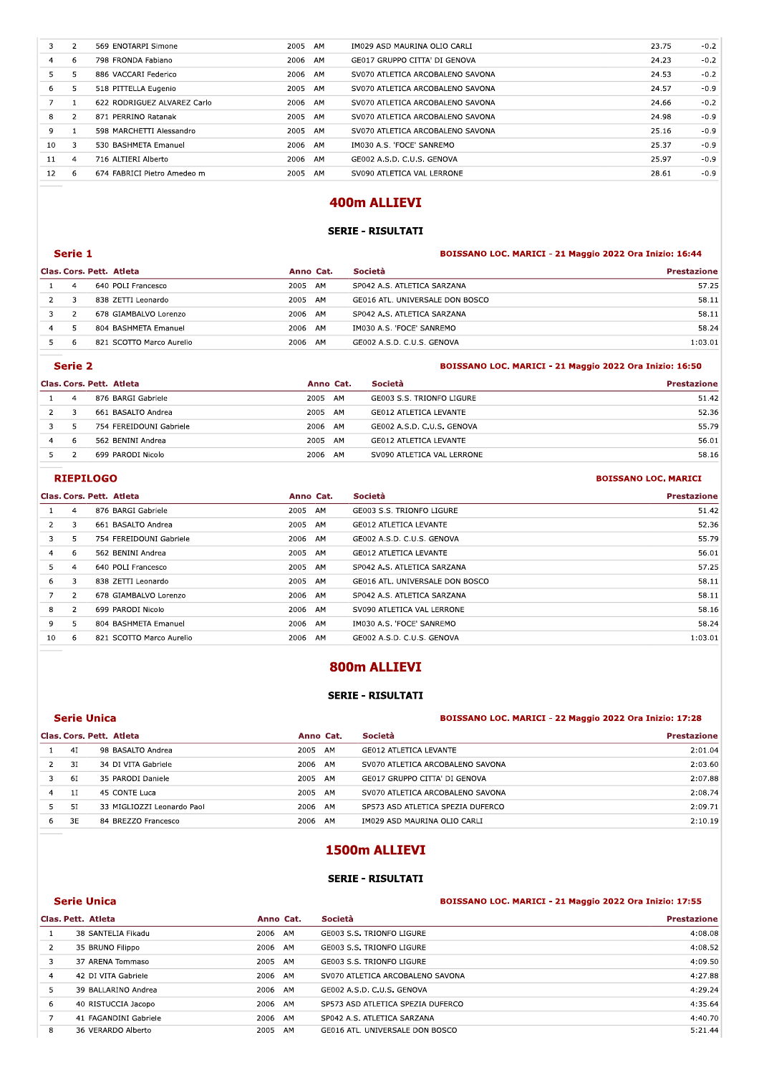| 3  | 2              | 569 ENOTARPI Simone         | 2005 | AM | IM029 ASD MAURINA OLIO CARLI     | 23.75 | $-0.2$ |
|----|----------------|-----------------------------|------|----|----------------------------------|-------|--------|
| 4  | 6              | 798 FRONDA Fabiano          | 2006 | AM | GE017 GRUPPO CITTA' DI GENOVA    | 24.23 | $-0.2$ |
| 5  | 5              | 886 VACCARI Federico        | 2006 | AM | SV070 ATLETICA ARCOBALENO SAVONA | 24.53 | $-0.2$ |
| 6  | 5              | 518 PITTELLA Eugenio        | 2005 | AM | SV070 ATLETICA ARCOBALENO SAVONA | 24.57 | $-0.9$ |
| 7  | 1              | 622 RODRIGUEZ ALVAREZ Carlo | 2006 | AM | SV070 ATLETICA ARCOBALENO SAVONA | 24.66 | $-0.2$ |
| 8  | $\overline{2}$ | 871 PERRINO Ratanak         | 2005 | AM | SV070 ATLETICA ARCOBALENO SAVONA | 24.98 | $-0.9$ |
| 9  | 1              | 598 MARCHETTI Alessandro    | 2005 | AM | SV070 ATLETICA ARCOBALENO SAVONA | 25.16 | $-0.9$ |
| 10 | 3              | 530 BASHMETA Emanuel        | 2006 | AM | IM030 A.S. 'FOCE' SANREMO        | 25.37 | $-0.9$ |
| 11 | $\overline{4}$ | 716 ALTIERI Alberto         | 2006 | AM | GE002 A.S.D. C.U.S. GENOVA       | 25.97 | $-0.9$ |
| 12 | 6              | 674 FABRICI Pietro Amedeo m | 2005 | AM | SV090 ATLETICA VAL LERRONE       | 28.61 | $-0.9$ |
|    |                |                             |      |    |                                  |       |        |
|    |                |                             |      |    | 400m ALLIEVI                     |       |        |
|    |                |                             |      |    |                                  |       |        |
|    |                |                             |      |    | <b>SERIE - RISULTATI</b>         |       |        |
|    |                |                             |      |    |                                  |       |        |

# 400m ALLIEVI

# SERIE - RISULTATI

## **Example 1** BOISSANO LOC. MARICI - 21 Maggio 2022 Ora Inizio: 16:44

|   | <b>SERIE - RISULTATI</b>                                           |                          |           |    |                                 |                                                         |  |  |  |  |
|---|--------------------------------------------------------------------|--------------------------|-----------|----|---------------------------------|---------------------------------------------------------|--|--|--|--|
|   | Serie 1                                                            |                          |           |    |                                 | BOISSANO LOC. MARICI - 21 Maggio 2022 Ora Inizio: 16:44 |  |  |  |  |
|   |                                                                    | Clas. Cors. Pett. Atleta | Anno Cat. |    | Società                         | <b>Prestazione</b>                                      |  |  |  |  |
|   | 4                                                                  | 640 POLI Francesco       | 2005 AM   |    | SP042 A.S. ATLETICA SARZANA     | 57.25                                                   |  |  |  |  |
| 2 | 3                                                                  | 838 ZETTI Leonardo       | 2005 AM   |    | GE016 ATL. UNIVERSALE DON BOSCO | 58.11                                                   |  |  |  |  |
| 3 | $\mathcal{P}$                                                      | 678 GIAMBALVO Lorenzo    | 2006 AM   |    | SP042 A.S. ATLETICA SARZANA     | 58.11                                                   |  |  |  |  |
| 4 | 5.                                                                 | 804 BASHMETA Emanuel     | 2006 AM   |    | IM030 A.S. 'FOCE' SANREMO       | 58.24                                                   |  |  |  |  |
| 5 | 6                                                                  | 821 SCOTTO Marco Aurelio | 2006 AM   |    | GE002 A.S.D. C.U.S. GENOVA      | 1:03.01                                                 |  |  |  |  |
|   | Serie 2<br>BOISSANO LOC. MARICI - 21 Maggio 2022 Ora Inizio: 16:50 |                          |           |    |                                 |                                                         |  |  |  |  |
|   |                                                                    | Clas. Cors. Pett. Atleta | Anno Cat. |    | Società                         | <b>Prestazione</b>                                      |  |  |  |  |
|   | $\overline{4}$                                                     | 876 BARGI Gabriele       | 2005      | AM | GE003 S.S. TRIONFO LIGURE       | 51.42                                                   |  |  |  |  |
| 2 | 3                                                                  | 661 BASALTO Andrea       | 2005 AM   |    | <b>GE012 ATLETICA LEVANTE</b>   | 52.36                                                   |  |  |  |  |

|                |                |                          |            |    |                               | ----                                                    |
|----------------|----------------|--------------------------|------------|----|-------------------------------|---------------------------------------------------------|
| 5.             | 6              | 821 SCOTTO Marco Aurelio | 2006<br>AM |    | GE002 A.S.D. C.U.S. GENOVA    | 1:03.01                                                 |
|                | <b>Serie 2</b> |                          |            |    |                               | BOISSANO LOC. MARICI - 21 Maggio 2022 Ora Inizio: 16:50 |
|                |                | Clas. Cors. Pett. Atleta | Anno Cat.  |    | Società                       | <b>Prestazione</b>                                      |
|                | $\overline{4}$ | 876 BARGI Gabriele       | 2005 AM    |    | GE003 S.S. TRIONFO LIGURE     | 51.42                                                   |
|                | 3              | 661 BASALTO Andrea       | 2005       | AM | GE012 ATLETICA LEVANTE        | 52.36                                                   |
| 3.             | 5.             | 754 FEREIDOUNI Gabriele  | 2006 AM    |    | GE002 A.S.D. C.U.S. GENOVA    | 55.79                                                   |
| $\overline{4}$ | 6              | 562 BENINI Andrea        | 2005       | AM | <b>GE012 ATLETICA LEVANTE</b> | 56.01                                                   |
| 5              | $\mathcal{P}$  | 699 PARODI Nicolo        | 2006       | AM | SV090 ATLETICA VAL LERRONE    | 58.16                                                   |
|                |                | <b>RIEPILOGO</b>         |            |    |                               | <b>BOISSANO LOC. MARICI</b>                             |
|                |                | Clas. Cors. Pett. Atleta | Anno Cat.  |    | <b>Società</b>                | <b>Prestazione</b>                                      |
|                | 4              | 876 BARGI Gabriele       | 2005<br>AM |    | GE003 S.S. TRIONFO LIGURE     | 51.42                                                   |

## **RIEPILOGO** BOISSANO LOC. MARICI

|                |                |                          |           |                                          | -----                       |
|----------------|----------------|--------------------------|-----------|------------------------------------------|-----------------------------|
| 5              | 2              | 699 PARODI Nicolo        | 2006 AM   | SV090 ATLETICA VAL LERRONE               | 58.16                       |
|                |                | <b>RIEPILOGO</b>         |           |                                          | <b>BOISSANO LOC. MARICI</b> |
|                |                | Clas. Cors. Pett. Atleta | Anno Cat. | Società                                  | <b>Prestazione</b>          |
|                | $\overline{4}$ | 876 BARGI Gabriele       | 2005 AM   | GE003 S.S. TRIONFO LIGURE                | 51.42                       |
| $\overline{2}$ | 3              | 661 BASALTO Andrea       | 2005 AM   | <b>GE012 ATLETICA LEVANTE</b>            | 52.36                       |
| 3              | 5              | 754 FEREIDOUNI Gabriele  | 2006 AM   | GE002 A.S.D. C.U.S. GENOVA               | 55.79                       |
| 4              | 6              | 562 BENINI Andrea        | 2005 AM   | <b>GE012 ATLETICA LEVANTE</b>            | 56.01                       |
| 5              | 4              | 640 POLI Francesco       | 2005 AM   | SP042 A.S. ATLETICA SARZANA              | 57.25                       |
| 6              | 3              | 838 ZETTI Leonardo       | 2005 AM   | GE016 ATL. UNIVERSALE DON BOSCO          | 58.11                       |
| 7              | $\overline{2}$ | 678 GIAMBALVO Lorenzo    | 2006 AM   | SP042 A.S. ATLETICA SARZANA              | 58.11                       |
| 8              | 2              | 699 PARODI Nicolo        | 2006 AM   | SV090 ATLETICA VAL LERRONE               | 58.16                       |
| 9              | 5              | 804 BASHMETA Emanuel     | 2006 AM   | IM030 A.S. 'FOCE' SANREMO                | 58.24                       |
| 10             | 6              | 821 SCOTTO Marco Aurelio | 2006 AM   | GE002 A.S.D. C.U.S. GENOVA               | 1:03.01                     |
|                |                |                          |           | 800m ALLIEVI<br><b>SERIE - RISULTATI</b> |                             |

#### **Example 2018 Concerned ABCADGIGCLMD** BOTSSANO LOC. MARICI - 22 Maggio 2022 Ora Inizio: 17:28

|                                                                               | <b>SERIE - RISULTATI</b> |                            |           |  |                                           |                    |  |  |  |
|-------------------------------------------------------------------------------|--------------------------|----------------------------|-----------|--|-------------------------------------------|--------------------|--|--|--|
| <b>Serie Unica</b><br>BOISSANO LOC. MARICI - 22 Maggio 2022 Ora Inizio: 17:28 |                          |                            |           |  |                                           |                    |  |  |  |
|                                                                               |                          | Clas. Cors. Pett. Atleta   | Anno Cat. |  | Società                                   | <b>Prestazione</b> |  |  |  |
|                                                                               | 4I                       | 98 BASALTO Andrea          | 2005 AM   |  | <b>GE012 ATLETICA LEVANTE</b>             | 2:01.04            |  |  |  |
| 2                                                                             | 3I                       | 34 DI VITA Gabriele        | 2006 AM   |  | SV070 ATLETICA ARCOBALENO SAVONA          | 2:03.60            |  |  |  |
| 3                                                                             | 61                       | 35 PARODI Daniele          | 2005 AM   |  | GE017 GRUPPO CITTA' DI GENOVA             | 2:07.88            |  |  |  |
| $\overline{4}$                                                                | 1I                       | 45 CONTE Luca              | 2005 AM   |  | SV070 ATLETICA ARCOBALENO SAVONA          | 2:08.74            |  |  |  |
| 5                                                                             | 51                       | 33 MIGLIOZZI Leonardo Paol | 2006 AM   |  | SP573 ASD ATLETICA SPEZIA DUFERCO         | 2:09.71            |  |  |  |
| 6                                                                             | 3E                       | 84 BREZZO Francesco        | 2006 AM   |  | IM029 ASD MAURINA OLIO CARLI              | 2:10.19            |  |  |  |
|                                                                               |                          |                            |           |  | 1500m ALLIEVI<br><b>SERIE - RISULTATI</b> |                    |  |  |  |

# 1500m ALLIEVI

## SERIE - RISULTATI

|                | <b>Serie Unica</b>    |         |           | BOISSANO LOC. MARICI - 21 Maggio 2022 Ora Inizio: 17:55 |                    |  |
|----------------|-----------------------|---------|-----------|---------------------------------------------------------|--------------------|--|
|                | Clas. Pett. Atleta    |         | Anno Cat. | Società                                                 | <b>Prestazione</b> |  |
| 1              | 38 SANTELIA Fikadu    | 2006 AM |           | GE003 S.S. TRIONFO LIGURE                               | 4:08.08            |  |
| 2              | 35 BRUNO Filippo      | 2006 AM |           | GE003 S.S. TRIONFO LIGURE                               | 4:08.52            |  |
| 3              | 37 ARENA Tommaso      | 2005    | AM        | GE003 S.S. TRIONFO LIGURE                               | 4:09.50            |  |
| 4              | 42 DI VITA Gabriele   | 2006 AM |           | SV070 ATLETICA ARCOBALENO SAVONA                        | 4:27.88            |  |
| 5              | 39 BALLARINO Andrea   | 2006 AM |           | GE002 A.S.D. C.U.S. GENOVA                              | 4:29.24            |  |
| 6              | 40 RISTUCCIA Jacopo   | 2006 AM |           | SP573 ASD ATLETICA SPEZIA DUFERCO                       | 4:35.64            |  |
| $\overline{7}$ | 41 FAGANDINI Gabriele | 2006 AM |           | SP042 A.S. ATLETICA SARZANA                             | 4:40.70            |  |
| 8              | 36 VERARDO Alberto    | 2005    | AM        | GE016 ATL. UNIVERSALE DON BOSCO                         | 5:21.44            |  |
|                |                       |         |           |                                                         |                    |  |
|                |                       |         |           |                                                         |                    |  |
|                |                       |         |           |                                                         |                    |  |
|                |                       |         |           |                                                         |                    |  |
|                |                       |         |           |                                                         |                    |  |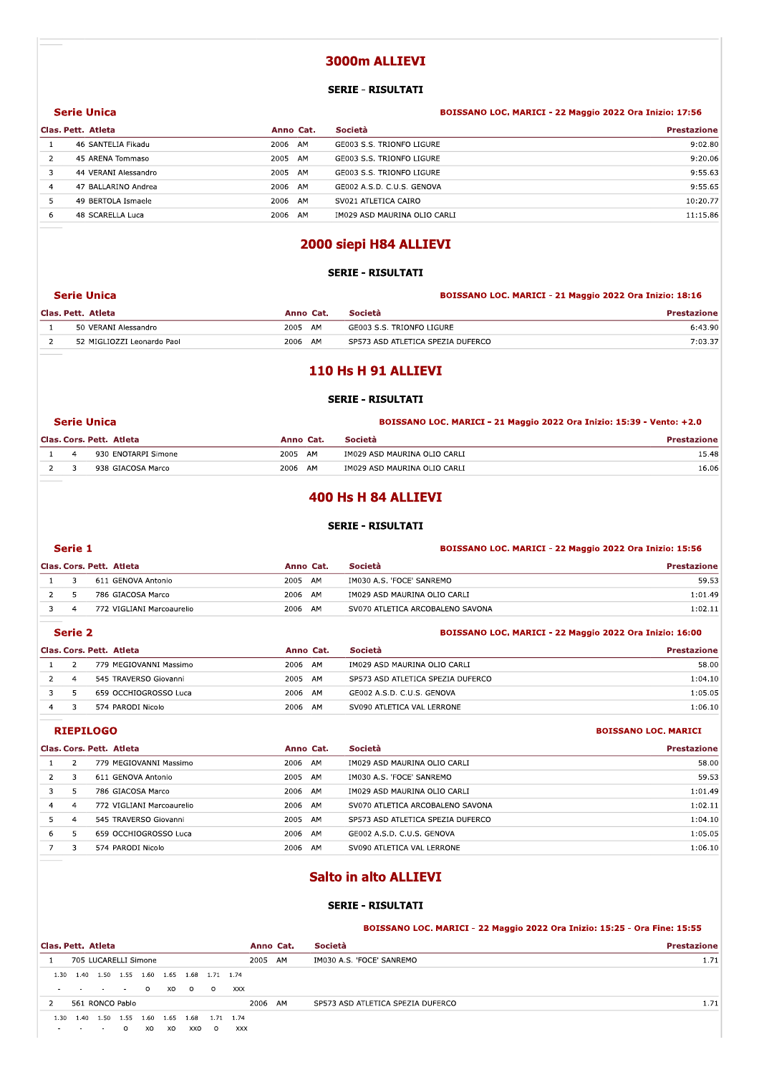# 3000m ALLIEVI

### **SERIE - RISULTATI**

|                | <b>Serie Unica</b>   |            |                              | BOISSANO LOC. MARICI - 22 Maggio 2022 Ora Inizio: 17:56 |
|----------------|----------------------|------------|------------------------------|---------------------------------------------------------|
|                | Clas. Pett. Atleta   | Anno Cat.  | Società                      | <b>Prestazione</b>                                      |
|                | 46 SANTELIA Fikadu   | AM<br>2006 | GE003 S.S. TRIONFO LIGURE    | 9:02.80                                                 |
|                | 45 ARENA Tommaso     | 2005<br>AM | GE003 S.S. TRIONFO LIGURE    | 9:20.06                                                 |
|                | 44 VERANI Alessandro | 2005<br>AM | GE003 S.S. TRIONFO LIGURE    | 9:55.63                                                 |
| $\overline{a}$ | 47 BALLARINO Andrea  | 2006 AM    | GE002 A.S.D. C.U.S. GENOVA   | 9:55.65                                                 |
| 5              | 49 BERTOLA Ismaele   | 2006 AM    | SV021 ATLETICA CAIRO         | 10:20.77                                                |
| 6              | 48 SCARELLA Luca     | 2006<br>AM | IM029 ASD MAURINA OLIO CARLI | 11:15.86                                                |
|                |                      |            |                              |                                                         |

# 2000 siepi H84 ALLIEVI

### **SERIE - RISULTATI**

|  | Serie Unica                |            | BOISSANO LOC. MARICI - 21 Maggio 2022 Ora Inizio: 18:16 |                    |  |
|--|----------------------------|------------|---------------------------------------------------------|--------------------|--|
|  | Clas. Pett. Atleta         | Anno Cat.  | Società                                                 | <b>Prestazione</b> |  |
|  | 50 VERANI Alessandro       | 2005<br>AM | GE003 S.S. TRIONFO LIGURE                               | 6:43.90            |  |
|  | 52 MIGLIOZZI Leonardo Paol | 2006 AM    | SP573 ASD ATLETICA SPEZIA DUFERCO                       | 7:03.37            |  |

# 110 Hs H 91 ALLIEVI

## **SERIE - RISULTATI**

#### BOISSANO LOC. MARICI - 21 Maggio 2022 Ora Inizio: 15:39 - Vento: +2.0

BOISSANO LOC. MARICI - 22 Maggio 2022 Ora Inizio: 15:56

|  | Clas. Cors. Pett. Atleta | Anno Cat.  | <b>Società</b>               | <b>Prestazione</b> |
|--|--------------------------|------------|------------------------------|--------------------|
|  | 930 ENOTARPI Simone      | 2005<br>AM | IM029 ASD MAURINA OLIO CARLI | 15.48              |
|  | 938 GIACOSA Marco        | 2006 AM    | IM029 ASD MAURINA OLIO CARLI | 16.06              |

# 400 Hs H 84 ALLIEVI

## **SERIE - RISULTATI**

#### Serie 1

**Serie Unica** 

|  | Clas. Cors. Pett. Atleta  | Anno Cat.    | Società                          | <b>Prestazione</b> |
|--|---------------------------|--------------|----------------------------------|--------------------|
|  | 611 GENOVA Antonio        | 2005<br>- AM | IM030 A.S. 'FOCE' SANREMO        | 59.53              |
|  | 786 GIACOSA Marco         | 2006<br>AM   | IM029 ASD MAURINA OLIO CARLI     | 1:01.49            |
|  | 772 VIGLIANI Marcoaurelio | 2006<br>AM   | SV070 ATLETICA ARCOBALENO SAVONA | 1:02.11            |

|   | Serie 2 |                          |            |                                   | BOISSANO LOC. MARICI - 22 Maggio 2022 Ora Inizio: 16:00 |
|---|---------|--------------------------|------------|-----------------------------------|---------------------------------------------------------|
|   |         | Clas. Cors. Pett. Atleta | Anno Cat.  | Società                           | <b>Prestazione</b>                                      |
|   |         | 779 MEGIOVANNI Massimo   | 2006<br>AM | IM029 ASD MAURINA OLIO CARLI      | 58.00                                                   |
|   |         | 545 TRAVERSO Giovanni    | AM<br>2005 | SP573 ASD ATLETICA SPEZIA DUFERCO | 1:04.10                                                 |
|   |         | 659 OCCHIOGROSSO Luca    | 2006<br>AM | GE002 A.S.D. C.U.S. GENOVA        | 1:05.05                                                 |
| 4 |         | 574 PARODI Nicolo        | 2006<br>AM | SV090 ATLETICA VAL LERRONE        | 1:06.10                                                 |
|   |         |                          |            |                                   |                                                         |

### **RIEPILOGO**

## **BOISSANO LOC. MARICI**

|   |                | Clas. Cors. Pett. Atleta  | Anno Cat.  | Società                           | <b>Prestazione</b> |
|---|----------------|---------------------------|------------|-----------------------------------|--------------------|
|   |                | 779 MEGIOVANNI Massimo    | 2006<br>AM | IM029 ASD MAURINA OLIO CARLI      | 58.00              |
|   |                | 611 GENOVA Antonio        | 2005<br>AM | IM030 A.S. 'FOCE' SANREMO         | 59.53              |
|   |                | 786 GIACOSA Marco         | 2006<br>AM | IM029 ASD MAURINA OLIO CARLI      | 1:01.49            |
| 4 | 4              | 772 VIGLIANI Marcoaurelio | 2006<br>AM | SV070 ATLETICA ARCOBALENO SAVONA  | 1:02.11            |
|   | $\overline{a}$ | 545 TRAVERSO Giovanni     | 2005 AM    | SP573 ASD ATLETICA SPEZIA DUFERCO | 1:04.10            |
| 6 |                | 659 OCCHIOGROSSO Luca     | 2006<br>AM | GE002 A.S.D. C.U.S. GENOVA        | 1:05.05            |
|   |                | 574 PARODI Nicolo         | 2006<br>AM | SV090 ATLETICA VAL LERRONE        | 1:06.10            |
|   |                |                           |            |                                   |                    |

# **Salto in alto ALLIEVI**

### **SERIE - RISULTATI**

BOISSANO LOC. MARICI - 22 Maggio 2022 Ora Inizio: 15:25 - Ora Fine: 15:55

| Clas. Pett. Atleta |                                      |                      |      |         |      |                          |           |            |      | Anno Cat. | Società                           | <b>Prestazione</b> |
|--------------------|--------------------------------------|----------------------|------|---------|------|--------------------------|-----------|------------|------|-----------|-----------------------------------|--------------------|
|                    |                                      | 705 LUCARELLI Simone |      |         |      |                          |           |            | 2005 | AM        | IM030 A.S. 'FOCE' SANREMO         | 1.71               |
| 1.30               | 1.40                                 |                      |      |         |      | 1.50 1.55 1.60 1.65 1.68 | 1.71 1.74 |            |      |           |                                   |                    |
| $\sim$             | the company's state of the company's |                      |      | $\circ$ |      | xo o                     | $\circ$   | <b>XXX</b> |      |           |                                   |                    |
|                    |                                      | 561 RONCO Pablo      |      |         |      |                          |           |            | 2006 | AM        | SP573 ASD ATLETICA SPEZIA DUFERCO | 1.71               |
| 1.30               | .40                                  | 1.50                 | 1.55 | 1.60    | 1.65 | 1.68                     | 1.71      | 1.74       |      |           |                                   |                    |

 $\circ$ xo xo XXO O xxx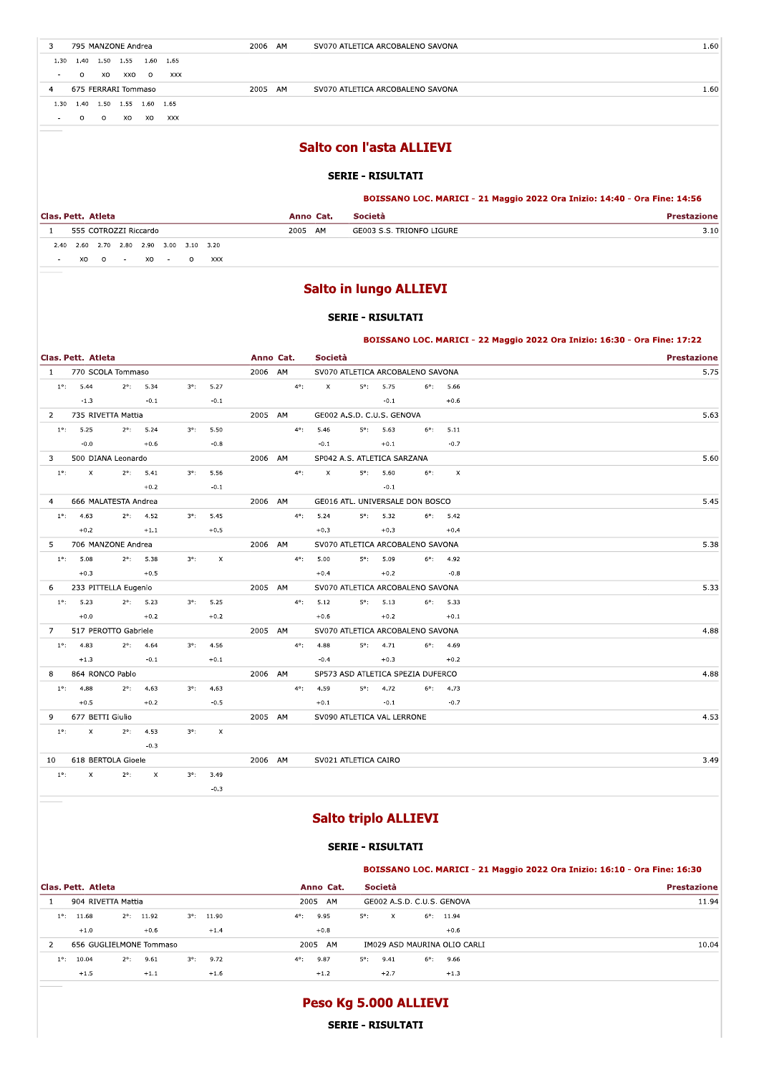3 795 MANZONE Andrea

 $1.30 \qquad 1.40 \qquad 1.50 \qquad 1.55 \qquad 1.60 \qquad 1.65$ 

 $\sim$  0 x0 xx0 0 xxx

4 675 FERRARI Tommaso

1.30  $1.40$   $1.50$   $1.55$   $1.60$   $1.65$ 

 $\overline{\phantom{a}}$  .  $\overline{\phantom{a}}$  0 0 x0 x0 xxx

## **Salto con l'asta ALLIEVI**

SV070 ATLETICA ARCOBALENO SAVONA

SV070 ATLETICA ARCOBALENO SAVONA

2006 AM

2005 AM

### **SERIE - RISULTATI**

#### BOISSANO LOC. MARICI - 21 Maggio 2022 Ora Inizio: 14:40 - Ora Fine: 14:56

|      | Clas. Pett. Atleta                 | Anno Cat.  | Società                   | restazione |
|------|------------------------------------|------------|---------------------------|------------|
|      | 555 COTROZZI Riccardo              | 2005<br>AM | GE003 S.S. TRIONFO LIGURE |            |
| 2.40 | 2.60 2.70 2.80 2.90 3.00 3.10 3.20 |            |                           |            |

 $XO$   $O$  -  $XO$  -  $O$   $XXX$ 

# **Salto in lungo ALLIEVI**

## **SERIE - RISULTATI**

BOISSANO LOC. MARICI - 22 Maggio 2022 Ora Inizio: 16:30 - Ora Fine: 17:22

|             |               | Clas. Pett. Atleta                 |                    |                    |             |                    | Anno Cat. |               | Società                           |                    |                    |                    | <b>Prestazione</b> |
|-------------|---------------|------------------------------------|--------------------|--------------------|-------------|--------------------|-----------|---------------|-----------------------------------|--------------------|--------------------|--------------------|--------------------|
|             |               | 1 770 SCOLA Tommaso                |                    |                    |             |                    | 2006 AM   |               | SV070 ATLETICA ARCOBALENO SAVONA  |                    |                    |                    | 5.75               |
|             |               | $1^{\circ}$ : 5.44                 |                    | $2^{\circ}$ : 5.34 | $3^\circ$ : | 5.27               |           | $4^{\circ}$ : | $\mathbf{x}$ and $\mathbf{x}$     | $5^{\circ}$ : 5.75 |                    | $6^{\circ}$ : 5.66 |                    |
|             |               | $-1.3$                             |                    | $-0.1$             |             | $-0.1$             |           |               |                                   | $-0.1$             | $+0.6$             |                    |                    |
|             |               | 2 735 RIVETTA Mattia               |                    |                    |             |                    | 2005 AM   |               | GE002 A.S.D. C.U.S. GENOVA        |                    |                    |                    | 5.63               |
|             |               | $1^{\circ}$ : 5.25                 |                    | $2^{\circ}$ : 5.24 | $3^\circ$ : | 5.50               |           | $4^{\circ}$ : | 5.46                              | $5^{\circ}$ : 5.63 |                    | $6^{\circ}$ : 5.11 |                    |
|             |               | $-0.0$                             |                    | $+0.6$             |             | $-0.8$             |           |               | $-0.1$                            | $+0.1$             |                    | $-0.7$             |                    |
| $3^{\circ}$ |               | 500 DIANA Leonardo                 |                    |                    |             |                    | 2006 AM   |               | SP042 A.S. ATLETICA SARZANA       |                    |                    |                    | 5.60               |
|             |               | $1^{\circ}$ : X $2^{\circ}$ : 5.41 |                    |                    | $3^\circ$ : | 5.56               |           |               | $4^{\circ}$ : $X$                 | $5^{\circ}$ : 5.60 | $6^{\circ}$ :      | $\mathbf{x}$       |                    |
|             |               |                                    |                    | $+0.2$             |             | $-0.1$             |           |               |                                   | $-0.1$             |                    |                    |                    |
|             |               | 4 666 MALATESTA Andrea             |                    |                    |             |                    | 2006 AM   |               | GE016 ATL. UNIVERSALE DON BOSCO   |                    |                    |                    | 5.45               |
|             |               | $1^{\circ}$ : 4.63                 |                    | $2^{\circ}$ : 4.52 |             | $3^{\circ}$ : 5.45 |           |               | $4^{\circ}$ : 5.24                | $5^{\circ}$ : 5.32 |                    | $6^{\circ}$ : 5.42 |                    |
|             |               | $+0.2$                             | $+1.1$             |                    |             | $+0.5$             |           |               | $+0.3$                            | $+0.3$             | $+0.4$             |                    |                    |
|             |               | 5 706 MANZONE Andrea               |                    |                    |             |                    | 2006 AM   |               | SV070 ATLETICA ARCOBALENO SAVONA  |                    |                    |                    | 5.38               |
|             |               | $1^{\circ}$ : 5.08                 |                    | $2^{\circ}$ : 5.38 | $3^\circ$ : | $\mathsf{X}$       |           | $4^{\circ}$ : | 5.00                              | $5^{\circ}$ : 5.09 |                    | $6^{\circ}$ : 4.92 |                    |
|             |               | $+0.3$                             | $+0.5$             |                    |             |                    |           |               | $+0.4$                            | $+0.2$             | $-0.8$             |                    |                    |
|             |               | 6 233 PITTELLA Eugenio             |                    |                    |             |                    | 2005 AM   |               | SV070 ATLETICA ARCOBALENO SAVONA  |                    |                    |                    | 5.33               |
|             |               | $1^{\circ}$ : 5.23                 | $2^{\circ}$ : 5.23 |                    |             | $3^{\circ}$ : 5.25 |           |               | $4^{\circ}$ : 5.12                | $5^{\circ}$ : 5.13 | $6^{\circ}$ : 5.33 |                    |                    |
|             |               | $+0.0$                             |                    | $+0.2$             |             | $+0.2$             |           |               | $+0.6$                            | $+0.2$             |                    | $+0.1$             |                    |
|             |               | 7 517 PEROTTO Gabriele             |                    |                    |             |                    | 2005 AM   |               | SV070 ATLETICA ARCOBALENO SAVONA  |                    |                    |                    | 4.88               |
|             |               | $1^{\circ}$ : 4.83                 |                    | $2^{\circ}$ : 4.64 |             | $3^{\circ}$ : 4.56 |           | $4^{\circ}$ : | 4.88                              | $5^{\circ}$ : 4.71 |                    | $6^{\circ}$ : 4.69 |                    |
|             |               | $+1.3$                             |                    | $-0.1$             |             | $+0.1$             |           |               | $-0.4$                            |                    | $+0.3$ $+0.2$      |                    |                    |
| 8           |               | 864 RONCO Pablo                    |                    |                    |             |                    | 2006 AM   |               | SP573 ASD ATLETICA SPEZIA DUFERCO |                    |                    |                    | 4.88               |
|             |               | $1^{\circ}$ : 4.88                 |                    | $2^{\circ}$ : 4.63 | $3^\circ$ : | 4.63               |           | $4^{\circ}$ : | 4.59                              | $5^{\circ}$ : 4.72 |                    | $6^{\circ}$ : 4.73 |                    |
|             |               | $+0.5$                             |                    | $+0.2$             |             | $-0.5$             |           |               | $+0.1$                            |                    | $-0.1$ $-0.7$      |                    |                    |
| 9           |               | 677 BETTI Giulio                   |                    |                    |             |                    | 2005 AM   |               | SV090 ATLETICA VAL LERRONE        |                    |                    |                    | 4.53               |
|             |               | $1^{\circ}$ : X                    |                    | $2^{\circ}$ : 4.53 | $3^\circ$ : | $\mathsf{X}$       |           |               |                                   |                    |                    |                    |                    |
|             |               |                                    |                    | $-0.3$             |             |                    |           |               |                                   |                    |                    |                    |                    |
|             |               | 10 618 BERTOLA Gioele              |                    |                    |             |                    | 2006 AM   |               | SV021 ATLETICA CAIRO              |                    |                    |                    | 3.49               |
|             | $1^{\circ}$ : | $\mathbf{x}$ .                     | $2^{\circ}$ :      | $\mathbf{x}$       |             | $3^{\circ}$ : 3.49 |           |               |                                   |                    |                    |                    |                    |
|             |               |                                    |                    |                    |             | $-0.3$             |           |               |                                   |                    |                    |                    |                    |

# **Salto triplo ALLIEVI**

## **SERIE - RISULTATI**

|               |                         |               |                     |             |                     |               |           |             |         |               |                              | BOISSANO LOC. MARICI - 21 Maggio 2022 Ora Inizio: 16:10 - Ora Fine: 16:30 |
|---------------|-------------------------|---------------|---------------------|-------------|---------------------|---------------|-----------|-------------|---------|---------------|------------------------------|---------------------------------------------------------------------------|
|               | Clas. Pett. Atleta      |               |                     |             |                     |               | Anno Cat. |             | Società |               |                              | <b>Prestazione</b>                                                        |
|               | 904 RIVETTA Mattia      |               |                     |             |                     | 2005          | AM        |             |         |               | GE002 A.S.D. C.U.S. GENOVA   | 11.94                                                                     |
| $1^{\circ}$ : | 11.68                   |               | $2^{\circ}$ : 11.92 |             | $3^{\circ}$ : 11.90 | $4^{\circ}$ : | 9.95      | $5^\circ$ : | X.      |               | $6^{\circ}$ : 11.94          |                                                                           |
|               | $+1.0$                  |               | $+0.6$              |             | $+1.4$              |               | $+0.8$    |             |         |               | $+0.6$                       |                                                                           |
|               | 656 GUGLIELMONE Tommaso |               |                     |             |                     | 2005          | AM        |             |         |               | IM029 ASD MAURINA OLIO CARLI | 10.04                                                                     |
| $1^{\circ}$ : | 10.04                   | $2^{\circ}$ : | 9.61                | $3^\circ$ : | 9.72                | $4^{\circ}$ : | 9.87      | $5^\circ$ : | 9.41    | $6^{\circ}$ : | 9.66                         |                                                                           |
|               | $+1.5$                  |               | $+1.1$              |             | $+1.6$              |               | $+1.2$    |             | $+2.7$  |               | $+1.3$                       |                                                                           |

Peso Kg 5.000 ALLIEVI

**SERIE - RISULTATI** 

1.60

1.60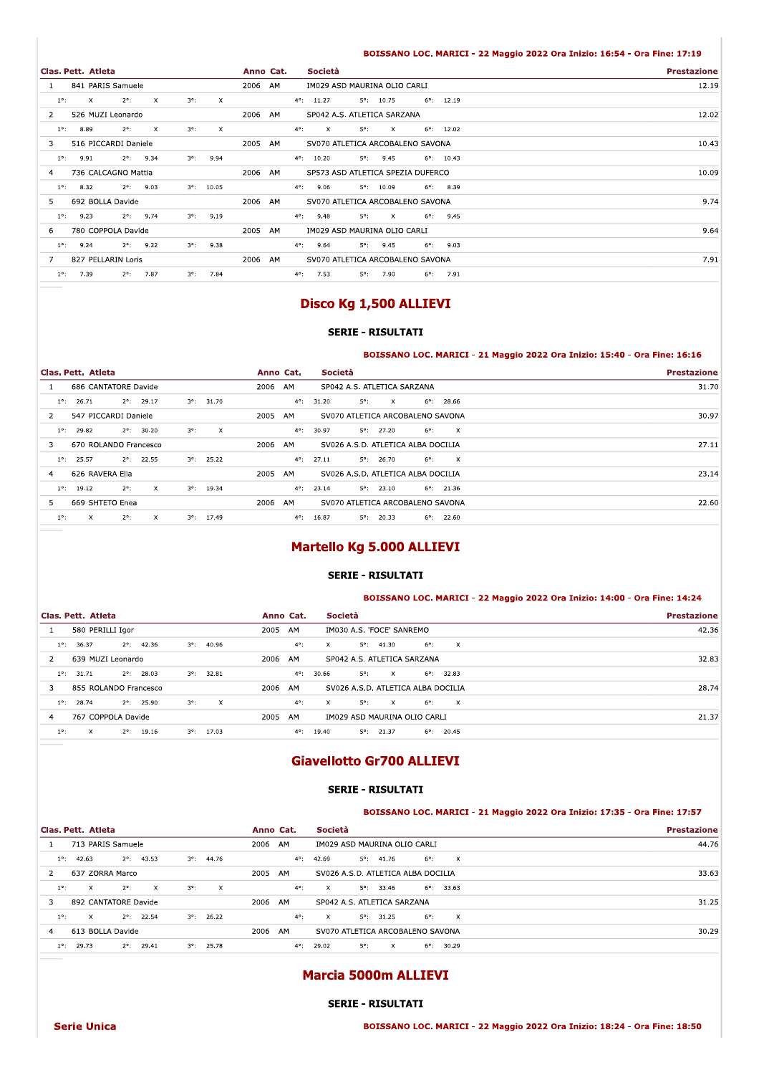#### BOISSANO LOC. MARICI - 22 Maggio 2022 Ora Inizio: 16:54 - Ora Fine: 17:19

| Clas. Pett. Atleta                                                                                                      | Anno Cat. | Società                                                                           | <b>Prestazione</b> |
|-------------------------------------------------------------------------------------------------------------------------|-----------|-----------------------------------------------------------------------------------|--------------------|
| 841 PARIS Samuele                                                                                                       | 2006 AM   | IM029 ASD MAURINA OLIO CARLI                                                      | 12.19              |
| $2^{\circ}$ :<br>$\boldsymbol{\mathsf{x}}$<br>$3^\circ$ :<br>$\mathsf{X}$<br>$\boldsymbol{\mathsf{x}}$<br>$1^{\circ}$ : |           | $4^{\circ}$ : 11.27<br>$5^\circ$ : 10.75<br>$6^{\circ}$ : 12.19                   |                    |
| 526 MUZI Leonardo<br>$\overline{2}$                                                                                     | 2006 AM   | SP042 A.S. ATLETICA SARZANA                                                       | 12.02              |
| 8.89<br>$2^{\circ}$ :<br>$\boldsymbol{\mathsf{x}}$<br>$3^\circ$ :<br>$\times$<br>$1^{\circ}$ :                          |           | $\mathsf{X}$<br>$5^\circ$ :<br>$\mathsf{X}$<br>$6^{\circ}$ : 12.02<br>$4^\circ$ : |                    |
| 516 PICCARDI Daniele<br>3                                                                                               | 2005 AM   | SV070 ATLETICA ARCOBALENO SAVONA                                                  | 10.43              |
| $2^{\circ}$ : 9.34<br>9.91<br>$3^\circ$ :<br>9.94<br>$1^\circ$ :                                                        |           | $4^{\circ}$ : 10.20<br>$5^{\circ}$ : 9.45<br>$6^{\circ}$ : 10.43                  |                    |
| 736 CALCAGNO Mattia<br>4                                                                                                | 2006 AM   | SP573 ASD ATLETICA SPEZIA DUFERCO                                                 | 10.09              |
| 8.32<br>$2^{\circ}$ : 9.03<br>$3^{\circ}$ : 10.05<br>$1^\circ$ :                                                        |           | 9.06<br>$5^{\circ}$ : 10.09<br>$6^{\circ}$ : 8.39<br>$4^{\circ}$ :                |                    |
| 692 BOLLA Davide<br>5                                                                                                   | 2006 AM   | SV070 ATLETICA ARCOBALENO SAVONA                                                  | 9.74               |
| $2^{\circ}$ : 9.74<br>9.23<br>$3^{\circ}$ : 9.19<br>$1^\circ$ :                                                         |           | $4^{\circ}$ : 9.48<br>$5^\circ$ :<br>$\mathsf{X}$<br>$6^{\circ}$ : 9.45           |                    |
| 780 COPPOLA Davide<br>6                                                                                                 | 2005 AM   | IM029 ASD MAURINA OLIO CARLI                                                      | 9.64               |
| $2^{\circ}$ : 9.22<br>9.24<br>$3^{\circ}$ : 9.38<br>$1^{\circ}$ :                                                       |           | $4^{\circ}$ : 9.64<br>$6^{\circ}$ : 9.03<br>$5^{\circ}$ : 9.45                    |                    |
| 827 PELLARIN Loris<br>7                                                                                                 | 2006 AM   | SV070 ATLETICA ARCOBALENO SAVONA                                                  | 7.91               |
| 7.39<br>$2^{\circ}$ : 7.87<br>$3^{\circ}$ : 7.84<br>$1^{\circ}$ :                                                       |           | $4^{\circ}$ : 7.53<br>$5^{\circ}$ : 7.90<br>$6^{\circ}$ : 7.91                    |                    |

# Disco Kg 1,500 ALLIEVI

## SERIE - RISULTATI

#### BOISSANO LOC. MARICI - 21 Maggio 2022 Ora Inizio: 15:40 - Ora Fine: 16:16

|                                                                                       | BOISSANO LOC. MARICI - 21 Maggio 2022 Ora Inizio: 15:40 - Ora Fine: 16:16    |                    |
|---------------------------------------------------------------------------------------|------------------------------------------------------------------------------|--------------------|
| Clas. Pett. Atleta                                                                    | Società<br>Anno Cat.                                                         | <b>Prestazione</b> |
| 686 CANTATORE Davide                                                                  | 2006 AM<br>SP042 A.S. ATLETICA SARZANA                                       | 31.70              |
| $2^{\circ}$ : 29.17<br>26.71<br>$3^{\circ}$ : 31.70<br>$1^\circ$ :                    | $4^{\circ}$ :<br>31.20<br>$5^\circ$ :<br>$6^{\circ}$ : 28.66<br>$\mathbf{x}$ |                    |
| 547 PICCARDI Daniele<br>2                                                             | 2005 AM<br>SV070 ATLETICA ARCOBALENO SAVONA                                  | 30.97              |
| $2^{\circ}$ : 30.20<br>$3^\circ$ :<br>$1^{\circ}$ :<br>29.82<br>$\mathsf{x}$          | $5^{\circ}$ : 27.20<br>$4^{\circ}$ :<br>30.97<br>$6^{\circ}$ : X             |                    |
| 670 ROLANDO Francesco<br>3                                                            | 2006 AM<br>SV026 A.S.D. ATLETICA ALBA DOCILIA                                | 27.11              |
| 25.57<br>$2^{\circ}$ : 22.55<br>$3^{\circ}$ : 25.22<br>$1^{\circ}$ :                  | $6^{\circ}$ : X<br>$4^{\circ}$ :<br>27.11<br>$5^{\circ}$ : 26.70             |                    |
| 626 RAVERA Elia<br>$\overline{4}$                                                     | 2005 AM<br>SV026 A.S.D. ATLETICA ALBA DOCILIA                                | 23.14              |
| $2^{\circ}$ :<br>$\mathsf{X}$<br>$1^{\circ}$ : 19.12<br>$3^{\circ}$ : 19.34           | $4^{\circ}$ : 23.14<br>$5^{\circ}$ : 23.10<br>$6^{\circ}$ : 21.36            |                    |
| 669 SHTETO Enea<br>5                                                                  | 2006 AM<br>SV070 ATLETICA ARCOBALENO SAVONA                                  | 22.60              |
| $\mathbf{x}$<br>$2^{\circ}$ :<br>$1^{\circ}$ :<br>$\mathsf{X}$<br>$3^{\circ}$ : 17.49 | $4^{\circ}$ : 16.87<br>$5^{\circ}$ : 20.33<br>$6^{\circ}$ : 22.60            |                    |
|                                                                                       |                                                                              |                    |

# Martello Kg 5.000 ALLIEVI

### SERIE - RISULTATI

#### BOISSANO LOC. MARICI - 22 Maggio 2022 Ora Inizio: 14:00 - Ora Fine: 14:24

|                                                                              | BOISSANO LOC. MARICI - 22 Maggio 2022 Ora Inizio: 14:00 - Ora Fine: 14:24             |                    |
|------------------------------------------------------------------------------|---------------------------------------------------------------------------------------|--------------------|
| Clas. Pett. Atleta                                                           | Società<br>Anno Cat.                                                                  | <b>Prestazione</b> |
| 580 PERILLI Igor                                                             | IM030 A.S. 'FOCE' SANREMO<br>2005 AM                                                  | 42.36              |
| $2^{\circ}$ : 42.36<br>$3^{\circ}$ : 40.96<br>$1^{\circ}$ :<br>36.37         | $4^{\circ}$ :<br>$6^{\circ}$ :<br>$\mathbf{x}$<br>$\mathbf{x}$<br>$5^{\circ}$ : 41.30 |                    |
| 639 MUZI Leonardo<br>2                                                       | 2006 AM<br>SP042 A.S. ATLETICA SARZANA                                                | 32.83              |
| $2^{\circ}$ : 28.03<br>$3^{\circ}$ : 32.81<br>$1^{\circ}$ :<br>31.71         | $6^{\circ}$ : 32.83<br>$4^{\circ}$ :<br>30.66<br>$5^\circ$ : X                        |                    |
| 855 ROLANDO Francesco<br>3                                                   | 2006 AM<br>SV026 A.S.D. ATLETICA ALBA DOCILIA                                         | 28.74              |
| 28.74<br>$2^{\circ}$ : 25.90<br>$3^\circ$ :<br>$\mathsf{x}$<br>$1^{\circ}$ : | $4^{\circ}$ :<br>$5^\circ$ :<br>$6^{\circ}$ : X<br>$\mathbf{x}$<br>$\mathsf{X}$       |                    |
| 767 COPPOLA Davide<br>4                                                      | 2005<br>AM<br>IM029 ASD MAURINA OLIO CARLI                                            | 21.37              |
| $3^{\circ}$ : 17.03<br>$2^{\circ}$ : 19.16<br>$1^\circ$ :<br>$\mathsf{X}$    | $6^{\circ}$ : 20.45<br>$4^{\circ}$ : 19.40<br>$5^{\circ}$ : 21.37                     |                    |
| ___                                                                          |                                                                                       |                    |

# Giavellotto Gr700 ALLIEVI

## SERIE - RISULTATI

#### BOISSANO LOC. MARICI - 21 Maggio 2022 Ora Inizio: 17:35 - Ora Fine: 17:57

|                                                                                               | BOISSANO LOC. MARICI - 21 Maggio 2022 Ora Inizio: 17:35 - Ora Fine: 17:57             |                    |
|-----------------------------------------------------------------------------------------------|---------------------------------------------------------------------------------------|--------------------|
| Clas. Pett. Atleta                                                                            | Società<br>Anno Cat.                                                                  | <b>Prestazione</b> |
| 713 PARIS Samuele                                                                             | 2006 AM<br>IM029 ASD MAURINA OLIO CARLI                                               | 44.76              |
| $2^{\circ}$ : 43.53<br>$3^{\circ}$ : 44.76<br>$1^{\circ}$ : 42.63                             | $6^{\circ}$ :<br>$\mathsf{X}$<br>$4^{\circ}$ : 42.69<br>$5^{\circ}$ : 41.76           |                    |
| 637 ZORRA Marco<br>$\overline{2}$                                                             | SV026 A.S.D. ATLETICA ALBA DOCILIA<br>2005 AM                                         | 33.63              |
| $2^{\circ}$ :<br>$3^\circ$ :<br>$1^{\circ}$ :<br>$\mathbf{x}$<br>$\mathsf{X}$<br>$\mathsf{X}$ | $6^{\circ}$ : 33.63<br>$4^{\circ}$ :<br>$5^{\circ}$ : 33.46<br>$\mathbf{x}$           |                    |
| 892 CANTATORE Davide<br>3                                                                     | 2006 AM<br>SP042 A.S. ATLETICA SARZANA                                                | 31.25              |
| $1^{\circ}$ :<br>$\mathbf{x}$<br>$2^{\circ}$ : 22.54<br>$3^{\circ}$ : 26.22                   | $6^{\circ}$ :<br>$\mathbf{x}$<br>$4^{\circ}$ :<br>$5^{\circ}$ : 31.25<br>$\mathsf{X}$ |                    |
| 613 BOLLA Davide<br>$\overline{4}$                                                            | 2006 AM<br>SV070 ATLETICA ARCOBALENO SAVONA                                           | 30.29              |
| $1^\circ$ :<br>29.73<br>$2^{\circ}$ : 29.41<br>$3^{\circ}$ : 25.78                            | $4^{\circ}$ : 29.02<br>$6^{\circ}$ : 30.29<br>$5^\circ$ :<br>$\mathbf{X}$             |                    |

# Marcia 5000m ALLIEVI

SERIE - RISULTATI

55ANO LOC. MARICI - 22 Maggio 2022 Ora Inizio: 18:24 - Ora Fine: 18:50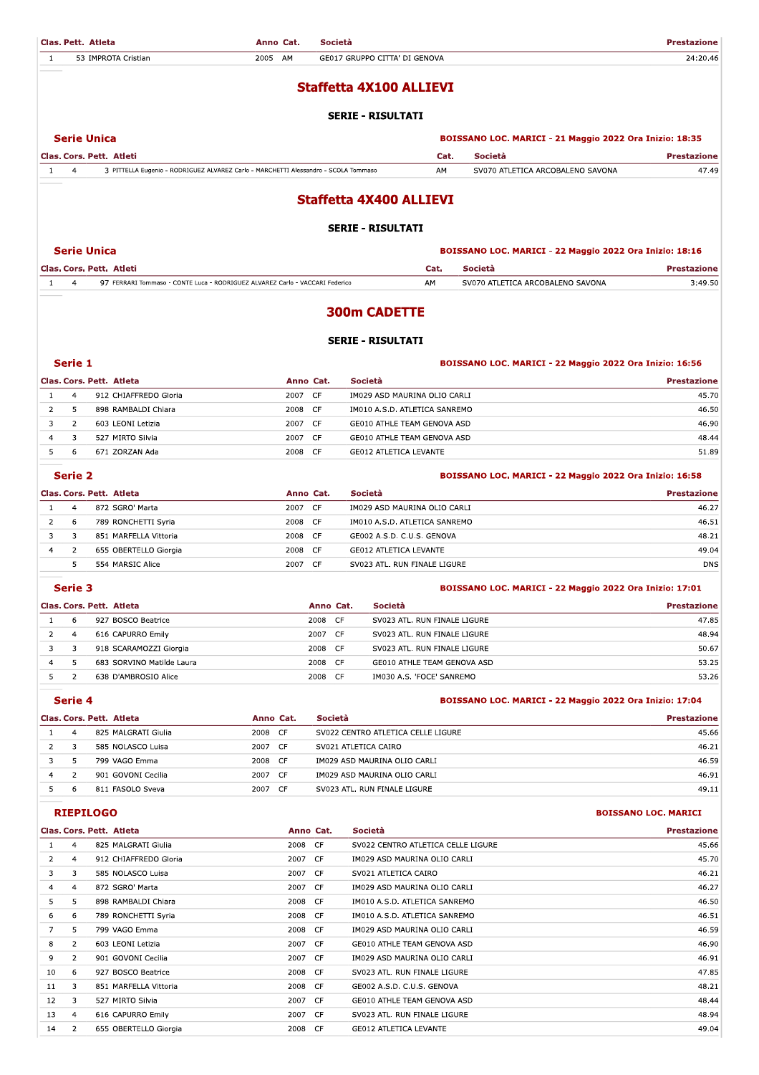| 1                              |                                  | Clas. Pett. Atleta<br>53 IMPROTA Cristian                                           | Anno Cat.<br>2005 AM  |                 | Società | GE017 GRUPPO CITTA' DI GENOVA                                |         |                                                         | <b>Prestazione</b><br>24:20.46 |
|--------------------------------|----------------------------------|-------------------------------------------------------------------------------------|-----------------------|-----------------|---------|--------------------------------------------------------------|---------|---------------------------------------------------------|--------------------------------|
|                                |                                  |                                                                                     |                       |                 |         |                                                              |         |                                                         |                                |
|                                |                                  |                                                                                     |                       |                 |         | <b>Staffetta 4X100 ALLIEVI</b>                               |         |                                                         |                                |
|                                |                                  |                                                                                     |                       |                 |         | <b>SERIE - RISULTATI</b>                                     |         |                                                         |                                |
|                                |                                  | <b>Serie Unica</b>                                                                  |                       |                 |         |                                                              |         | BOISSANO LOC. MARICI - 21 Maggio 2022 Ora Inizio: 18:35 |                                |
|                                |                                  | Clas. Cors. Pett. Atleti                                                            |                       |                 |         | Cat.                                                         |         | Società                                                 | <b>Prestazione</b>             |
| 1                              | $\overline{4}$                   | 3 PITTELLA Eugenio - RODRIGUEZ ALVAREZ Carlo - MARCHETTI Alessandro - SCOLA Tommaso |                       |                 |         | AM                                                           |         | SV070 ATLETICA ARCOBALENO SAVONA                        | 47.49                          |
|                                |                                  |                                                                                     |                       |                 |         | <b>Staffetta 4X400 ALLIEVI</b>                               |         |                                                         |                                |
|                                |                                  |                                                                                     |                       |                 |         | <b>SERIE - RISULTATI</b>                                     |         |                                                         |                                |
|                                |                                  | <b>Serie Unica</b>                                                                  |                       |                 |         |                                                              |         | BOISSANO LOC. MARICI - 22 Maggio 2022 Ora Inizio: 18:16 |                                |
|                                |                                  | Clas. Cors. Pett. Atleti                                                            |                       |                 |         | Cat.                                                         | Società |                                                         | <b>Prestazione</b>             |
| 1                              | 4                                | 97 FERRARI Tommaso - CONTE Luca - RODRIGUEZ ALVAREZ Carlo - VACCARI Federico        |                       |                 |         | AM                                                           |         | SV070 ATLETICA ARCOBALENO SAVONA                        | 3:49.50                        |
|                                |                                  |                                                                                     |                       |                 |         | <b>300m CADETTE</b>                                          |         |                                                         |                                |
|                                |                                  |                                                                                     |                       |                 |         | <b>SERIE - RISULTATI</b>                                     |         |                                                         |                                |
|                                | Serie 1                          |                                                                                     |                       |                 |         |                                                              |         | BOISSANO LOC. MARICI - 22 Maggio 2022 Ora Inizio: 16:56 |                                |
|                                |                                  | Clas. Cors. Pett. Atleta                                                            |                       | Anno Cat.       |         | Società                                                      |         |                                                         | <b>Prestazione</b>             |
| $\mathbf{1}$<br>$\overline{2}$ | $\overline{4}$                   | 912 CHIAFFREDO Gloria                                                               | 2007 CF<br>2008 CF    |                 |         | IM029 ASD MAURINA OLIO CARLI                                 |         |                                                         | 45.70                          |
| 3                              | 5<br>$\overline{2}$              | 898 RAMBALDI Chiara<br>603 LEONI Letizia                                            | 2007 CF               |                 |         | IM010 A.S.D. ATLETICA SANREMO<br>GE010 ATHLE TEAM GENOVA ASD |         |                                                         | 46.50<br>46.90                 |
| 4                              | 3                                | 527 MIRTO Silvia                                                                    | 2007 CF               |                 |         | GE010 ATHLE TEAM GENOVA ASD                                  |         |                                                         | 48.44                          |
| 5                              | 6                                | 671 ZORZAN Ada                                                                      | 2008                  | CF              |         | <b>GE012 ATLETICA LEVANTE</b>                                |         |                                                         | 51.89                          |
|                                | Serie 2                          |                                                                                     |                       |                 |         |                                                              |         | BOISSANO LOC. MARICI - 22 Maggio 2022 Ora Inizio: 16:58 |                                |
|                                |                                  | Clas. Cors. Pett. Atleta                                                            |                       | Anno Cat.       |         | Società                                                      |         |                                                         | <b>Prestazione</b>             |
| $\mathbf{1}$                   | $\overline{4}$                   | 872 SGRO' Marta                                                                     | 2007 CF               |                 |         | IM029 ASD MAURINA OLIO CARLI                                 |         |                                                         | 46.27                          |
| $\overline{2}$                 | 6                                | 789 RONCHETTI Syria                                                                 | 2008 CF               |                 |         | IM010 A.S.D. ATLETICA SANREMO                                |         |                                                         | 46.51                          |
| 3                              | 3                                | 851 MARFELLA Vittoria                                                               | 2008                  | CF              |         | GE002 A.S.D. C.U.S. GENOVA                                   |         |                                                         | 48.21                          |
| 4                              | 2                                | 655 OBERTELLO Giorgia                                                               | 2008 CF               |                 |         | <b>GE012 ATLETICA LEVANTE</b>                                |         |                                                         | 49.04                          |
|                                | 5                                | 554 MARSIC Alice                                                                    | 2007 CF               |                 |         | SV023 ATL. RUN FINALE LIGURE                                 |         |                                                         | <b>DNS</b>                     |
|                                | <b>Serie 3</b>                   |                                                                                     |                       |                 |         |                                                              |         | BOISSANO LOC. MARICI - 22 Maggio 2022 Ora Inizio: 17:01 |                                |
|                                |                                  | Clas. Cors. Pett. Atleta                                                            |                       | Anno Cat.       |         | Società                                                      |         |                                                         | <b>Prestazione</b>             |
| $\mathbf{1}$                   | 6                                | 927 BOSCO Beatrice                                                                  |                       | 2008            | CF      | SV023 ATL. RUN FINALE LIGURE                                 |         |                                                         | 47.85                          |
| 2                              | $\overline{4}$                   | 616 CAPURRO Emily                                                                   |                       | 2007 CF         |         | SV023 ATL. RUN FINALE LIGURE                                 |         |                                                         | 48.94                          |
| 3                              | 3                                | 918 SCARAMOZZI Giorgia                                                              |                       | 2008            | CF      | SV023 ATL. RUN FINALE LIGURE                                 |         |                                                         | 50.67                          |
| 4<br>5                         | 5<br>$\overline{2}$              | 683 SORVINO Matilde Laura<br>638 D'AMBROSIO Alice                                   |                       | 2008<br>2008 CF | CF      | GE010 ATHLE TEAM GENOVA ASD<br>IM030 A.S. 'FOCE' SANREMO     |         |                                                         | 53.25<br>53.26                 |
|                                |                                  |                                                                                     |                       |                 |         |                                                              |         |                                                         |                                |
|                                | Serie 4                          |                                                                                     |                       |                 |         |                                                              |         | BOISSANO LOC. MARICI - 22 Maggio 2022 Ora Inizio: 17:04 |                                |
|                                |                                  | Clas. Cors. Pett. Atleta                                                            | Anno Cat.             |                 | Società |                                                              |         |                                                         | <b>Prestazione</b>             |
| $\mathbf{1}$                   | 4                                | 825 MALGRATI Giulia                                                                 | 2008 CF               |                 |         | SV022 CENTRO ATLETICA CELLE LIGURE                           |         |                                                         | 45.66                          |
| $\overline{2}$                 | 3                                | 585 NOLASCO Luisa                                                                   | 2007 CF               |                 |         | SV021 ATLETICA CAIRO                                         |         |                                                         | 46.21                          |
| 3<br>4                         | 5<br>$\overline{2}$              | 799 VAGO Emma<br>901 GOVONI Cecilia                                                 | 2008 CF<br>CF<br>2007 |                 |         | IM029 ASD MAURINA OLIO CARLI<br>IM029 ASD MAURINA OLIO CARLI |         |                                                         | 46.59<br>46.91                 |
| 5                              | 6                                | 811 FASOLO Sveva                                                                    | 2007<br>CF            |                 |         | SV023 ATL. RUN FINALE LIGURE                                 |         |                                                         | 49.11                          |
|                                |                                  | <b>RIEPILOGO</b>                                                                    |                       |                 |         |                                                              |         |                                                         | <b>BOISSANO LOC. MARICI</b>    |
|                                |                                  | Clas. Cors. Pett. Atleta                                                            |                       | Anno Cat.       |         | Società                                                      |         |                                                         | <b>Prestazione</b>             |
| $\mathbf{1}$                   | $\overline{4}$                   | 825 MALGRATI Giulia                                                                 | 2008 CF               |                 |         | SV022 CENTRO ATLETICA CELLE LIGURE                           |         |                                                         | 45.66                          |
| 2                              | 4                                | 912 CHIAFFREDO Gloria                                                               | 2007 CF               |                 |         | IM029 ASD MAURINA OLIO CARLI                                 |         |                                                         | 45.70                          |
| 3                              | 3                                | 585 NOLASCO Luisa                                                                   | 2007                  | CF              |         | SV021 ATLETICA CAIRO                                         |         |                                                         | 46.21                          |
| 4                              | 4                                | 872 SGRO' Marta                                                                     | 2007 CF               |                 |         | IM029 ASD MAURINA OLIO CARLI                                 |         |                                                         | 46.27                          |
| 5                              | 5                                | 898 RAMBALDI Chiara                                                                 | 2008 CF               |                 |         | IM010 A.S.D. ATLETICA SANREMO                                |         |                                                         | 46.50                          |
| 6                              | 6                                | 789 RONCHETTI Syria                                                                 | 2008 CF               |                 |         | IM010 A.S.D. ATLETICA SANREMO                                |         |                                                         | 46.51                          |
| 7                              | 5                                | 799 VAGO Emma                                                                       | 2008 CF               |                 |         | IM029 ASD MAURINA OLIO CARLI                                 |         |                                                         | 46.59                          |
| 8<br>9                         | $\overline{2}$<br>$\overline{2}$ | 603 LEONI Letizia<br>901 GOVONI Cecilia                                             | 2007 CF<br>2007 CF    |                 |         | GE010 ATHLE TEAM GENOVA ASD<br>IM029 ASD MAURINA OLIO CARLI  |         |                                                         | 46.90<br>46.91                 |
| 10                             | 6                                | 927 BOSCO Beatrice                                                                  | 2008                  | CF              |         | SV023 ATL. RUN FINALE LIGURE                                 |         |                                                         | 47.85                          |
| 11                             | 3                                | 851 MARFELLA Vittoria                                                               | 2008 CF               |                 |         | GE002 A.S.D. C.U.S. GENOVA                                   |         |                                                         | 48.21                          |
| 12                             | 3                                | 527 MIRTO Silvia                                                                    | 2007 CF               |                 |         | GE010 ATHLE TEAM GENOVA ASD                                  |         |                                                         | 48.44                          |
| 13                             | 4                                | 616 CAPURRO Emily                                                                   | 2007 CF               |                 |         | SV023 ATL. RUN FINALE LIGURE                                 |         |                                                         | 48.94                          |

2008 CF

GE012 ATLETICA LEVANTE

49.04

14 2 655 OBERTELLO Giorgia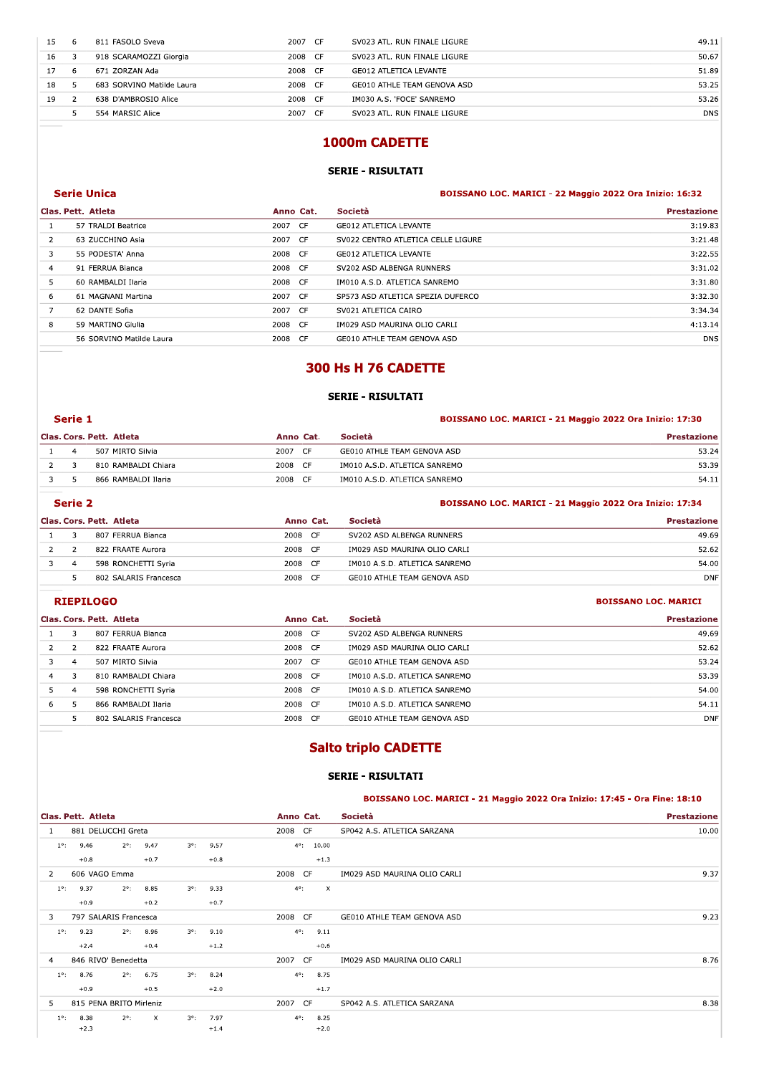| 15 | 6              | 811 FASOLO Sveva          | 2007 CF | SV023 ATL. RUN FINALE LIGURE  | 49.11      |
|----|----------------|---------------------------|---------|-------------------------------|------------|
| 16 | 3              | 918 SCARAMOZZI Giorgia    | 2008 CF | SV023 ATL. RUN FINALE LIGURE  | 50.67      |
| 17 | 6              | 671 ZORZAN Ada            | 2008 CF | <b>GE012 ATLETICA LEVANTE</b> | 51.89      |
| 18 | 5              | 683 SORVINO Matilde Laura | 2008 CF | GE010 ATHLE TEAM GENOVA ASD   | 53.25      |
| 19 | $\overline{2}$ | 638 D'AMBROSIO Alice      | 2008 CF | IM030 A.S. 'FOCE' SANREMO     | 53.26      |
|    | 5.             | 554 MARSIC Alice          | 2007 CF | SV023 ATL. RUN FINALE LIGURE  | <b>DNS</b> |
|    |                |                           |         | 1000m CADETTE                 |            |

# 1000m CADETTE

# SERIE - RISULTATI

#### erie Unica (1992) (1993) (1993) (1994) (1994) (1994) (1994) (1994) (1995) (1995) (1998) (1998) (1998) (1998) (1998) (1998) (1998) (1998) (1999) (1999) (1999) (1999) (1999) (1999) (1999) (1999) (1999) (1999) (1999) (1999) (

|                |                          |           | JLINIL NIJULIAII                   |                                                         |
|----------------|--------------------------|-----------|------------------------------------|---------------------------------------------------------|
|                | <b>Serie Unica</b>       |           |                                    | BOISSANO LOC. MARICI - 22 Maggio 2022 Ora Inizio: 16:32 |
|                | Clas. Pett. Atleta       | Anno Cat. | Società                            | <b>Prestazione</b>                                      |
| 1              | 57 TRALDI Beatrice       | 2007 CF   | <b>GE012 ATLETICA LEVANTE</b>      | 3:19.83                                                 |
| $\overline{2}$ | 63 ZUCCHINO Asia         | 2007 CF   | SV022 CENTRO ATLETICA CELLE LIGURE | 3:21.48                                                 |
| 3              | 55 PODESTA' Anna         | 2008 CF   | <b>GE012 ATLETICA LEVANTE</b>      | 3:22.55                                                 |
| $\overline{4}$ | 91 FERRUA Bianca         | 2008 CF   | SV202 ASD ALBENGA RUNNERS          | 3:31.02                                                 |
| 5              | 60 RAMBALDI Ilaria       | 2008 CF   | IM010 A.S.D. ATLETICA SANREMO      | 3:31.80                                                 |
| 6              | 61 MAGNANI Martina       | 2007 CF   | SP573 ASD ATLETICA SPEZIA DUFERCO  | 3:32.30                                                 |
| $\overline{7}$ | 62 DANTE Sofia           | 2007 CF   | SV021 ATLETICA CAIRO               | 3:34.34                                                 |
| 8              | 59 MARTINO Giulia        | 2008 CF   | IM029 ASD MAURINA OLIO CARLI       | 4:13.14                                                 |
|                | 56 SORVINO Matilde Laura | 2008 CF   | GE010 ATHLE TEAM GENOVA ASD        | <b>DNS</b>                                              |
|                |                          |           |                                    |                                                         |
|                |                          |           | 300 Hs H 76 CADETTE                |                                                         |
|                |                          |           | <b>SERIE - RISULTATI</b>           |                                                         |
|                |                          |           |                                    |                                                         |

| <b>SERIE - RISULTATI</b> |                          |           |                               |                                                         |  |  |  |  |
|--------------------------|--------------------------|-----------|-------------------------------|---------------------------------------------------------|--|--|--|--|
| Serie 1                  |                          |           |                               | BOISSANO LOC. MARICI - 21 Maggio 2022 Ora Inizio: 17:30 |  |  |  |  |
|                          | Clas. Cors. Pett. Atleta | Anno Cat. | Società                       | <b>Prestazione</b>                                      |  |  |  |  |
| 4                        | 507 MIRTO Silvia         | 2007 CF   | GE010 ATHLE TEAM GENOVA ASD   | 53.24                                                   |  |  |  |  |
|                          | 810 RAMBALDI Chiara      | 2008 CF   | IM010 A.S.D. ATLETICA SANREMO | 53.39                                                   |  |  |  |  |
| 5.                       | 866 RAMBALDI Ilaria      | 2008 CF   | IM010 A.S.D. ATLETICA SANREMO | 54.11                                                   |  |  |  |  |
| Serie 2                  |                          |           |                               | BOISSANO LOC. MARICI - 21 Maggio 2022 Ora Inizio: 17:34 |  |  |  |  |
|                          | Clas. Cors. Pett. Atleta | Anno Cat. | Società                       | <b>Prestazione</b>                                      |  |  |  |  |

|   | Serie 2       |                          |                   |  | BOISSANO LOC. MARICI - 21 Maggio 2022 Ora Inizio: 17:34 |                             |  |
|---|---------------|--------------------------|-------------------|--|---------------------------------------------------------|-----------------------------|--|
|   |               | Clas. Cors. Pett. Atleta | Anno Cat.         |  | Società                                                 | <b>Prestazione</b>          |  |
|   | 3             | 807 FERRUA Bianca        | 2008 CF           |  | SV202 ASD ALBENGA RUNNERS                               | 49.69                       |  |
|   | $\mathcal{L}$ | 822 FRAATE Aurora        | 2008 CF           |  | IM029 ASD MAURINA OLIO CARLI                            | 52.62                       |  |
| 3 | 4             | 598 RONCHETTI Syria      | 2008 CF           |  | IM010 A.S.D. ATLETICA SANREMO                           | 54.00                       |  |
|   | 5.            | 802 SALARIS Francesca    | 2008 CF           |  | GE010 ATHLE TEAM GENOVA ASD                             | <b>DNF</b>                  |  |
|   |               | <b>RIEPILOGO</b>         |                   |  |                                                         | <b>BOISSANO LOC. MARICI</b> |  |
|   |               | Clas. Cors. Pett. Atleta | Anno Cat.         |  | Società                                                 | <b>Prestazione</b>          |  |
|   |               | 807 FERRUA Bianca        | 2008 CF           |  | SV202 ASD ALBENGA RUNNERS                               | 49.69                       |  |
|   | <sup>2</sup>  | 822 FRAATE Aurora        | 2008<br><b>CF</b> |  | IM029 ASD MAURINA OLIO CARLI                            | 52.62                       |  |

|                |                             | <b>RIEPILOGO</b>         |         | <b>BOISSANO LOC. MARICI</b> |                               |                    |  |  |  |  |
|----------------|-----------------------------|--------------------------|---------|-----------------------------|-------------------------------|--------------------|--|--|--|--|
|                |                             | Clas. Cors. Pett. Atleta |         | Anno Cat.                   | Società                       | <b>Prestazione</b> |  |  |  |  |
|                | 3                           | 807 FERRUA Bianca        | 2008 CF |                             | SV202 ASD ALBENGA RUNNERS     | 49.69              |  |  |  |  |
| $\overline{2}$ | $\overline{2}$              | 822 FRAATE Aurora        | 2008    | CF                          | IM029 ASD MAURINA OLIO CARLI  | 52.62              |  |  |  |  |
| 3              | $\overline{4}$              | 507 MIRTO Silvia         | 2007 CF |                             | GE010 ATHLE TEAM GENOVA ASD   | 53.24              |  |  |  |  |
| 4              | 3                           | 810 RAMBALDI Chiara      | 2008 CF |                             | IM010 A.S.D. ATLETICA SANREMO | 53.39              |  |  |  |  |
| 5              | $\overline{4}$              | 598 RONCHETTI Syria      | 2008    | <b>CF</b>                   | IM010 A.S.D. ATLETICA SANREMO | 54.00              |  |  |  |  |
| 6              | 5                           | 866 RAMBALDI Ilaria      | 2008 CF |                             | IM010 A.S.D. ATLETICA SANREMO | 54.11              |  |  |  |  |
|                | 5.                          | 802 SALARIS Francesca    | 2008    | CF                          | GE010 ATHLE TEAM GENOVA ASD   | <b>DNF</b>         |  |  |  |  |
|                |                             |                          |         |                             |                               |                    |  |  |  |  |
|                | <b>Salto triplo CADETTE</b> |                          |         |                             |                               |                    |  |  |  |  |
|                | <b>SERIE - RISULTATI</b>    |                          |         |                             |                               |                    |  |  |  |  |

#### BOISSANO LOC. MARICI - 21 Maggio 2022 Ora Inizio: 17:45 - Ora Fine: 18:10

|                | <b>SERIE - RISULTATI</b> |               |        |             |        |                           |                                                                           |                    |
|----------------|--------------------------|---------------|--------|-------------|--------|---------------------------|---------------------------------------------------------------------------|--------------------|
|                |                          |               |        |             |        |                           | BOISSANO LOC. MARICI - 21 Maggio 2022 Ora Inizio: 17:45 - Ora Fine: 18:10 |                    |
|                | Clas. Pett. Atleta       |               |        |             |        | Anno Cat.                 | Società                                                                   | <b>Prestazione</b> |
| $\mathbf{1}$   | 881 DELUCCHI Greta       |               |        |             |        | 2008 CF                   | SP042 A.S. ATLETICA SARZANA                                               | 10.00              |
| $1^{\circ}$ :  | 9.46                     | $2^{\circ}$ : | 9.47   | $3^\circ$ : | 9.57   | 10.00<br>$4^{\circ}$ :    |                                                                           |                    |
|                | $+0.8$                   |               | $+0.7$ |             | $+0.8$ | $+1.3$                    |                                                                           |                    |
| $\overline{2}$ | 606 VAGO Emma            |               |        |             |        | 2008 CF                   | IM029 ASD MAURINA OLIO CARLI                                              | 9.37               |
| $1^{\circ}$ :  | 9.37                     | $2^{\circ}$ : | 8.85   | $3^\circ$ : | 9.33   | $4^{\circ}$ :<br>$\times$ |                                                                           |                    |
|                | $+0.9$                   |               | $+0.2$ |             | $+0.7$ |                           |                                                                           |                    |
| 3              | 797 SALARIS Francesca    |               |        |             |        | 2008 CF                   | GE010 ATHLE TEAM GENOVA ASD                                               | 9.23               |
| $1^\circ$ :    | 9.23                     | $2^{\circ}$ : | 8.96   | $3^\circ$ : | 9.10   | $4^{\circ}$ :<br>9.11     |                                                                           |                    |
|                | $+2.4$                   |               | $+0.4$ |             | $+1.2$ | $+0.6$                    |                                                                           |                    |
| $\overline{4}$ | 846 RIVO' Benedetta      |               |        |             |        | 2007<br>CF                | IM029 ASD MAURINA OLIO CARLI                                              | 8.76               |
| $1^{\circ}$ :  | 8.76                     | $2^{\circ}$ : | 6.75   | $3^\circ$ : | 8.24   | $4^{\circ}$ :<br>8.75     |                                                                           |                    |
|                | $+0.9$                   |               | $+0.5$ |             | $+2.0$ | $+1.7$                    |                                                                           |                    |
| 5              | 815 PENA BRITO Mirleniz  |               |        |             |        | CF<br>2007                | SP042 A.S. ATLETICA SARZANA                                               | 8.38               |
| $1^{\circ}$ :  | 8.38                     | $2^{\circ}$ : | x      | $3^\circ$ : | 7.97   | $4^\circ$ :<br>8.25       |                                                                           |                    |
|                | $+2.3$                   |               |        |             | $+1.4$ | $+2.0$                    |                                                                           |                    |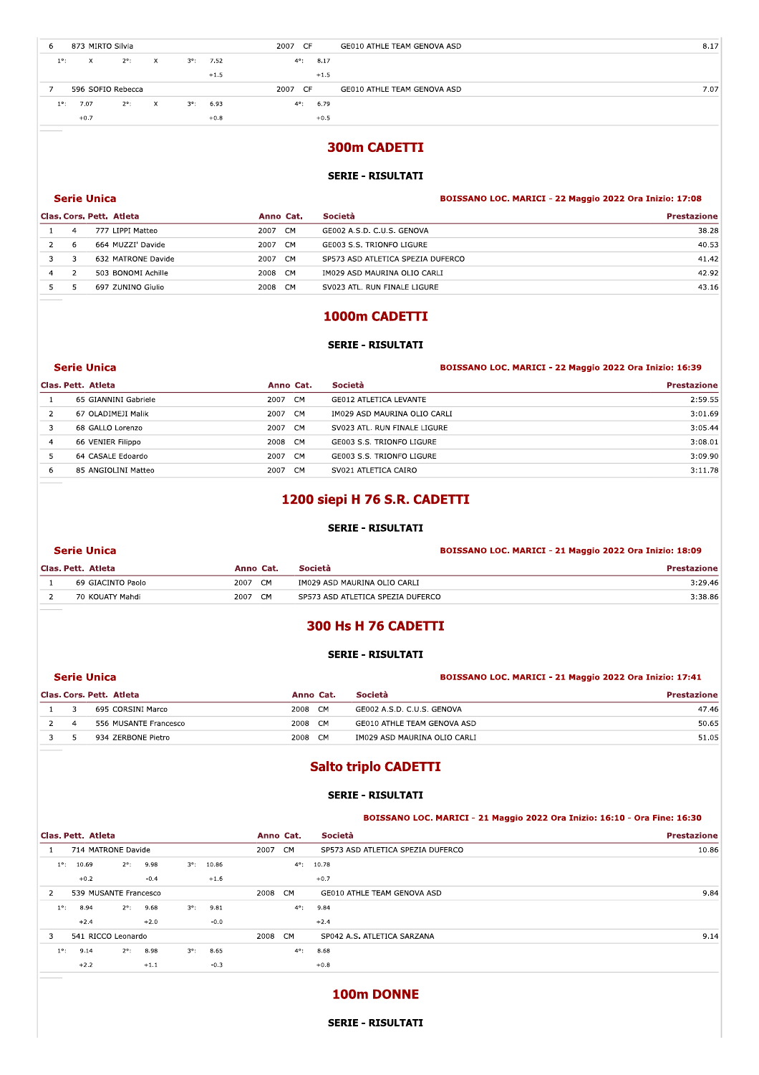| b             | 873 MIRTO Silvia  |               |    |             |        | 2007 CF               | GE010 ATHLE TEAM GENOVA ASD | 8.17 |
|---------------|-------------------|---------------|----|-------------|--------|-----------------------|-----------------------------|------|
| $1^{\circ}$ : | x.                | $2^\circ$ :   | X  | $3^\circ$ : | 7.52   | 8.17<br>$4^{\circ}$ : |                             |      |
|               |                   |               |    |             | $+1.5$ | $+1.5$                |                             |      |
|               |                   |               |    |             |        |                       |                             |      |
|               | 596 SOFIO Rebecca |               |    |             |        | 2007 CF               | GE010 ATHLE TEAM GENOVA ASD | 7.07 |
| $1^{\circ}$ : | 7.07              | $2^{\circ}$ : | X. | $3^\circ$ : | 6.93   | 6.79<br>$4^{\circ}$ : |                             |      |

# **300m CADETTI**

# **SERIE - RISULTATI**

# **Serie Unica**

|   |   | Clas. Cors. Pett. Atleta | Anno Cat.         | Società                           | <b>Prestazione</b> |
|---|---|--------------------------|-------------------|-----------------------------------|--------------------|
|   |   | 777 LIPPI Matteo         | <b>CM</b><br>2007 | GE002 A.S.D. C.U.S. GENOVA        | 38.28              |
|   | 6 | 664 MUZZI' Davide        | CM<br>2007        | GE003 S.S. TRIONFO LIGURE         | 40.53              |
|   |   | 632 MATRONE Davide       | CM.<br>2007       | SP573 ASD ATLETICA SPEZIA DUFERCO | 41.42              |
| 4 |   | 503 BONOMI Achille       | 2008<br>CM        | IM029 ASD MAURINA OLIO CARLI      | 42.92              |
|   |   | 697 ZUNINO Giulio        | 2008<br><b>CM</b> | SV023 ATL. RUN FINALE LIGURE      | 43.16              |

# 1000m CADETTI

## **SERIE - RISULTATI**

|   | Serie Unica          |                        | <b>BOISSANO LOC. MARICI - 22 Maggio 2022 Ora Inizio: 16:39</b> |                    |  |
|---|----------------------|------------------------|----------------------------------------------------------------|--------------------|--|
|   | Clas. Pett. Atleta   | Anno Cat.              | Società                                                        | <b>Prestazione</b> |  |
|   | 65 GIANNINI Gabriele | CM<br>2007             | GE012 ATLETICA LEVANTE                                         | 2:59.55            |  |
|   | 67 OLADIMEJI Malik   | 2007 CM                | IM029 ASD MAURINA OLIO CARLI                                   | 3:01.69            |  |
|   | 68 GALLO Lorenzo     | 2007<br>CM <sub></sub> | SV023 ATL. RUN FINALE LIGURE                                   | 3:05.44            |  |
| 4 | 66 VENIER Filippo    | 2008 CM                | GE003 S.S. TRIONFO LIGURE                                      | 3:08.01            |  |
|   | 64 CASALE Edoardo    | CM<br>2007             | GE003 S.S. TRIONFO LIGURE                                      | 3:09.90            |  |
| 6 | 85 ANGIOLINI Matteo  | 2007<br><b>CM</b>      | SV021 ATLETICA CAIRO                                           | 3:11.78            |  |

# 1200 siepi H 76 S.R. CADETTI

### **SERIE - RISULTATI**

### **Serie Unica**

| 2007<br><b>CM</b><br>69 GIACINTO Paolo<br>IM029 ASD MAURINA OLIO CARLI | 3:29.46 |
|------------------------------------------------------------------------|---------|
| 2007<br>CM.<br>SP573 ASD ATLETICA SPEZIA DUFERCO<br>70 KOUATY Mahdi    | 3:38.86 |

# 300 Hs H 76 CADETTI

## **SERIE - RISULTATI**

|                | <b>Serie Unica</b>       |                   | BOISSANO LOC. MARICI - 21 Maggio 2022 Ora Inizio: 17:41 |             |  |
|----------------|--------------------------|-------------------|---------------------------------------------------------|-------------|--|
|                | Clas. Cors. Pett. Atleta | Anno Cat.         | Società                                                 | Prestazione |  |
|                | 695 CORSINI Marco        | <b>CM</b><br>2008 | GE002 A.S.D. C.U.S. GENOVA                              | 47.46       |  |
| $\overline{a}$ | 556 MUSANTE Francesco    | 2008<br>CM        | GE010 ATHLE TEAM GENOVA ASD                             | 50.65       |  |
|                | 934 ZERBONE Pietro       | 2008<br>- CM      | IM029 ASD MAURINA OLIO CARLI                            | 51.05       |  |

# **Salto triplo CADETTI**

#### **SERIE - RISULTATI**

### BOISSANO LOC. MARICI - 21 Maggio 2022 Ora Inizio: 16:10 - Ora Fine: 16:30

BOISSANO LOC. MARICI - 22 Maggio 2022 Ora Inizio: 17:08

BOISSANO LOC. MARICI - 21 Maggio 2022 Ora Inizio: 18:09

| <b>Prestazione</b> | Società                           |               | Anno Cat. | Clas. Pett. Atleta |             |                    |               |                       |               |
|--------------------|-----------------------------------|---------------|-----------|--------------------|-------------|--------------------|---------------|-----------------------|---------------|
| 10.86              | SP573 ASD ATLETICA SPEZIA DUFERCO | CM            | 2007      |                    |             |                    |               | 714 MATRONE Davide    |               |
|                    | 10.78                             | $4^{\circ}$ : |           | 10.86              | $3^\circ$ : | 9.98               | $2^{\circ}$ : | 10.69                 | $1^{\circ}$ : |
|                    | $+0.7$                            |               |           | $+1.6$             |             | $-0.4$             |               | $+0.2$                |               |
| 9.84               | GE010 ATHLE TEAM GENOVA ASD       | <b>CM</b>     | 2008      |                    |             |                    |               | 539 MUSANTE Francesco | 2             |
|                    | 9.84                              | $4^{\circ}$ : |           | 9.81               | $3^\circ$ : | $2^{\circ}$ : 9.68 |               | 8.94                  | $1^{\circ}$ : |
|                    | $+2.4$                            |               |           | $-0.0$             |             | $+2.0$             |               | $+2.4$                |               |
| 9.14               | SP042 A.S. ATLETICA SARZANA       | <b>CM</b>     | 2008      |                    |             |                    |               | 541 RICCO Leonardo    | 3             |
|                    | 8.68                              | $4^{\circ}$ : |           | 8.65               | $3^\circ$ : | 8.98               | $2^{\circ}$ : | 9.14                  | $1^{\circ}$ : |
|                    | $+0.8$                            |               |           | $-0.3$             |             | $+1.1$             |               | $+2.2$                |               |
|                    |                                   |               |           |                    |             |                    |               |                       |               |

# 100m DONNE

#### **SERIE - RISULTATI**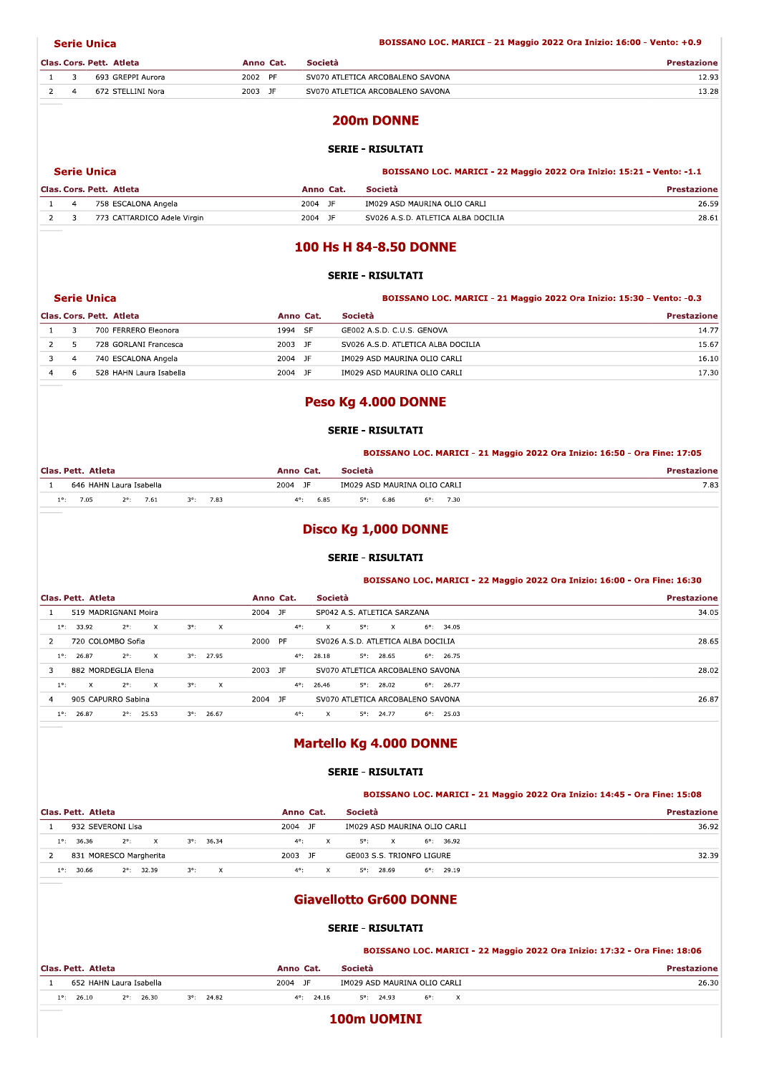**Serie Unica** 

|  | Clas, Cors, Pett, Atleta | Anno Cat. |           | <b>Società</b>                   | ızione |
|--|--------------------------|-----------|-----------|----------------------------------|--------|
|  | 693 GREPPI Aurora        | 2002      | <b>PF</b> | SV070 ATLETICA ARCOBALENO SAVONA | 2.93ء  |
|  | 672 STELLINI Nora        | 2003      | - JF      | SV070 ATLETICA ARCOBALENO SAVONA | 13.28  |

# 200m DONNE

## **SERIE - RISULTATI**

#### BOISSANO LOC. MARICI - 22 Maggio 2022 Ora Inizio: 15:21 - Vento: -1.1

|  | Clas. Cors. Pett. Atleta    | Anno Cat.    | Società                            | <b>Prestazione</b> |
|--|-----------------------------|--------------|------------------------------------|--------------------|
|  | 758 ESCALONA Angela         | 2004 JF      | IM029 ASD MAURINA OLIO CARLI       | 26.59              |
|  | 773 CATTARDICO Adele Virgin | 2004<br>- JF | SV026 A.S.D. ATLETICA ALBA DOCILIA | 28.61              |

### 100 Hs H 84-8.50 DONNE

#### **SERIE - RISULTATI**

| <b>Serie Unica</b>       |           |         | BOISSANO LOC. MARICI - 21 Maggio 2022 Ora Inizio: 15:30 - Vento: -0.3 |
|--------------------------|-----------|---------|-----------------------------------------------------------------------|
| Clas. Cors. Pett. Atleta | Anno Cat. | Società | Prestazione                                                           |

|  | 700 FERRERO Eleonora    | 1994 SF      | GE002 A.S.D. C.U.S. GENOVA         | 14.77 |
|--|-------------------------|--------------|------------------------------------|-------|
|  | 728 GORLANI Francesca   | 2003 JF      | SV026 A.S.D. ATLETICA ALBA DOCILIA | 15.67 |
|  | 740 ESCALONA Angela     | 2004<br>- IF | IM029 ASD MAURINA OLIO CARLI       | 16.10 |
|  | 528 HAHN Laura Isabella | 2004<br>JF   | IM029 ASD MAURINA OLIO CARLI       | L7.30 |

## Peso Kg 4.000 DONNE

#### **SERIE - RISULTATI**

### BOISSANO LOC. MARICI - 21 Maggio 2022 Ora Inizio: 16:50 - Ora Fine: 17:05

| Clas. Pett. Atleta |            |       |          |  | <b>Società</b><br>Cat.<br>Anno |  |              |  |      |                              |  | zione |               |  |      |      |
|--------------------|------------|-------|----------|--|--------------------------------|--|--------------|--|------|------------------------------|--|-------|---------------|--|------|------|
|                    | 646 HAHN L | Laura | Isabella |  |                                |  | 2004         |  |      | IM029 ASD MAURINA OLIO CARLI |  |       |               |  |      | 7.83 |
| 10.                | 7.05       |       | 7.61     |  | 7.83                           |  | $\Lambda$ o. |  | 6.85 | co.                          |  | 6.86  | $6^{\circ}$ : |  | 7.30 |      |

# Disco Kg 1,000 DONNE

### **SERIE - RISULTATI**

#### BOISSANO LOC. MARICI - 22 Maggio 2022 Ora Inizio: 16:00 - Ora Fine: 16:30

| Clas. Pett. Atleta                                                          | Società<br>Anno Cat.                                                     | <b>Prestazione</b> |
|-----------------------------------------------------------------------------|--------------------------------------------------------------------------|--------------------|
| 519 MADRIGNANI Moira                                                        | 2004 JF<br>SP042 A.S. ATLETICA SARZANA                                   | 34.05              |
| $2^{\circ}$ :<br>$3^\circ$ :<br>$\times$<br>33.92<br>$1^{\circ}$ :<br>X.    | $5^\circ$ :<br>$4^\circ$ :<br>X.<br>$6^{\circ}$ :<br>34.05<br>$\times$   |                    |
| 720 COLOMBO Sofia<br>$\mathcal{P}$                                          | PF<br>2000<br>SV026 A.S.D. ATLETICA ALBA DOCILIA                         | 28.65              |
| $2^{\circ}$ :<br>27.95<br>$\times$<br>$3^\circ$ :<br>26.87<br>$1^{\circ}$ : | $6^{\circ}$ : 26.75<br>$4^{\circ}$ :<br>28.18<br>$5^\circ$ :<br>28.65    |                    |
| 882 MORDEGLIA Elena                                                         | 2003 JF<br>SV070 ATLETICA ARCOBALENO SAVONA                              | 28.02              |
| $3^\circ$ :<br>$2^\circ$ :<br>$\mathsf{x}$<br>$1^{\circ}$ :<br>X.<br>X      | $5^\circ$ :<br>$4^{\circ}$ :<br>26.46<br>28.02<br>26.77<br>$6^{\circ}$ : |                    |
| 905 CAPURRO Sabina<br>4                                                     | 2004 JF<br>SV070 ATLETICA ARCOBALENO SAVONA                              | 26.87              |
| 26.87<br>$2^{\circ}$ :<br>25.53<br>26.67<br>$3^\circ$ :<br>$1^\circ$ :      | $4^{\circ}$ :<br>5°:<br>X<br>24.77<br>25.03<br>6°:                       |                    |

# Martello Kg 4.000 DONNE

## **SERIE - RISULTATI**

#### BOISSANO LOC. MARICI - 21 Maggio 2022 Ora Inizio: 14:45 - Ora Fine: 15:08

| Clas. Pett. Atleta                                             | <b>Società</b><br>Anno Cat.                                 | <b>Prestazione</b> |
|----------------------------------------------------------------|-------------------------------------------------------------|--------------------|
| 932 SEVERONI Lisa                                              | 2004<br>- JF<br>IM029 ASD MAURINA OLIO CARLI                | 36.92              |
| 36.36<br>$2^{\circ}$ :<br>$1^{\circ}$ :<br>$3^{\circ}$ : 36.34 | $4^{\circ}$ :<br>5°:<br>$6^{\circ}$ : 36.92<br>$\mathbf{x}$ |                    |
| 831 MORESCO Margherita                                         | 2003<br>GE003 S.S. TRIONFO LIGURE<br>JF                     | 32.39              |
| 30.66<br>32.39<br>10.<br>$2^{\circ}$ :<br>X.<br>$3^\circ$ :    | 28.69<br>$4^{\circ}$ :<br>$6^{\circ}$ : 29.19<br>50.        |                    |

# **Giavellotto Gr600 DONNE**

### **SERIE - RISULTATI**

#### BOISSANO LOC. MARICI - 22 Maggio 2022 Ora Inizio: 17:32 - Ora Fine: 18:06 Anno Cat. Società **Prestazione** Clas. Pett. Atleta 652 HAHN Laura Isabella  $2004$  JF IM029 ASD MAURINA OLIO CARLI  $26.30$  $\overline{1}$  $3^{\circ}$ : 24.82  $5^{\circ}$ : 24.93  $1^{\circ}$ : 26.10  $2^{\circ}$ : 26.30  $6^{\circ}$ :  $4^{\circ}$ : 24.16  $\bar{\mathbf{x}}$

100m UOMINI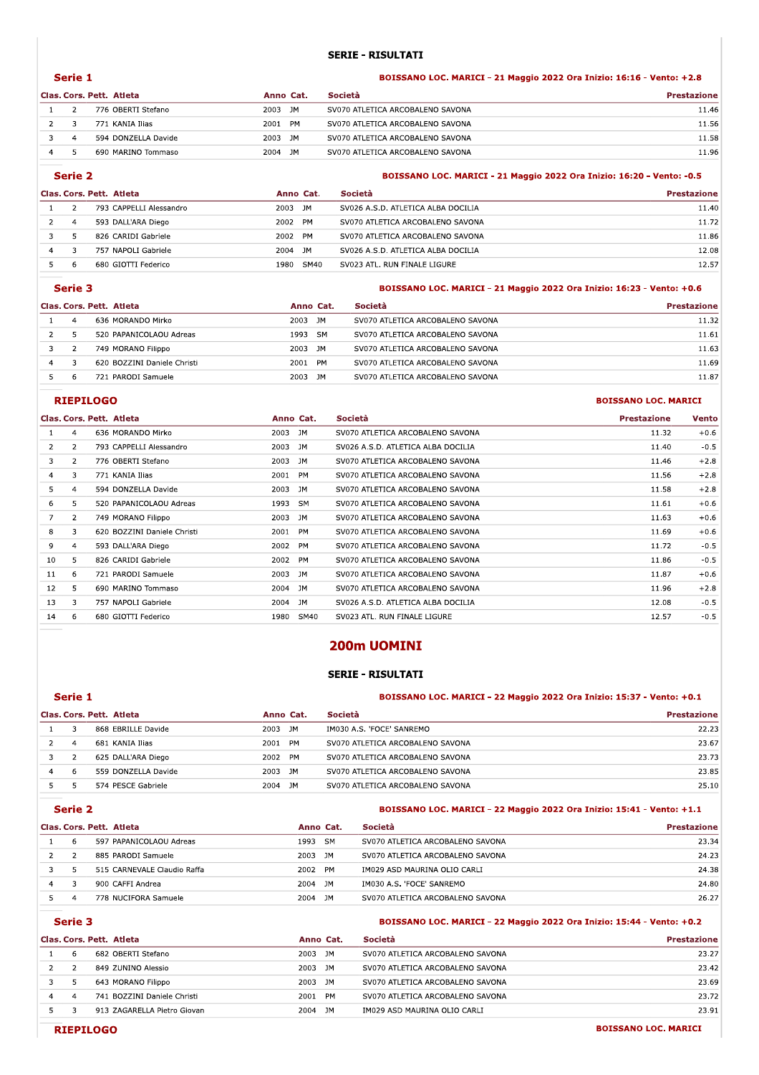## SERIE - RISULTATI

|         |                |                          |           | <b>SERIE - RISULTATI</b>                                              |                    |  |  |  |  |
|---------|----------------|--------------------------|-----------|-----------------------------------------------------------------------|--------------------|--|--|--|--|
| Serie 1 |                |                          |           | BOISSANO LOC. MARICI - 21 Maggio 2022 Ora Inizio: 16:16 - Vento: +2.8 |                    |  |  |  |  |
|         |                |                          |           |                                                                       |                    |  |  |  |  |
|         |                | Clas, Cors, Pett, Atleta | Anno Cat. | Società                                                               | <b>Prestazione</b> |  |  |  |  |
|         |                | 776 OBERTI Stefano       | 2003 JM   | SV070 ATLETICA ARCOBALENO SAVONA                                      | 11.46              |  |  |  |  |
| 2       | 3              | 771 KANIA Ilias          | 2001 PM   | SV070 ATLETICA ARCOBALENO SAVONA                                      | 11.56              |  |  |  |  |
|         | $\overline{a}$ | 594 DONZELLA Davide      | 2003 JM   | SV070 ATLETICA ARCOBALENO SAVONA                                      | 11.58              |  |  |  |  |

#### Serie 2 erie z biologie de la contradiction de la contradiction de la contradiction de la contradiction de la contradiction de la contradiction de la contradiction de la contradiction de la contradiction de la contradiction de la SANO LOC. MARICI - 21 Maggio 2022 Ora Inizio: 16:20 - vento: -0.5 Clas. Cors. Pett. Atleta **Mateural Expansion Category Anno Cat.** Società Prestazione 1 2 793 CAPPELLI Alessandro 2003 JM SV026 A.S.D. ATLETICA ALBA DOCILIA 11.40 2 4 593 DALL'ARA Diego 2002 PM SV070 ATLETICA ARCOBALENO SAVONA 6 2002 11.72 3 5 826 CARIDI Gabriele 2002 PM SV070 ATLETICA ARCOBALENO SAVONA 2002 11.86 A 3 757 NAPOLI Gabriele 2004 JM SV026 A.S.D. ATLETICA ALBA DOCILIA 257 NAPOLI Gabriele 12.08 O 0680 GIOTTI Federico 1980 - 1980 - 1980 - 1980 - SVO23 ATL. RUN FINALE LIGURE

|   | Serie 3 |                             |           |      | BOISSANO LOC. MARICI - 21 Maggio 2022 Ora Inizio: 16:23 - Vento: +0.6 |                    |  |  |  |
|---|---------|-----------------------------|-----------|------|-----------------------------------------------------------------------|--------------------|--|--|--|
|   |         | Clas. Cors. Pett. Atleta    | Anno Cat. |      | Società                                                               | <b>Prestazione</b> |  |  |  |
|   |         | 636 MORANDO Mirko           | 2003 JM   |      | SV070 ATLETICA ARCOBALENO SAVONA                                      | 11.32              |  |  |  |
|   | 5       | 520 PAPANICOLAOU Adreas     | 1993 SM   |      | SV070 ATLETICA ARCOBALENO SAVONA                                      | 11.61              |  |  |  |
|   |         | 749 MORANO Filippo          | 2003 JM   |      | SV070 ATLETICA ARCOBALENO SAVONA                                      | 11.63              |  |  |  |
| 4 |         | 620 BOZZINI Daniele Christi | 2001      | PM   | SV070 ATLETICA ARCOBALENO SAVONA                                      | 11.69              |  |  |  |
|   |         | 721 PARODI Samuele          | 2003      | - 1M | SV070 ATLETICA ARCOBALENO SAVONA                                      | 11.87              |  |  |  |

## experiment and the contract of the contract of the contract of the contract of the contract of the contract of the contract of the contract of the contract of the contract of the contract of the contract of the contract of

|                |                | Clas. Cors. Pett. Atleta    |         | Anno Cat. | Società                            | <b>Prestazione</b> | <b>Vento</b> |
|----------------|----------------|-----------------------------|---------|-----------|------------------------------------|--------------------|--------------|
|                | 4              | 636 MORANDO Mirko           | 2003    | JM        | SV070 ATLETICA ARCOBALENO SAVONA   | 11.32              | $+0.6$       |
| $\overline{2}$ | $\mathbf{2}$   | 793 CAPPELLI Alessandro     | 2003    | JM.       | SV026 A.S.D. ATLETICA ALBA DOCILIA | 11.40              | $-0.5$       |
| 3              | 2              | 776 OBERTI Stefano          | 2003    | JM        | SV070 ATLETICA ARCOBALENO SAVONA   | 11.46              | $+2.8$       |
| 4              | 3              | 771 KANIA Ilias             | 2001    | <b>PM</b> | SV070 ATLETICA ARCOBALENO SAVONA   | 11.56              | $+2.8$       |
| 5.             | 4              | 594 DONZELLA Davide         | 2003    | JM.       | SV070 ATLETICA ARCOBALENO SAVONA   | 11.58              | $+2.8$       |
| 6              | 5.             | 520 PAPANICOLAOU Adreas     | 1993    | <b>SM</b> | SV070 ATLETICA ARCOBALENO SAVONA   | 11.61              | $+0.6$       |
|                | $\overline{2}$ | 749 MORANO Filippo          | 2003    | JM        | SV070 ATLETICA ARCOBALENO SAVONA   | 11.63              | $+0.6$       |
| 8              | 3              | 620 BOZZINI Daniele Christi | 2001    | PM        | SV070 ATLETICA ARCOBALENO SAVONA   | 11.69              | $+0.6$       |
| 9              | 4              | 593 DALL'ARA Diego          | 2002    | PM        | SV070 ATLETICA ARCOBALENO SAVONA   | 11.72              | $-0.5$       |
| 10             | 5              | 826 CARIDI Gabriele         | 2002 PM |           | SV070 ATLETICA ARCOBALENO SAVONA   | 11.86              | $-0.5$       |
| 11             | 6              | 721 PARODI Samuele          | 2003 JM |           | SV070 ATLETICA ARCOBALENO SAVONA   | 11.87              | $+0.6$       |
| 12             | 5              | 690 MARINO Tommaso          | 2004 JM |           | SV070 ATLETICA ARCOBALENO SAVONA   | 11.96              | $+2.8$       |
| 13             | 3              | 757 NAPOLI Gabriele         | 2004 JM |           | SV026 A.S.D. ATLETICA ALBA DOCILIA | 12.08              | $-0.5$       |
| 14             | 6              | 680 GIOTTI Federico         | 1980    | SM40      | SV023 ATL. RUN FINALE LIGURE       | 12.57              | $-0.5$       |

## 200m UOMINI

## SERIE - RISULTATI

|   | Serie 1 |                          |                   | BOISSANO LOC. MARICI - 22 Maggio 2022 Ora Inizio: 15:37 - Vento: +0.1 |                    |  |
|---|---------|--------------------------|-------------------|-----------------------------------------------------------------------|--------------------|--|
|   |         | Clas. Cors. Pett. Atleta | Anno Cat.         | Società                                                               | <b>Prestazione</b> |  |
|   |         | 868 EBRILLE Davide       | 2003 JM           | IM030 A.S. 'FOCE' SANREMO                                             | 22.23              |  |
|   | 4       | 681 KANIA Ilias          | 2001<br><b>PM</b> | SV070 ATLETICA ARCOBALENO SAVONA                                      | 23.67              |  |
|   |         | 625 DALL'ARA Diego       | 2002 PM           | SV070 ATLETICA ARCOBALENO SAVONA                                      | 23.73              |  |
| 4 | -6      | 559 DONZELLA Davide      | 2003 JM           | SV070 ATLETICA ARCOBALENO SAVONA                                      | 23.85              |  |
|   |         | 574 PESCE Gabriele       | 2004<br>JM        | SV070 ATLETICA ARCOBALENO SAVONA                                      | 25.10              |  |

#### Serie 2

| erie z           | BOISSANO LOC. MARICI - 22 Maggio 2022 Ora Inizio: 15:41 - Vento: +1.1 |         |                   |  |  |  |
|------------------|-----------------------------------------------------------------------|---------|-------------------|--|--|--|
| Cose Doll Atlata | Anno Cot                                                              | Casintà | <b>Desets-is:</b> |  |  |  |

|   |    | Clas. Cors. Pett. Atleta    | Anno Cat. | Società                          | <b>Prestazione</b> |
|---|----|-----------------------------|-----------|----------------------------------|--------------------|
|   |    | 597 PAPANICOLAOU Adreas     | 1993 SM   | SV070 ATLETICA ARCOBALENO SAVONA | 23.34              |
|   |    | 885 PARODI Samuele          | 2003 JM   | SV070 ATLETICA ARCOBALENO SAVONA | 24.23              |
|   | -5 | 515 CARNEVALE Claudio Raffa | 2002 PM   | IM029 ASD MAURINA OLIO CARLI     | 24.38              |
| 4 |    | 900 CAFFI Andrea            | 2004 JM   | IM030 A.S. 'FOCE' SANREMO        | 24.80              |
|   |    | 778 NUCIFORA Samuele        | 2004 JM   | SV070 ATLETICA ARCOBALENO SAVONA | 26.27              |

Serie 3

#### erie 3 Boisset and the contract of the contract of the contract of the contract of the contract of the contract of the contract of the contract of the contract of the contract of the contract of the contract of the contrac SANO LOC. MARICI - 22 Maggio 2022 Ora Inizio: 15:44 - vento: +0.2

|   | Clas. Cors. Pett. Atleta    |         | Anno Cat. | Società                          | <b>Prestazione</b> |
|---|-----------------------------|---------|-----------|----------------------------------|--------------------|
| b | 682 OBERTI Stefano          | 2003 JM |           | SV070 ATLETICA ARCOBALENO SAVONA | 23.27              |
|   | 849 ZUNINO Alessio          | 2003 JM |           | SV070 ATLETICA ARCOBALENO SAVONA | 23.42              |
|   | 643 MORANO Filippo          | 2003 JM |           | SV070 ATLETICA ARCOBALENO SAVONA | 23.69              |
|   | 741 BOZZINI Daniele Christi | 2001 PM |           | SV070 ATLETICA ARCOBALENO SAVONA | 23.72              |
|   | 913 ZAGARELLA Pietro Giovan | 2004    | ~1M       | IM029 ASD MAURINA OLIO CARLI     | 23.91              |

SANO LOC. MARICI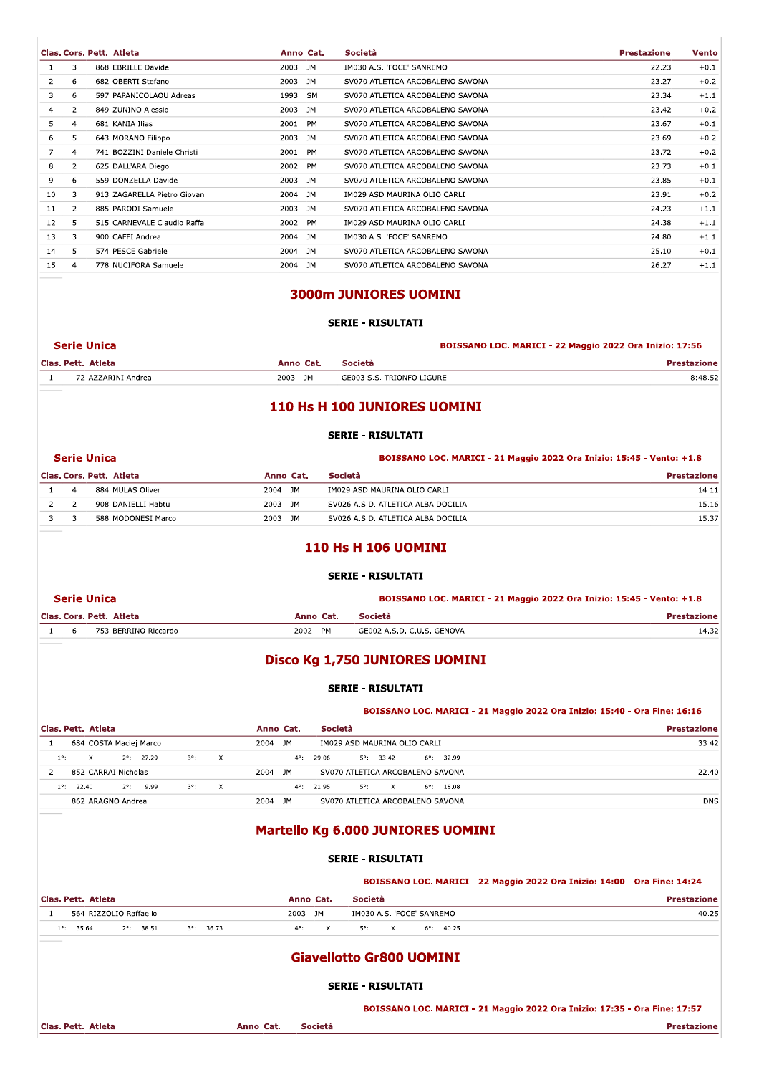|    |                | Clas. Cors. Pett. Atleta    | Anno Cat. | Società                          | <b>Prestazione</b> | Vento  |
|----|----------------|-----------------------------|-----------|----------------------------------|--------------------|--------|
|    | 3.             | 868 EBRILLE Davide          | 2003 JM   | IM030 A.S. 'FOCE' SANREMO        | 22.23              | $+0.1$ |
| 2  | 6              | 682 OBERTI Stefano          | 2003 JM   | SV070 ATLETICA ARCOBALENO SAVONA | 23.27              | $+0.2$ |
| 3  | 6              | 597 PAPANICOLAOU Adreas     | 1993 SM   | SV070 ATLETICA ARCOBALENO SAVONA | 23.34              | $+1.1$ |
| 4  | $\overline{2}$ | 849 ZUNINO Alessio          | 2003 JM   | SV070 ATLETICA ARCOBALENO SAVONA | 23.42              | $+0.2$ |
| 5  | 4              | 681 KANIA Ilias             | 2001 PM   | SV070 ATLETICA ARCOBALENO SAVONA | 23.67              | $+0.1$ |
| 6  | 5.             | 643 MORANO Filippo          | 2003 JM   | SV070 ATLETICA ARCOBALENO SAVONA | 23.69              | $+0.2$ |
|    | $\overline{4}$ | 741 BOZZINI Daniele Christi | 2001 PM   | SV070 ATLETICA ARCOBALENO SAVONA | 23.72              | $+0.2$ |
| 8  | $\overline{2}$ | 625 DALL'ARA Diego          | 2002 PM   | SV070 ATLETICA ARCOBALENO SAVONA | 23.73              | $+0.1$ |
| 9  | 6              | 559 DONZELLA Davide         | 2003 JM   | SV070 ATLETICA ARCOBALENO SAVONA | 23.85              | $+0.1$ |
| 10 | 3              | 913 ZAGARELLA Pietro Giovan | 2004 JM   | IM029 ASD MAURINA OLIO CARLI     | 23.91              | $+0.2$ |
| 11 | $\overline{2}$ | 885 PARODI Samuele          | 2003 JM   | SV070 ATLETICA ARCOBALENO SAVONA | 24.23              | $+1.1$ |
| 12 | 5.             | 515 CARNEVALE Claudio Raffa | 2002 PM   | IM029 ASD MAURINA OLIO CARLI     | 24.38              | $+1.1$ |
| 13 | 3              | 900 CAFFI Andrea            | 2004 JM   | IM030 A.S. 'FOCE' SANREMO        | 24.80              | $+1.1$ |
| 14 | 5              | 574 PESCE Gabriele          | 2004 JM   | SV070 ATLETICA ARCOBALENO SAVONA | 25.10              | $+0.1$ |
| 15 | 4              | 778 NUCIFORA Samuele        | 2004 JM   | SV070 ATLETICA ARCOBALENO SAVONA | 26.27              | $+1.1$ |
|    |                |                             |           |                                  |                    |        |

# 3000m JUNIORES UOMINI

#### **SERIE - RISULTATI**

| <b>Serie Unica</b> |           |                           | BOISSANO LOC. MARICI - 22 Maggio 2022 Ora Inizio: 17:56 |
|--------------------|-----------|---------------------------|---------------------------------------------------------|
| Clas. Pett. Atleta | Anno Cat. | <b>Società</b>            | <b>Prestazione</b>                                      |
| 72 AZZARINI Andrea | 2003 IM   | GE003 S.S. TRIONFO LIGURE | 8:48.52                                                 |

# 110 Hs H 100 JUNIORES UOMINI

## **SERIE - RISULTATI**

|  | <b>Serie Unica</b>       |             | BOISSANO LOC. MARICI - 21 Maggio 2022 Ora Inizio: 15:45 - Vento: +1.8 |                    |  |  |
|--|--------------------------|-------------|-----------------------------------------------------------------------|--------------------|--|--|
|  | Clas. Cors. Pett. Atleta | Anno Cat.   | Società                                                               | <b>Prestazione</b> |  |  |
|  | 884 MULAS Oliver         | 2004 JM     | IM029 ASD MAURINA OLIO CARLI                                          | 14.11              |  |  |
|  | 908 DANIELLI Habtu       | 2003 JM     | SV026 A.S.D. ATLETICA ALBA DOCILIA                                    | 15.16              |  |  |
|  | 588 MODONESI Marco       | 2003<br>JM. | SV026 A.S.D. ATLETICA ALBA DOCILIA                                    | 15.37              |  |  |

## **110 Hs H 106 UOMINI**

# **SERIE - RISULTATI**

|  | Serie Unica              |           |           | BOISSANO LOC. MARICI - 21 Maggio 2022 Ora Inizio: 15:45 - Vento: +1.8 |                    |  |
|--|--------------------------|-----------|-----------|-----------------------------------------------------------------------|--------------------|--|
|  | Clas. Cors. Pett. Atleta | Anno Cat. |           | Società                                                               | <b>Prestazione</b> |  |
|  | 753 BERRINO Riccardo     | 2002      | <b>PM</b> | GE002 A.S.D. C.U.S. GENOVA                                            | 14.32              |  |

# Disco Kg 1,750 JUNIORES UOMINI

#### **SERIE - RISULTATI**

# BOISSANO LOC. MARICI - 21 Maggio 2022 Ora Inizio: 15:40 - Ora Fine: 16:16

|               | Clas. Pett. Atleta     |               |                     |             |              | Anno Cat. |               | Società |     |                                  |     |                     | <b>Prestazione</b> |
|---------------|------------------------|---------------|---------------------|-------------|--------------|-----------|---------------|---------|-----|----------------------------------|-----|---------------------|--------------------|
|               | 684 COSTA Maciej Marco |               |                     |             |              | 2004      | JM            |         |     | IM029 ASD MAURINA OLIO CARLI     |     |                     | 33.42              |
| $1^\circ$ :   |                        |               | $2^{\circ}$ : 27.29 | $3^\circ$ : | $\mathsf{x}$ |           | $4^{\circ}$ : | 29.06   |     | $5^\circ$ : 33.42                |     | $6^{\circ}$ : 32.99 |                    |
|               | 852 CARRAI Nicholas    |               |                     |             |              | 2004      | <b>JM</b>     |         |     | SV070 ATLETICA ARCOBALENO SAVONA |     |                     | 22.40              |
| $1^{\circ}$ : | 22.40                  | $2^{\circ}$ : | 9.99                | $3^\circ$ : | X            |           | $4^{\circ}$ : | 21.95   | 5°: | X.                               | 6°: | 18.08               |                    |
|               | 862 ARAGNO Andrea      |               |                     |             |              | 2004      | <b>JM</b>     |         |     | SV070 ATLETICA ARCOBALENO SAVONA |     |                     | <b>DNS</b>         |

# Martello Kg 6.000 JUNIORES UOMINI

### **SERIE - RISULTATI**

|                        |                     |                     |             | BOISSANO LOC. MARICI - 22 Maggio 2022 Ora Inizio: 14:00 - Ora Fine: 14:24 |                    |
|------------------------|---------------------|---------------------|-------------|---------------------------------------------------------------------------|--------------------|
| Clas. Pett. Atleta     |                     |                     | Anno Cat.   | Società                                                                   | <b>Prestazione</b> |
| 564 RIZZOLIO Raffaello |                     |                     | 2003 JM     | IM030 A.S. 'FOCE' SANREMO                                                 | 40.25              |
| 35.64                  | $2^{\circ}$ : 38.51 | $3^{\circ}$ : 36.73 | $4^{\circ}$ | $6^{\circ}$ : 40.25<br>5°:                                                |                    |

# **Giavellotto Gr800 UOMINI**

#### **SERIE - RISULTATI**

#### BOISSANO LOC. MARICI - 21 Maggio 2022 Ora Inizio: 17:35 - Ora Fine: 17:57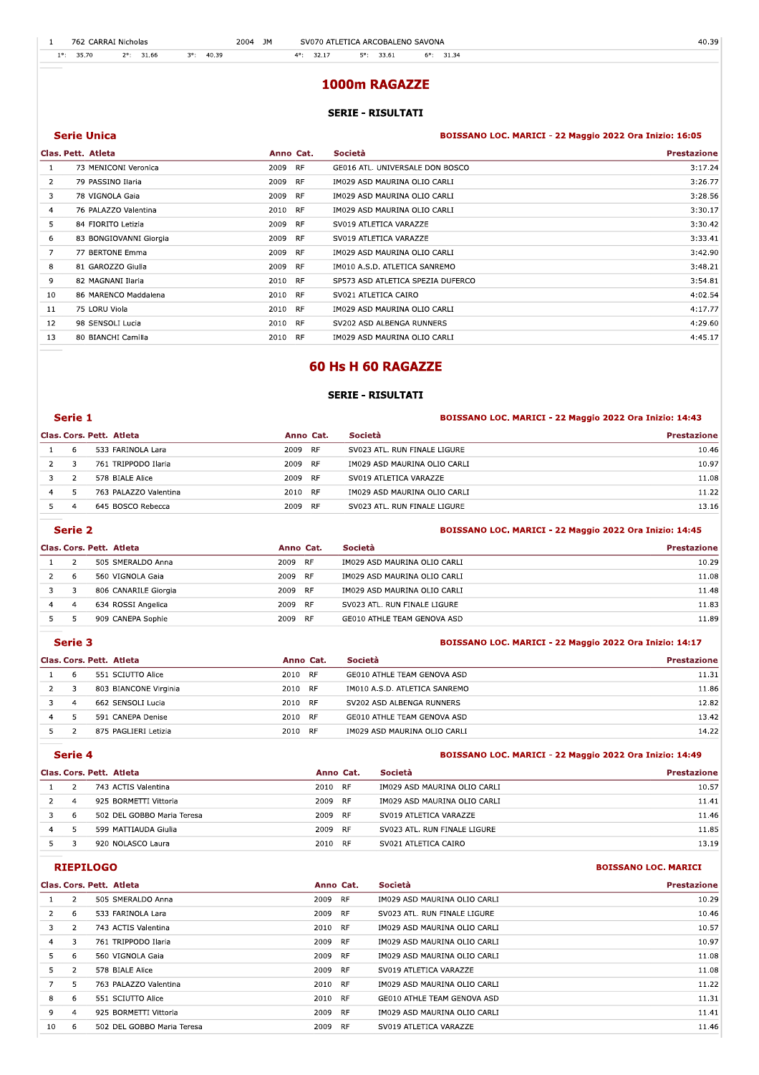|     |       | 762 CARRAI Nicholas    | 2004                 | JM |                                                                                 | SV070 ATLETICA ARCOBALENO SAVONA                                                |                     | 40.39 |
|-----|-------|------------------------|----------------------|----|---------------------------------------------------------------------------------|---------------------------------------------------------------------------------|---------------------|-------|
| 10. | 35.70 | 31.66<br>$2^{\circ}$ : | 40.39<br>$3^\circ$ : |    | 32.17<br>$\Lambda$ o.                                                           | 33.61<br>50:                                                                    | $6^{\circ}$ : 31.34 |       |
|     |       |                        |                      |    |                                                                                 |                                                                                 |                     |       |
|     |       |                        |                      |    | the contract of the contract of the contract of the contract of the contract of | the contract of the contract of the contract of the contract of the contract of |                     |       |

| -1             |                          | 762 CARRAI Nicholas                         | 2004 JM           |                     | SV070 ATLETICA ARCOBALENO SAVONA           | 40.39                                                   |
|----------------|--------------------------|---------------------------------------------|-------------------|---------------------|--------------------------------------------|---------------------------------------------------------|
| $1^\circ$ :    | 35.70                    | 40.39<br>$2^{\circ}$ : 31.66<br>$3^\circ$ : |                   | $4^{\circ}$ : 32.17 | $5^{\circ}$ : 33.61<br>$6^{\circ}$ : 31.34 |                                                         |
|                |                          |                                             |                   |                     |                                            |                                                         |
|                |                          |                                             |                   |                     | 1000m RAGAZZE                              |                                                         |
|                |                          |                                             |                   |                     |                                            |                                                         |
|                |                          |                                             |                   |                     | <b>SERIE - RISULTATI</b>                   |                                                         |
|                | <b>Serie Unica</b>       |                                             |                   |                     |                                            | BOISSANO LOC. MARICI - 22 Maggio 2022 Ora Inizio: 16:05 |
|                | Clas. Pett. Atleta       |                                             | Anno Cat.         |                     | Società                                    | <b>Prestazione</b>                                      |
| <b>1</b>       |                          | 73 MENICONI Veronica                        | <b>RF</b><br>2009 |                     | GE016 ATL. UNIVERSALE DON BOSCO            | 3:17.24                                                 |
| 2              |                          | 79 PASSINO Ilaria                           | RF<br>2009        |                     | IM029 ASD MAURINA OLIO CARLI               | 3:26.77                                                 |
| 3              |                          | 78 VIGNOLA Gaia                             | <b>RF</b><br>2009 |                     | IM029 ASD MAURINA OLIO CARLI               | 3:28.56                                                 |
| 4              |                          | 76 PALAZZO Valentina                        | 2010<br><b>RF</b> |                     | IM029 ASD MAURINA OLIO CARLI               | 3:30.17                                                 |
| 5              |                          | 84 FIORITO Letizia                          | <b>RF</b><br>2009 |                     | SV019 ATLETICA VARAZZE                     | 3:30.42                                                 |
| 6              |                          | 83 BONGIOVANNI Giorgia                      | 2009<br><b>RF</b> |                     | SV019 ATLETICA VARAZZE                     | 3:33.41                                                 |
| $\overline{7}$ |                          | 77 BERTONE Emma                             | 2009<br>RF        |                     | IM029 ASD MAURINA OLIO CARLI               | 3:42.90                                                 |
| 8              |                          | 81 GAROZZO Giulia                           | 2009<br><b>RF</b> |                     | IM010 A.S.D. ATLETICA SANREMO              | 3:48.21                                                 |
| 9              |                          | 82 MAGNANI Ilaria                           | 2010<br>RF        |                     | SP573 ASD ATLETICA SPEZIA DUFERCO          | 3:54.81                                                 |
| 10             |                          | 86 MARENCO Maddalena                        | <b>RF</b><br>2010 |                     | SV021 ATLETICA CAIRO                       | 4:02.54                                                 |
| 11             | 75 LORU Viola            |                                             | 2010<br>RF        |                     | IM029 ASD MAURINA OLIO CARLI               | 4:17.77                                                 |
| 12             |                          | 98 SENSOLI Lucia                            | 2010<br><b>RF</b> |                     | SV202 ASD ALBENGA RUNNERS                  | 4:29.60                                                 |
| 13             |                          | 80 BIANCHI Camilla                          | 2010<br>RF        |                     | IM029 ASD MAURINA OLIO CARLI               | 4:45.17                                                 |
|                |                          |                                             |                   |                     |                                            |                                                         |
|                |                          |                                             |                   |                     | <b>60 Hs H 60 RAGAZZE</b>                  |                                                         |
|                |                          |                                             |                   |                     |                                            |                                                         |
|                |                          |                                             |                   |                     | <b>SERIE - RISULTATI</b>                   |                                                         |
|                | Serie 1                  |                                             |                   |                     |                                            | BOISSANO LOC. MARICI - 22 Maggio 2022 Ora Inizio: 14:43 |
|                | Clas. Cors. Pett. Atleta |                                             |                   | Anno Cat.           | Società                                    | <b>Prestazione</b>                                      |
| -1             | 6                        | 533 FARINOLA Lara                           | 2009              | <b>RF</b>           | SV023 ATL. RUN FINALE LIGURE               | 10.46                                                   |
| 2              | 3                        | 761 TRIPPODO Ilaria                         | 2009              | <b>RF</b>           | IM029 ASD MAURINA OLIO CARLI               | 10.97                                                   |
| 3              | $\overline{2}$           | 578 BIALE Alice                             | 2009              | RF                  | SV019 ATLETICA VARAZZE                     | 11.08                                                   |
| 4              | 5                        | 763 PALAZZO Valentina                       | 2010              | <b>RF</b>           | IM029 ASD MAURINA OLIO CARLI               | 11.22                                                   |

|   |   | Clas. Cors. Pett. Atleta | Anno Cat.         | <b>Società</b>               | <b>Prestazione</b> |  |
|---|---|--------------------------|-------------------|------------------------------|--------------------|--|
|   | 6 | 533 FARINOLA Lara        | 2009<br>RF        | SV023 ATL. RUN FINALE LIGURE | 10.46              |  |
|   |   | 761 TRIPPODO Ilaria      | 2009<br><b>RF</b> | IM029 ASD MAURINA OLIO CARLI | 10.97              |  |
|   |   | 578 BIALE Alice          | 2009<br><b>RF</b> | SV019 ATLETICA VARAZZE       | 11.08              |  |
| 4 |   | 763 PALAZZO Valentina    | 2010<br><b>RF</b> | IM029 ASD MAURINA OLIO CARLI | 11.22              |  |
|   |   | 645 BOSCO Rebecca        | 2009<br><b>RF</b> | SV023 ATL. RUN FINALE LIGURE | 13.16              |  |

#### 123425 Extra 2 Serie 2 : 14:45 EDISSANO LOC. MARICI - 22 Maggio 2022 Ora Inizio: 14:45

|   |   | Clas. Cors. Pett. Atleta | Anno Cat.         | Società                      | <b>Prestazione</b> |
|---|---|--------------------------|-------------------|------------------------------|--------------------|
|   |   | 505 SMERALDO Anna        | 2009<br>RF        | IM029 ASD MAURINA OLIO CARLI | 10.29              |
|   | b | 560 VIGNOLA Gaia         | 2009 RF           | IM029 ASD MAURINA OLIO CARLI | 11.08              |
|   |   | 806 CANARILE Giorgia     | 2009<br><b>RF</b> | IM029 ASD MAURINA OLIO CARLI | 11.48              |
| 4 |   | 634 ROSSI Angelica       | 2009<br>RF        | SV023 ATL. RUN FINALE LIGURE | 11.83              |
|   |   | 909 CANEPA Sophie        | 2009<br><b>RF</b> | GE010 ATHLE TEAM GENOVA ASD  | 11.89              |

|   | Serie 3 |                          |           |                               | BOISSANO LOC. MARICI - 22 Maggio 2022 Ora Inizio: 14:17 |  |  |
|---|---------|--------------------------|-----------|-------------------------------|---------------------------------------------------------|--|--|
|   |         | Clas. Cors. Pett. Atleta | Anno Cat. | Società                       | <b>Prestazione</b>                                      |  |  |
|   | 6       | 551 SCIUTTO Alice        | 2010 RF   | GE010 ATHLE TEAM GENOVA ASD   | 11.31                                                   |  |  |
|   | 3       | 803 BIANCONE Virginia    | 2010 RF   | IM010 A.S.D. ATLETICA SANREMO | 11.86                                                   |  |  |
|   | 4       | 662 SENSOLI Lucia        | 2010 RF   | SV202 ASD ALBENGA RUNNERS     | 12.82                                                   |  |  |
| 4 | 5       | 591 CANEPA Denise        | 2010 RF   | GE010 ATHLE TEAM GENOVA ASD   | 13.42                                                   |  |  |
|   |         | 875 PAGLIERI Letizia     | 2010 RF   | IM029 ASD MAURINA OLIO CARLI  | 14.22                                                   |  |  |

## Extra 123425 or a 12342 or a 13449 space of the set of the SOISSANO LOC. MARICI - 22 Maggio 2022 Ora Inizio: 14:49

|                | Clas. Cors. Pett. Atleta   | Anno Cat.  | Società                      | <b>Prestazione</b> |
|----------------|----------------------------|------------|------------------------------|--------------------|
|                | 743 ACTIS Valentina        | 2010 RF    | IM029 ASD MAURINA OLIO CARLI | 10.57              |
| $\overline{a}$ | 925 BORMETTI Vittoria      | 2009 RF    | IM029 ASD MAURINA OLIO CARLI | 11.41              |
| 6              | 502 DEL GOBBO Maria Teresa | 2009<br>RF | SV019 ATLETICA VARAZZE       | 11.46              |
|                | 599 MATTIAUDA Giulia       | 2009 RF    | SV023 ATL. RUN FINALE LIGURE | 11.85              |
|                | 920 NOLASCO Laura          | 2010 RF    | SV021 ATLETICA CAIRO         | 13.19              |

### **CONSERVILOGO EXEPTLOGO BOISSANO LOC. MARICI**

|    |                | Clas. Cors. Pett. Atleta   | Anno Cat. |           | Società                      | <b>Prestazione</b> |
|----|----------------|----------------------------|-----------|-----------|------------------------------|--------------------|
|    | $\mathcal{P}$  | 505 SMERALDO Anna          | 2009      | <b>RF</b> | IM029 ASD MAURINA OLIO CARLI | 10.29              |
|    | 6              | 533 FARINOLA Lara          | 2009      | <b>RF</b> | SV023 ATL. RUN FINALE LIGURE | 10.46              |
|    | $\overline{2}$ | 743 ACTIS Valentina        | 2010 RF   |           | IM029 ASD MAURINA OLIO CARLI | 10.57              |
| 4  | 3              | 761 TRIPPODO Ilaria        | 2009      | <b>RF</b> | IM029 ASD MAURINA OLIO CARLI | 10.97              |
| 5  | 6              | 560 VIGNOLA Gaia           | 2009      | - RF      | IM029 ASD MAURINA OLIO CARLI | 11.08              |
| 5. |                | 578 BIALE Alice            | 2009      | <b>RF</b> | SV019 ATLETICA VARAZZE       | 11.08              |
|    | 5              | 763 PALAZZO Valentina      | 2010 RF   |           | IM029 ASD MAURINA OLIO CARLI | 11.22              |
| 8  | 6              | 551 SCIUTTO Alice          | 2010 RF   |           | GE010 ATHLE TEAM GENOVA ASD  | 11.31              |
| 9  | 4              | 925 BORMETTI Vittoria      | 2009      | - RF      | IM029 ASD MAURINA OLIO CARLI | 11.41              |
| 10 | -6             | 502 DEL GOBBO Maria Teresa | 2009      | <b>RF</b> | SV019 ATLETICA VARAZZE       | 11.46              |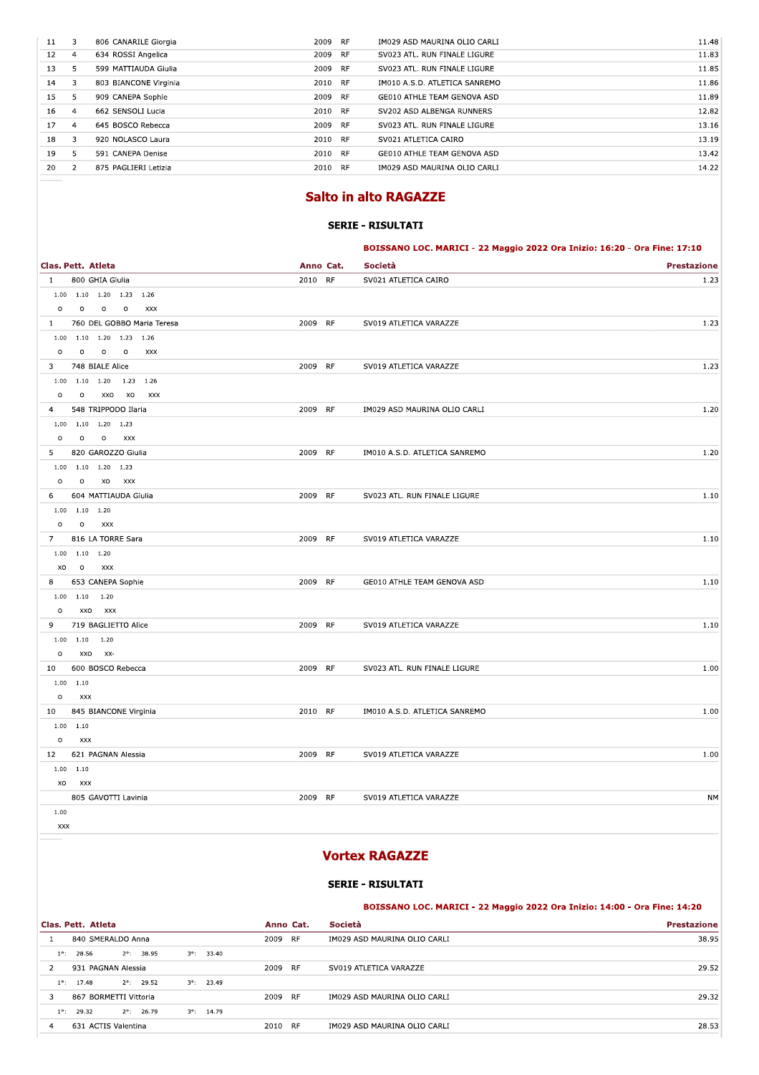| 11 | 3              | 806 CANARILE Giorgia  | 2009 RF           | IM029 ASD MAURINA OLIO CARLI  | 11.48 |
|----|----------------|-----------------------|-------------------|-------------------------------|-------|
| 12 | 4              | 634 ROSSI Angelica    | <b>RF</b><br>2009 | SV023 ATL. RUN FINALE LIGURE  | 11.83 |
| 13 | 5.             | 599 MATTIAUDA Giulia  | 2009 RF           | SV023 ATL. RUN FINALE LIGURE  | 11.85 |
| 14 | 3              | 803 BIANCONE Virginia | 2010 RF           | IM010 A.S.D. ATLETICA SANREMO | 11.86 |
| 15 | 5              | 909 CANEPA Sophie     | 2009<br>RF        | GE010 ATHLE TEAM GENOVA ASD   | 11.89 |
| 16 | $\overline{a}$ | 662 SENSOLI Lucia     | 2010 RF           | SV202 ASD ALBENGA RUNNERS     | 12.82 |
| 17 | $\overline{a}$ | 645 BOSCO Rebecca     | 2009<br><b>RF</b> | SV023 ATL. RUN FINALE LIGURE  | 13.16 |
| 18 | 3              | 920 NOLASCO Laura     | 2010 RF           | SV021 ATLETICA CAIRO          | 13.19 |
| 19 | 5              | 591 CANEPA Denise     | <b>RF</b><br>2010 | GE010 ATHLE TEAM GENOVA ASD   | 13.42 |
| 20 | $\mathcal{P}$  | 875 PAGLIERI Letizia  | - RF<br>2010      | IM029 ASD MAURINA OLIO CARLI  | 14.22 |
|    |                |                       |                   |                               |       |

# **Salto in alto RAGAZZE**

## **SERIE - RISULTATI**

BOISSANO LOC. MARICI - 22 Maggio 2022 Ora Inizio: 16:20 - Ora Fine: 17:10

|                | Clas. Pett. Atleta                   | Anno Cat. | Società                       | <b>Prestazione</b> |
|----------------|--------------------------------------|-----------|-------------------------------|--------------------|
| $\mathbf{1}$   | 800 GHIA Giulia                      | 2010 RF   | SV021 ATLETICA CAIRO          | 1.23               |
|                | $1.00$ $1.10$ $1.20$ $1.23$ $1.26$   |           |                               |                    |
| $\circ$        | $\circ$<br>$\circ$<br>$\circ$<br>XXX |           |                               |                    |
| $\mathbf{1}$   | 760 DEL GOBBO Maria Teresa           | 2009 RF   | SV019 ATLETICA VARAZZE        | 1.23               |
|                | $1.00$ $1.10$ $1.20$ $1.23$ $1.26$   |           |                               |                    |
| $\circ$        | $\circ$<br>$0$ 0<br>XXX              |           |                               |                    |
| 3              | 748 BIALE Alice                      | 2009 RF   | SV019 ATLETICA VARAZZE        | 1.23               |
|                | $1.00$ $1.10$ $1.20$ $1.23$ $1.26$   |           |                               |                    |
| $\circ$        | $\circ$<br>XXO XO XXX                |           |                               |                    |
| $\overline{4}$ | 548 TRIPPODO Ilaria                  | 2009 RF   | IM029 ASD MAURINA OLIO CARLI  | 1.20               |
|                | $1.00$ $1.10$ $1.20$ $1.23$          |           |                               |                    |
| $\circ$        | $\circ$<br>O XXX                     |           |                               |                    |
| 5              | 820 GAROZZO Giulia                   | 2009 RF   | IM010 A.S.D. ATLETICA SANREMO | 1.20               |
|                | $1.00$ $1.10$ $1.20$ $1.23$          |           |                               |                    |
| $\circ$        | $\circ$<br>XO XXX                    |           |                               |                    |
| 6              | 604 MATTIAUDA Giulia                 | 2009 RF   | SV023 ATL. RUN FINALE LIGURE  | 1.10               |
|                | $1.00$ $1.10$ $1.20$                 |           |                               |                    |
| $\circ$        | $\overline{O}$<br>XXX                |           |                               |                    |
| $7^{\circ}$    | 816 LA TORRE Sara                    | 2009 RF   | SV019 ATLETICA VARAZZE        | 1.10               |
|                | $1.00$ $1.10$ $1.20$                 |           |                               |                    |
|                | XO O<br>XXX                          |           |                               |                    |
| 8              | 653 CANEPA Sophie                    | 2009 RF   | GE010 ATHLE TEAM GENOVA ASD   | 1.10               |
|                | $1.00$ $1.10$ $1.20$                 |           |                               |                    |
| $\circ$        | XXO XXX                              |           |                               |                    |
| 9              | 719 BAGLIETTO Alice                  | 2009 RF   | SV019 ATLETICA VARAZZE        | 1.10               |
|                | $1.00$ $1.10$ $1.20$                 |           |                               |                    |
| $\circ$        | XXO XX-                              |           |                               |                    |
| 10             | 600 BOSCO Rebecca                    | 2009 RF   | SV023 ATL. RUN FINALE LIGURE  | 1.00               |
|                | $1.00$ 1.10                          |           |                               |                    |
| $\circ$        | XXX                                  |           |                               |                    |
|                | 10 845 BIANCONE Virginia             | 2010 RF   | IM010 A.S.D. ATLETICA SANREMO | 1.00               |
|                | $1.00$ $1.10$                        |           |                               |                    |
| $\circ$        | <b>XXX</b>                           |           |                               |                    |
|                | 12 621 PAGNAN Alessia                | 2009 RF   | SV019 ATLETICA VARAZZE        | 1.00               |
|                | 1.00 1.10                            |           |                               |                    |
|                | XO XXX                               |           |                               |                    |
|                | 805 GAVOTTI Lavinia                  | 2009 RF   | SV019 ATLETICA VARAZZE        | <b>NM</b>          |
| 1.00           |                                      |           |                               |                    |
| XXX            |                                      |           |                               |                    |

# **Vortex RAGAZZE**

**SERIE - RISULTATI** 

### BOISSANO LOC. MARICI - 22 Maggio 2022 Ora Inizio: 14:00 - Ora Fine: 14:20

|               | Clas. Pett. Atleta    |                     |                     |      | Anno Cat. | Società<br><b>Prestazione</b> |       |  |
|---------------|-----------------------|---------------------|---------------------|------|-----------|-------------------------------|-------|--|
|               | 840 SMERALDO Anna     |                     |                     | 2009 | <b>RF</b> | IM029 ASD MAURINA OLIO CARLI  | 38.95 |  |
| $1^{\circ}$ : | 28.56                 | $2^{\circ}$ : 38.95 | $3^{\circ}$ : 33.40 |      |           |                               |       |  |
|               | 931 PAGNAN Alessia    |                     |                     | 2009 | <b>RF</b> | SV019 ATLETICA VARAZZE        | 29.52 |  |
| $1^{\circ}$   | 17.48                 | $2^{\circ}$ : 29.52 | $3^{\circ}$ : 23.49 |      |           |                               |       |  |
|               | 867 BORMETTI Vittoria |                     |                     | 2009 | <b>RF</b> | IM029 ASD MAURINA OLIO CARLI  | 29.32 |  |
| $1^{\circ}$ : | 29.32                 | $2^{\circ}$ : 26.79 | $3^{\circ}$ : 14.79 |      |           |                               |       |  |
|               | 631 ACTIS Valentina   |                     |                     | 2010 | <b>RF</b> | IM029 ASD MAURINA OLIO CARLI  | 28.53 |  |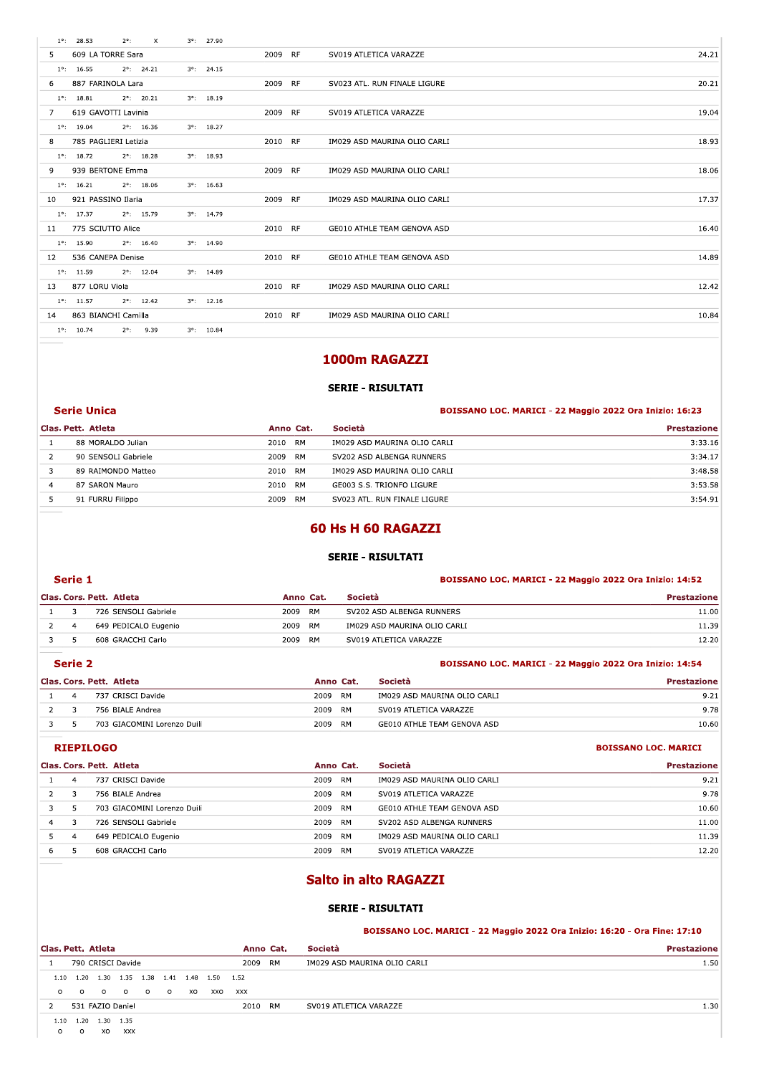| $1^{\circ}$ : 28.53    | $2^{\circ}$ :       | $\times$ | $3^{\circ}$ : 27.90 |         |                              |       |
|------------------------|---------------------|----------|---------------------|---------|------------------------------|-------|
| 5 609 LA TORRE Sara    |                     |          |                     | 2009 RF | SV019 ATLETICA VARAZZE       | 24.21 |
| $1^{\circ}$ : 16.55    | $2^{\circ}$ : 24.21 |          | $3^{\circ}$ : 24.15 |         |                              |       |
| 6 887 FARINOLA Lara    |                     |          |                     | 2009 RF | SV023 ATL. RUN FINALE LIGURE | 20.21 |
| $1^{\circ}$ : 18.81    | $2^{\circ}$ : 20.21 |          | $3^{\circ}$ : 18.19 |         |                              |       |
| 7 619 GAVOTTI Lavinia  |                     |          |                     | 2009 RF | SV019 ATLETICA VARAZZE       | 19.04 |
| $1^{\circ}$ : 19.04    | $2^{\circ}$ : 16.36 |          | $3^{\circ}$ : 18.27 |         |                              |       |
| 8 785 PAGLIERI Letizia |                     |          |                     | 2010 RF | IM029 ASD MAURINA OLIO CARLI | 18.93 |
| $1^{\circ}$ : 18.72    | $2^{\circ}$ : 18.28 |          | $3^{\circ}$ : 18.93 |         |                              |       |
| 9 939 BERTONE Emma     |                     |          |                     | 2009 RF | IM029 ASD MAURINA OLIO CARLI | 18.06 |
| $1^{\circ}$ : 16.21    | $2^{\circ}$ : 18.06 |          | $3^{\circ}$ : 16.63 |         |                              |       |
| 10 921 PASSINO Ilaria  |                     |          |                     | 2009 RF | IM029 ASD MAURINA OLIO CARLI | 17.37 |
| $1^{\circ}$ : 17.37    | $2^{\circ}$ : 15.79 |          | $3^{\circ}$ : 14.79 |         |                              |       |
| 11 775 SCIUTTO Alice   |                     |          |                     | 2010 RF | GE010 ATHLE TEAM GENOVA ASD  | 16.40 |
| $1^{\circ}$ : 15.90    | $2^{\circ}$ : 16.40 |          | $3^{\circ}$ : 14.90 |         |                              |       |
| 12 536 CANEPA Denise   |                     |          |                     | 2010 RF | GE010 ATHLE TEAM GENOVA ASD  | 14.89 |
| $1^{\circ}$ : 11.59    | $2^{\circ}$ : 12.04 |          | $3^{\circ}$ : 14.89 |         |                              |       |
| 13 877 LORU Viola      |                     |          |                     | 2010 RF | IM029 ASD MAURINA OLIO CARLI | 12.42 |
| $1^{\circ}$ : 11.57    | $2^{\circ}$ : 12.42 |          | $3^{\circ}$ : 12.16 |         |                              |       |
| 14 863 BIANCHI Camilla |                     |          |                     | 2010 RF | IM029 ASD MAURINA OLIO CARLI | 10.84 |
| $1^{\circ}$ : 10.74    | $2^{\circ}$ : 9.39  |          | $3^{\circ}$ : 10.84 |         |                              |       |
|                        |                     |          |                     |         |                              |       |
|                        |                     |          |                     |         | 1000m RAGAZZI                |       |
|                        |                     |          |                     |         |                              |       |
|                        |                     |          |                     |         | CEDIE _ DICHI TATI           |       |

# 1000m RAGAZZI

## SERIE - RISULTATI

| <b>Prestazione</b> |
|--------------------|
|                    |
| 3:33.16            |
| 3:34.17            |
| 3:48.58            |
| 3:53.58            |
| 3:54.91            |
|                    |

# 60 Hs H 60 RAGAZZI

## SERIE - RISULTATI

### Prie 1 and 2012 Construction of the BOISSANO LOC. MARICI - 22 Maggio 2022 Ora Inizio: 14:52

|   |                |                          |           |           |           | <b>SERIE - RISULTATI</b>     |                                                         |
|---|----------------|--------------------------|-----------|-----------|-----------|------------------------------|---------------------------------------------------------|
|   | Serie 1        |                          |           |           |           |                              | BOISSANO LOC. MARICI - 22 Maggio 2022 Ora Inizio: 14:52 |
|   |                | Clas. Cors. Pett. Atleta | Anno Cat. |           | Società   |                              | <b>Prestazione</b>                                      |
|   | 3              | 726 SENSOLI Gabriele     | 2009      | <b>RM</b> |           | SV202 ASD ALBENGA RUNNERS    | 11.00                                                   |
| 2 | $\overline{a}$ | 649 PEDICALO Eugenio     | 2009      | RM        |           | IM029 ASD MAURINA OLIO CARLI | 11.39                                                   |
| 3 | 5.             | 608 GRACCHI Carlo        | 2009      | <b>RM</b> |           | SV019 ATLETICA VARAZZE       | 12.20                                                   |
|   | Serie 2        |                          |           |           |           |                              | BOISSANO LOC. MARICI - 22 Maggio 2022 Ora Inizio: 14:54 |
|   |                | Clas. Cors. Pett. Atleta |           |           | Anno Cat. | Società                      | <b>Prestazione</b>                                      |
|   | 4              | 737 CRISCI Davide        |           | 2009      | <b>RM</b> | IM029 ASD MAURINA OLIO CARLI | 9.21                                                    |
|   | 3              | 756 BIALE Andrea         |           | 2009      | RM        | SV019 ATLETICA VARAZZE       | 9.78                                                    |

| ۰. | ۰. | ۰. |  |
|----|----|----|--|
|    |    |    |  |

|   |                | $5.15 + 2.55 + 1.05 + 1.05 + 1.05 + 1.05 + 1.05 + 1.05 + 1.05 + 1.05 + 1.05 + 1.05 + 1.05 + 1.05 + 1.05 + 1.05 + 1.05 + 1.05 + 1.05 + 1.05 + 1.05 + 1.05 + 1.05 + 1.05 + 1.05 + 1.05 + 1.05 + 1.05 + 1.05 + 1.05 + 1.05 + 1.05 + 1.05 + 1.05 + 1.05 + 1.05 + 1.05$ |      |           |           |                              | -----                                                   |
|---|----------------|--------------------------------------------------------------------------------------------------------------------------------------------------------------------------------------------------------------------------------------------------------------------|------|-----------|-----------|------------------------------|---------------------------------------------------------|
| 3 | 5              | 608 GRACCHI Carlo                                                                                                                                                                                                                                                  | 2009 | RM        |           | SV019 ATLETICA VARAZZE       | 12.20                                                   |
|   | Serie 2        |                                                                                                                                                                                                                                                                    |      |           |           |                              | BOISSANO LOC. MARICI - 22 Maggio 2022 Ora Inizio: 14:54 |
|   |                | Clas. Cors. Pett. Atleta                                                                                                                                                                                                                                           |      | Anno Cat. |           | Società                      | <b>Prestazione</b>                                      |
|   | $\overline{a}$ | 737 CRISCI Davide                                                                                                                                                                                                                                                  |      | 2009      | <b>RM</b> | IM029 ASD MAURINA OLIO CARLI | 9.21                                                    |
| 2 | 3              | 756 BIALE Andrea                                                                                                                                                                                                                                                   |      | 2009      | <b>RM</b> | SV019 ATLETICA VARAZZE       | 9.78                                                    |
| 3 | 5              | 703 GIACOMINI Lorenzo Duili                                                                                                                                                                                                                                        |      | 2009      | RM        | GE010 ATHLE TEAM GENOVA ASD  | 10.60                                                   |
|   |                | <b>RIEPILOGO</b>                                                                                                                                                                                                                                                   |      |           |           |                              | <b>BOISSANO LOC. MARICI</b>                             |
|   |                | Clas. Cors. Pett. Atleta                                                                                                                                                                                                                                           |      | Anno Cat. |           | Società                      | <b>Prestazione</b>                                      |
|   | $\overline{4}$ | 737 CRISCI Davide                                                                                                                                                                                                                                                  |      | 2009      | <b>RM</b> | IM029 ASD MAURINA OLIO CARLI | 9.21                                                    |
|   | 3              | 756 BIALE Andrea                                                                                                                                                                                                                                                   |      | 2009      | <b>RM</b> | SV019 ATLETICA VARAZZE       | 9.78                                                    |

|                                                          |                |                             |           |  |                              | .                           |  |  |  |  |  |
|----------------------------------------------------------|----------------|-----------------------------|-----------|--|------------------------------|-----------------------------|--|--|--|--|--|
| 3                                                        | 5.             | 703 GIACOMINI Lorenzo Duili | 2009 RM   |  | GE010 ATHLE TEAM GENOVA ASD  | 10.60                       |  |  |  |  |  |
|                                                          |                | <b>RIEPILOGO</b>            |           |  |                              | <b>BOISSANO LOC. MARICI</b> |  |  |  |  |  |
|                                                          |                | Clas. Cors. Pett. Atleta    | Anno Cat. |  | Società                      | <b>Prestazione</b>          |  |  |  |  |  |
|                                                          | $\overline{4}$ | 737 CRISCI Davide           | 2009 RM   |  | IM029 ASD MAURINA OLIO CARLI | 9.21                        |  |  |  |  |  |
| $\overline{2}$                                           | 3              | 756 BIALE Andrea            | 2009 RM   |  | SV019 ATLETICA VARAZZE       | 9.78                        |  |  |  |  |  |
| 3                                                        | 5              | 703 GIACOMINI Lorenzo Duili | 2009 RM   |  | GE010 ATHLE TEAM GENOVA ASD  | 10.60                       |  |  |  |  |  |
| 4                                                        | 3              | 726 SENSOLI Gabriele        | 2009 RM   |  | SV202 ASD ALBENGA RUNNERS    | 11.00                       |  |  |  |  |  |
| 5                                                        | 4              | 649 PEDICALO Eugenio        | 2009 RM   |  | IM029 ASD MAURINA OLIO CARLI | 11.39                       |  |  |  |  |  |
| 6                                                        | 5              | 608 GRACCHI Carlo           | 2009 RM   |  | SV019 ATLETICA VARAZZE       | 12.20                       |  |  |  |  |  |
| <b>Salto in alto RAGAZZI</b><br><b>SERIE - RISULTATI</b> |                |                             |           |  |                              |                             |  |  |  |  |  |

#### BOISSANO LOC. MARICI - 22 Maggio 2022 Ora Inizio: 16:20 - Ora Fine: 17:10

| <b>SERIE - RISULTATI</b>                                                  |         |                   |                              |         |         |    |      |         |  |                              |                    |  |
|---------------------------------------------------------------------------|---------|-------------------|------------------------------|---------|---------|----|------|---------|--|------------------------------|--------------------|--|
| BOISSANO LOC. MARICI - 22 Maggio 2022 Ora Inizio: 16:20 - Ora Fine: 17:10 |         |                   |                              |         |         |    |      |         |  |                              |                    |  |
| Clas. Pett. Atleta<br>Anno Cat.                                           |         |                   |                              |         |         |    |      |         |  | Società                      | <b>Prestazione</b> |  |
|                                                                           |         | 790 CRISCI Davide |                              |         |         |    |      | 2009 RM |  | IM029 ASD MAURINA OLIO CARLI | 1.50               |  |
| 1.10                                                                      | 1.20    |                   | 1.30  1.35  1.38  1.41  1.48 |         |         |    | 1.50 | 1.52    |  |                              |                    |  |
| $\circ$                                                                   | $\circ$ | $\circ$           | $\circ$                      | $\circ$ | $\circ$ | XO | XXO  | XXX     |  |                              |                    |  |
| 2                                                                         |         | 531 FAZIO Daniel  |                              |         |         |    |      | 2010 RM |  | SV019 ATLETICA VARAZZE       | 1.30               |  |
| 1.10                                                                      | 1.20    |                   | 1.30 1.35                    |         |         |    |      |         |  |                              |                    |  |
| $\circ$                                                                   | $\circ$ | XO                | XXX                          |         |         |    |      |         |  |                              |                    |  |
|                                                                           |         |                   |                              |         |         |    |      |         |  |                              |                    |  |
|                                                                           |         |                   |                              |         |         |    |      |         |  |                              |                    |  |
|                                                                           |         |                   |                              |         |         |    |      |         |  |                              |                    |  |